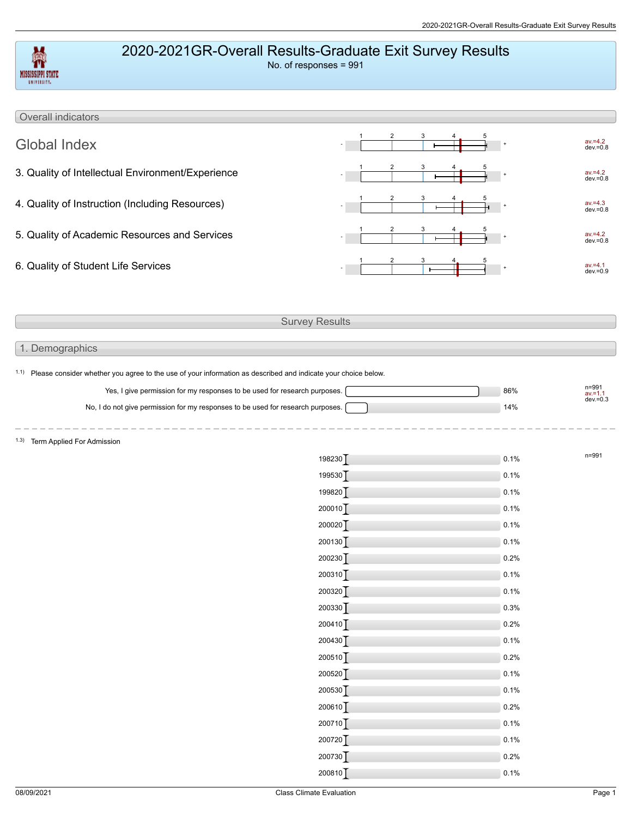## 2020-2021GR-Overall Results-Graduate Exit Survey Results

| MISSISSIPPI STATE<br><b>VALVILLITY.</b>                                                                                       | 2020-2021GR-Overall Results-Graduate Exit Survey Results<br>No. of responses = 991 |              |                           |
|-------------------------------------------------------------------------------------------------------------------------------|------------------------------------------------------------------------------------|--------------|---------------------------|
| Overall indicators                                                                                                            |                                                                                    |              |                           |
| <b>Global Index</b>                                                                                                           |                                                                                    |              | av.=4.2<br>dev.=0.8       |
| 3. Quality of Intellectual Environment/Experience                                                                             |                                                                                    |              | av.=4.2<br>dev.=0.8       |
| 4. Quality of Instruction (Including Resources)                                                                               |                                                                                    |              | $av = 4.3$<br>$dev = 0.8$ |
| 5. Quality of Academic Resources and Services                                                                                 |                                                                                    |              | av.=4.2<br>dev.=0.8       |
| 6. Quality of Student Life Services                                                                                           |                                                                                    |              | $av = 4.1$<br>$dev = 0.9$ |
|                                                                                                                               |                                                                                    |              |                           |
|                                                                                                                               | <b>Survey Results</b>                                                              |              |                           |
| 1. Demographics                                                                                                               |                                                                                    |              |                           |
| <sup>1.1)</sup> Please consider whether you agree to the use of your information as described and indicate your choice below. |                                                                                    |              |                           |
| Yes, I give permission for my responses to be used for research purposes.                                                     |                                                                                    | 86%          | n=991<br>$av = 1.1$       |
| No, I do not give permission for my responses to be used for research purposes.                                               |                                                                                    | 14%          | $dev = 0.3$               |
|                                                                                                                               |                                                                                    |              |                           |
| 1.3) Term Applied For Admission                                                                                               |                                                                                    |              |                           |
|                                                                                                                               | 198230                                                                             | 0.1%         | n=991                     |
|                                                                                                                               | 199530                                                                             | 0.1%         |                           |
|                                                                                                                               | 199820                                                                             | 0.1%         |                           |
|                                                                                                                               | $200010$ <sup>T</sup>                                                              | 0.1%         |                           |
|                                                                                                                               | 200020                                                                             | 0.1%         |                           |
|                                                                                                                               | 200130]                                                                            | 0.1%         |                           |
|                                                                                                                               | 200230]                                                                            | 0.2%         |                           |
|                                                                                                                               | 200310]                                                                            | 0.1%         |                           |
|                                                                                                                               | 200320]                                                                            | 0.1%         |                           |
|                                                                                                                               | 200330                                                                             | 0.3%         |                           |
|                                                                                                                               | 200410]                                                                            | 0.2%         |                           |
|                                                                                                                               | 200430]                                                                            | 0.1%         |                           |
|                                                                                                                               | 200510]                                                                            | 0.2%         |                           |
|                                                                                                                               | 200520]<br>200530]                                                                 | 0.1%<br>0.1% |                           |
|                                                                                                                               | 200610]                                                                            | 0.2%         |                           |
|                                                                                                                               | 200710                                                                             | 0.1%         |                           |
|                                                                                                                               | 200720]                                                                            | 0.1%         |                           |
|                                                                                                                               | 200730                                                                             | 0.2%         |                           |
|                                                                                                                               | 200810                                                                             | 0.1%         |                           |
|                                                                                                                               |                                                                                    |              |                           |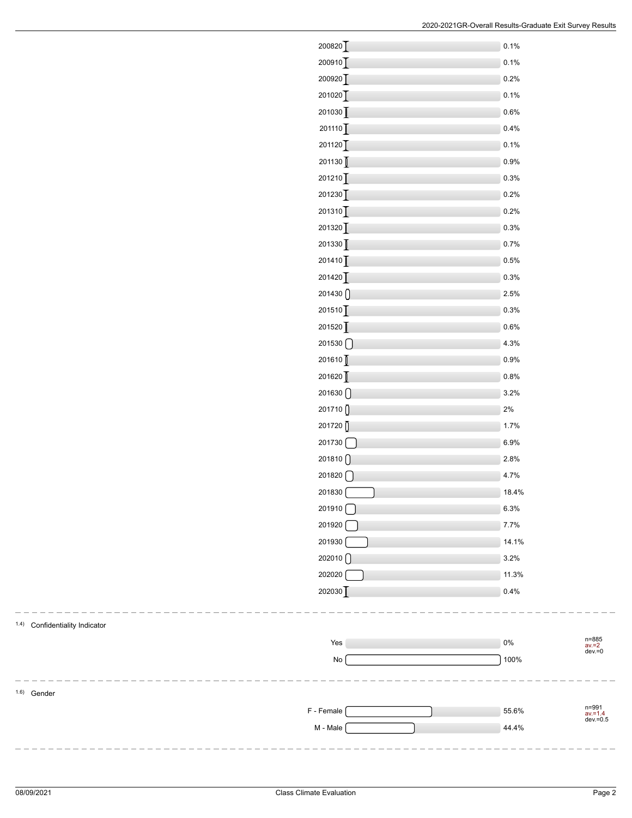| 200820                                   | 0.1%  |
|------------------------------------------|-------|
| 200910]                                  | 0.1%  |
| 200920                                   | 0.2%  |
| 201020                                   | 0.1%  |
| 201030                                   | 0.6%  |
| 201110                                   | 0.4%  |
| 201120                                   | 0.1%  |
| 201130                                   | 0.9%  |
| 201210                                   | 0.3%  |
| 201230                                   | 0.2%  |
| 201310                                   | 0.2%  |
| 201320                                   | 0.3%  |
| 201330                                   | 0.7%  |
| 201410                                   | 0.5%  |
| 201420                                   | 0.3%  |
| 201430                                   | 2.5%  |
| $201510$ <sup>T</sup>                    | 0.3%  |
| 201520                                   | 0.6%  |
| 201530                                   | 4.3%  |
| 201610                                   | 0.9%  |
| 201620                                   | 0.8%  |
| 201630                                   | 3.2%  |
| 201710                                   | 2%    |
| 201720                                   | 1.7%  |
| 201730                                   | 6.9%  |
| 201810                                   | 2.8%  |
| $201820$ $\begin{bmatrix} \end{bmatrix}$ | 4.7%  |
| 201830                                   | 18.4% |
| 201910                                   | 6.3%  |
| 201920                                   | 7.7%  |
| 201930                                   | 14.1% |
| 202010                                   | 3.2%  |
| 202020                                   | 11.3% |
| 202030                                   | 0.4%  |

1.4) Confidentiality Indicator

Yes 0% n=885<br>av.=2<br>dev.=0 No 2008 100% \_\_\_\_\_\_\_\_\_\_\_\_\_\_\_\_\_\_\_\_\_ 1.6) Gender F - Female 55.6% n=991<br>av.=1.4<br>dev.=0.5 M - Male 244.4%

 $-$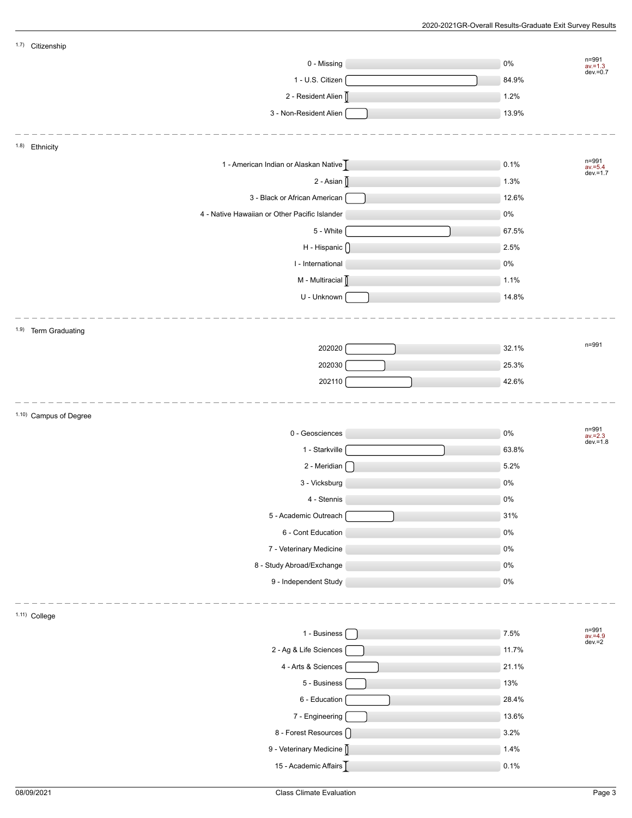| 1.7) Citizenship       |                                               |        |                              |
|------------------------|-----------------------------------------------|--------|------------------------------|
|                        | 0 - Missing                                   | $0\%$  | n=991<br>av.=1.3<br>dev.=0.7 |
|                        | 1 - U.S. Citizen                              | 84.9%  |                              |
|                        | 2 - Resident Alien                            | 1.2%   |                              |
|                        | 3 - Non-Resident Alien                        | 13.9%  |                              |
|                        |                                               |        |                              |
| 1.8) Ethnicity         |                                               |        |                              |
|                        | 1 - American Indian or Alaskan Native         | 0.1%   | n=991<br>av.=5.4<br>dev.=1.7 |
|                        | 2 - Asian $[]$                                | 1.3%   |                              |
|                        | 3 - Black or African American                 | 12.6%  |                              |
|                        | 4 - Native Hawaiian or Other Pacific Islander | $0\%$  |                              |
|                        | 5 - White                                     | 67.5%  |                              |
|                        | H - Hispanic ()                               | 2.5%   |                              |
|                        | I - International                             | $0\%$  |                              |
|                        | M - Multiracial                               | 1.1%   |                              |
|                        | U - Unknown                                   | 14.8%  |                              |
|                        |                                               |        |                              |
| 1.9) Term Graduating   |                                               |        |                              |
|                        | 202020                                        | 32.1%  | n=991                        |
|                        | 202030                                        | 25.3%  |                              |
|                        | 202110                                        | 42.6%  |                              |
|                        |                                               |        |                              |
| 1.10) Campus of Degree |                                               |        |                              |
|                        | 0 - Geosciences                               | $0\%$  | n=991<br>$av = 2.3$          |
|                        | 1 - Starkville                                | 63.8%  | $dev = 1.8$                  |
|                        | 2 - Meridian $\begin{bmatrix} \end{bmatrix}$  | 5.2%   |                              |
|                        | 3 - Vicksburg                                 | $0\%$  |                              |
|                        | 4 - Stennis                                   | 0%     |                              |
|                        | 5 - Academic Outreach                         | $31\%$ |                              |
|                        | 6 - Cont Education                            | $0\%$  |                              |
|                        | 7 - Veterinary Medicine                       | $0\%$  |                              |
|                        | 8 - Study Abroad/Exchange                     | $0\%$  |                              |
|                        | 9 - Independent Study                         | $0\%$  |                              |
|                        |                                               |        |                              |
| 1.11) College          |                                               |        |                              |
|                        | 1 - Business [                                | 7.5%   | n=991<br>av.=4.9<br>dev.=2   |
|                        | 2 - Ag & Life Sciences                        | 11.7%  |                              |
|                        | 4 - Arts & Sciences                           | 21.1%  |                              |
|                        | 5 - Business                                  | 13%    |                              |
|                        | 6 - Education                                 | 28.4%  |                              |
|                        |                                               |        |                              |
|                        | 7 - Engineering                               | 13.6%  |                              |
|                        | 8 - Forest Resources ()                       | 3.2%   |                              |
|                        | 9 - Veterinary Medicine [                     | 1.4%   |                              |
|                        | 15 - Academic Affairs                         | 0.1%   |                              |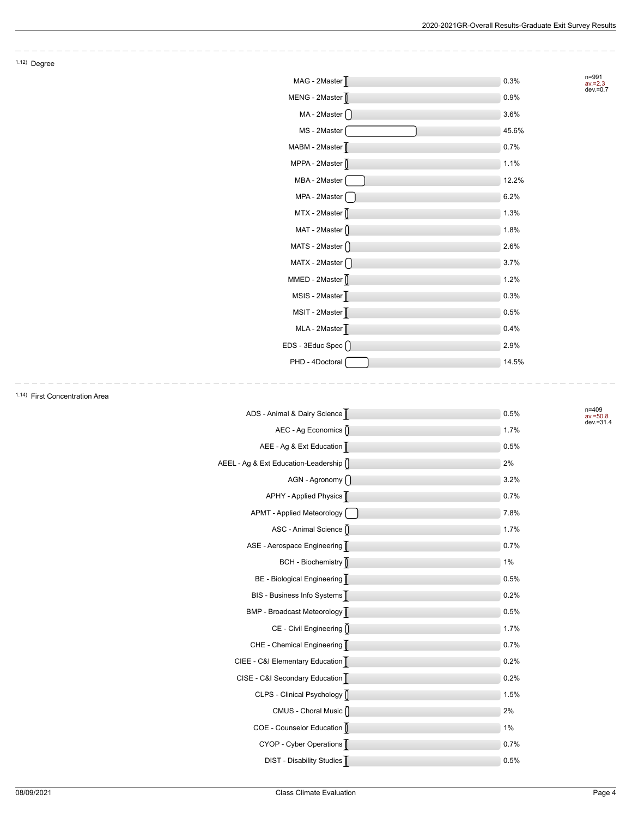$\overline{\phantom{a}}$  $\sim$ 

|                                | MAG - 2Master                | 0.3%  | n=991<br>$av = 2.3$<br>$dev = 0.7$ |
|--------------------------------|------------------------------|-------|------------------------------------|
|                                | MENG - 2Master               | 0.9%  |                                    |
|                                | MA - 2Master $\bigcap$       | 3.6%  |                                    |
|                                | MS - 2Master                 | 45.6% |                                    |
|                                | MABM - 2Master [             | 0.7%  |                                    |
|                                | MPPA - 2Master               | 1.1%  |                                    |
|                                | MBA - 2Master                | 12.2% |                                    |
|                                | MPA - 2Master                | 6.2%  |                                    |
|                                | $MTX - 2Master$              | 1.3%  |                                    |
|                                | MAT - 2Master ()             | 1.8%  |                                    |
|                                | MATS - 2Master $\bigcap$     | 2.6%  |                                    |
|                                | MATX - 2Master $\bigcap$     | 3.7%  |                                    |
|                                | MMED - 2Master               | 1.2%  |                                    |
|                                | MSIS - 2Master               | 0.3%  |                                    |
|                                | MSIT - 2Master               | 0.5%  |                                    |
|                                | MLA - 2Master                | 0.4%  |                                    |
|                                | EDS - 3Educ Spec ()          | 2.9%  |                                    |
|                                | PHD - 4Doctoral              | 14.5% |                                    |
| 1.14) First Concentration Area |                              |       |                                    |
|                                | ADS - Animal & Dairy Science | 0.5%  | $n = 409$<br>$av = 50.8$           |
|                                | AEC - Ag Economics ()        | 1.7%  | dev.=31.4                          |
|                                | AEE - Ag & Ext Education     | 0.5%  |                                    |
|                                |                              |       |                                    |

| ADS - Animal & Dairy Science            | 0.5% |
|-----------------------------------------|------|
| AEC - Ag Economics []                   | 1.7% |
| AEE - Ag & Ext Education                | 0.5% |
| AEEL - Ag & Ext Education-Leadership [] | 2%   |
| AGN - Agronomy                          | 3.2% |
| APHY - Applied Physics                  | 0.7% |
| APMT - Applied Meteorology              | 7.8% |
| ASC - Animal Science []                 | 1.7% |
| ASE - Aerospace Engineering             | 0.7% |
| BCH - Biochemistry                      | 1%   |
| BE - Biological Engineering             | 0.5% |
| BIS - Business Info Systems             | 0.2% |
| BMP - Broadcast Meteorology             | 0.5% |
| CE - Civil Engineering []               | 1.7% |
| CHE - Chemical Engineering              | 0.7% |
| CIEE - C&I Elementary Education         | 0.2% |
| CISE - C&I Secondary Education          | 0.2% |
| CLPS - Clinical Psychology              | 1.5% |
| CMUS - Choral Music []                  | 2%   |
| COE - Counselor Education               | 1%   |
| CYOP - Cyber Operations                 | 0.7% |
| DIST - Disability Studies               | 0.5% |



 $1.12)$  Degree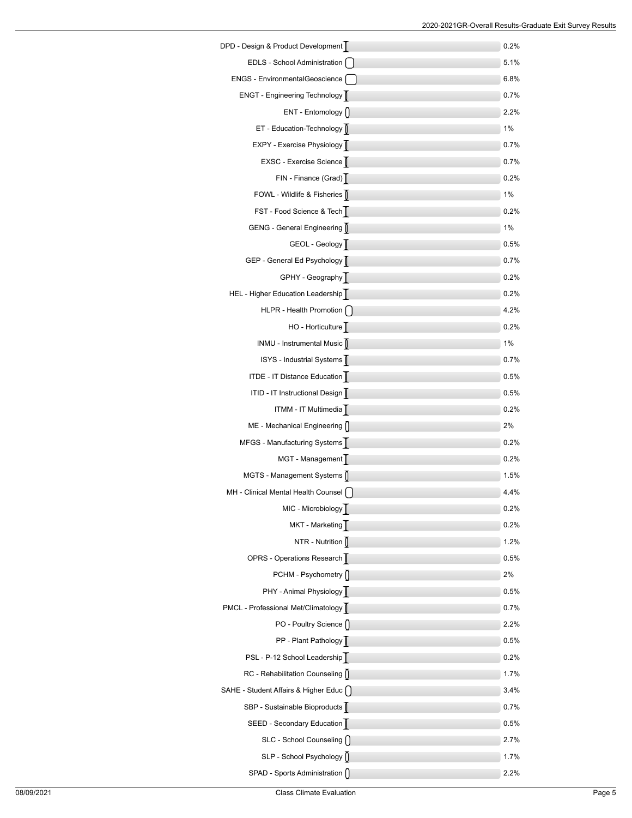| DPD - Design & Product Development      | 0.2%    |
|-----------------------------------------|---------|
| EDLS - School Administration            | 5.1%    |
| ENGS - EnvironmentalGeoscience          | $6.8\%$ |
| ENGT - Engineering Technology           | 0.7%    |
| ENT - Entomology []                     | 2.2%    |
| ET - Education-Technology               | 1%      |
| EXPY - Exercise Physiology              | 0.7%    |
| EXSC - Exercise Science                 | 0.7%    |
| FIN - Finance (Grad)                    | 0.2%    |
| FOWL - Wildlife & Fisheries [           | 1%      |
| FST - Food Science & Tech               | $0.2\%$ |
| GENG - General Engineering              | 1%      |
| GEOL - Geology                          | 0.5%    |
| GEP - General Ed Psychology             | 0.7%    |
| GPHY - Geography                        | 0.2%    |
| HEL - Higher Education Leadership       | 0.2%    |
| HLPR - Health Promotion [ ]             | 4.2%    |
| HO - Horticulture                       | 0.2%    |
| INMU - Instrumental Music               | 1%      |
| ISYS - Industrial Systems               | $0.7\%$ |
| ITDE - IT Distance Education            | 0.5%    |
| ITID - IT Instructional Design          | 0.5%    |
| ITMM - IT Multimedia                    | 0.2%    |
| ME - Mechanical Engineering []          | 2%      |
| MFGS - Manufacturing Systems            | 0.2%    |
| MGT - Management                        | 0.2%    |
| MGTS - Management Systems               | 1.5%    |
| MH - Clinical Mental Health Counsel     | 4.4%    |
| MIC - Microbiology                      | 0.2%    |
| MKT - Marketing                         | $0.2\%$ |
| NTR - Nutrition $\int$                  | 1.2%    |
| OPRS - Operations Research              | 0.5%    |
| PCHM - Psychometry n                    | 2%      |
| PHY - Animal Physiology                 | 0.5%    |
| PMCL - Professional Met/Climatology     | 0.7%    |
| PO - Poultry Science []                 | 2.2%    |
| PP - Plant Pathology                    | 0.5%    |
| PSL - P-12 School Leadership            | 0.2%    |
| RC - Rehabilitation Counseling []       | 1.7%    |
| SAHE - Student Affairs & Higher Educ [] | 3.4%    |
| SBP - Sustainable Bioproducts           | 0.7%    |
| SEED - Secondary Education              | $0.5\%$ |
| SLC - School Counseling []              | 2.7%    |
| SLP - School Psychology []              | 1.7%    |
| SPAD - Sports Administration []         | 2.2%    |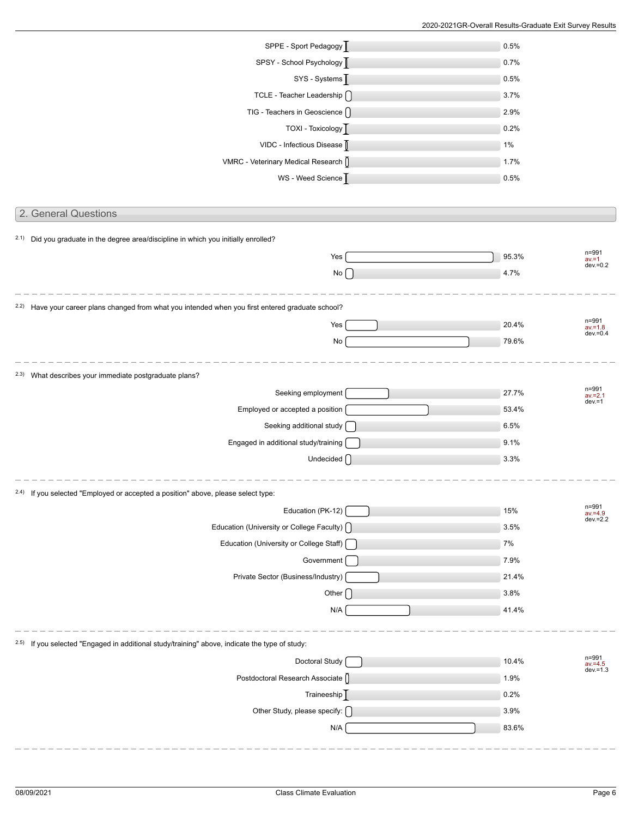| SPPE - Sport Pedagogy                                                                                         | 0.5%  |                                    |
|---------------------------------------------------------------------------------------------------------------|-------|------------------------------------|
| SPSY - School Psychology D                                                                                    | 0.7%  |                                    |
| SYS - Systems                                                                                                 | 0.5%  |                                    |
| TCLE - Teacher Leadership ()                                                                                  | 3.7%  |                                    |
| TIG - Teachers in Geoscience $\bigcap$                                                                        | 2.9%  |                                    |
| TOXI - Toxicology                                                                                             | 0.2%  |                                    |
| VIDC - Infectious Disease                                                                                     | 1%    |                                    |
| VMRC - Veterinary Medical Research ()                                                                         | 1.7%  |                                    |
| WS - Weed Science                                                                                             | 0.5%  |                                    |
|                                                                                                               |       |                                    |
| 2. General Questions                                                                                          |       |                                    |
|                                                                                                               |       |                                    |
| <sup>2.1)</sup> Did you graduate in the degree area/discipline in which you initially enrolled?               |       | n=991                              |
| Yes                                                                                                           | 95.3% | $av = 1$<br>$dev = 0.2$            |
| $No \bigcap$                                                                                                  | 4.7%  |                                    |
|                                                                                                               |       |                                    |
| <sup>2.2)</sup> Have your career plans changed from what you intended when you first entered graduate school? |       |                                    |
| Yes                                                                                                           | 20.4% | n=991<br>$av = 1.8$<br>$dev = 0.4$ |
| $\operatorname{\mathsf{No}}$                                                                                  | 79.6% |                                    |
|                                                                                                               |       |                                    |
| 2.3) What describes your immediate postgraduate plans?                                                        |       |                                    |
| Seeking employment                                                                                            | 27.7% | n=991<br>$av = 2.1$<br>$dev = 1$   |
| Employed or accepted a position                                                                               | 53.4% |                                    |
| Seeking additional study [                                                                                    | 6.5%  |                                    |
| Engaged in additional study/training                                                                          | 9.1%  |                                    |
| Undecided $\bigcap$                                                                                           | 3.3%  |                                    |
|                                                                                                               |       |                                    |
| <sup>2.4)</sup> If you selected "Employed or accepted a position" above, please select type:                  |       |                                    |
| Education (PK-12)                                                                                             | 15%   | n=991<br>$av = 4.9$<br>$dev = 2.2$ |
| Education (University or College Faculty) [                                                                   | 3.5%  |                                    |
| Education (University or College Staff) [                                                                     | 7%    |                                    |
| Government                                                                                                    | 7.9%  |                                    |
| Private Sector (Business/Industry)                                                                            | 21.4% |                                    |
| Other $\int$                                                                                                  | 3.8%  |                                    |
| N/A                                                                                                           | 41.4% |                                    |
|                                                                                                               |       |                                    |
| <sup>2.5)</sup> If you selected "Engaged in additional study/training" above, indicate the type of study:     |       |                                    |
| Doctoral Study                                                                                                | 10.4% | n=991<br>$av = 4.5$<br>$dev = 1.3$ |
| Postdoctoral Research Associate ()                                                                            | 1.9%  |                                    |
| Traineeship <sup>T</sup>                                                                                      | 0.2%  |                                    |
| Other Study, please specify: $\bigcap$                                                                        | 3.9%  |                                    |
| N/A                                                                                                           | 83.6% |                                    |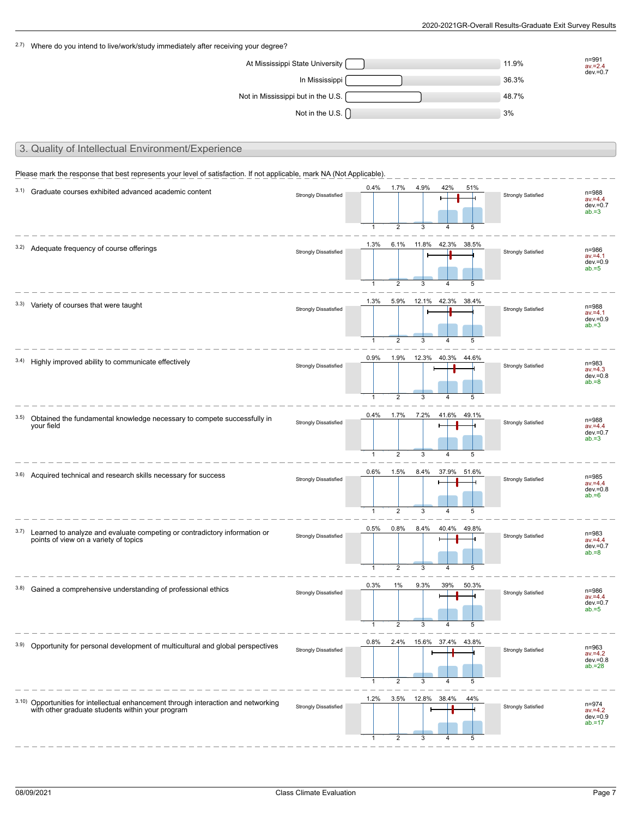| 2.7) Where do you intend to live/work/study immediately after receiving your degree?                                                    |                                    |                                      |                                          |                       |                                     |                 |                           |                                                 |
|-----------------------------------------------------------------------------------------------------------------------------------------|------------------------------------|--------------------------------------|------------------------------------------|-----------------------|-------------------------------------|-----------------|---------------------------|-------------------------------------------------|
|                                                                                                                                         | At Mississippi State University    |                                      |                                          |                       |                                     |                 | 11.9%                     | n=991<br>$av = 2.4$                             |
|                                                                                                                                         | In Mississippi                     |                                      |                                          |                       |                                     |                 | 36.3%                     | $dev = 0.7$                                     |
|                                                                                                                                         | Not in Mississippi but in the U.S. |                                      |                                          |                       |                                     |                 | 48.7%                     |                                                 |
|                                                                                                                                         | Not in the U.S. $\bigcap$          |                                      |                                          |                       |                                     |                 | 3%                        |                                                 |
|                                                                                                                                         |                                    |                                      |                                          |                       |                                     |                 |                           |                                                 |
| 3. Quality of Intellectual Environment/Experience                                                                                       |                                    |                                      |                                          |                       |                                     |                 |                           |                                                 |
| Please mark the response that best represents your level of satisfaction. If not applicable, mark NA (Not Applicable).                  |                                    |                                      |                                          |                       |                                     |                 |                           |                                                 |
| 3.1) Graduate courses exhibited advanced academic content                                                                               | <b>Strongly Dissatisfied</b>       | 0.4%<br>$\mathbf{1}$                 | $1.7\%$<br>2                             | 4.9%<br>3             | 42%<br>4                            | 51%<br>5        | <b>Strongly Satisfied</b> | n=988<br>$av = 4.4$<br>$dev = 0.7$<br>$ab = 3$  |
| 3.2) Adequate frequency of course offerings                                                                                             | <b>Strongly Dissatisfied</b>       | 1.3%                                 | 6.1%                                     | 11.8%                 | 42.3%                               | 38.5%           | <b>Strongly Satisfied</b> | n=986<br>$av = 4.1$<br>$dev = 0.9$<br>$ab = 5$  |
| 3.3) Variety of courses that were taught                                                                                                | <b>Strongly Dissatisfied</b>       | $\mathbf{1}$<br>1.3%<br>$\mathbf{1}$ | $\overline{2}$<br>5.9%<br>$\overline{2}$ | 3<br>12.1% 42.3%<br>3 | $\overline{4}$<br>$\overline{4}$    | 5<br>38.4%<br>5 | <b>Strongly Satisfied</b> | n=988<br>$av = 4.1$<br>$dev = 0.9$<br>$ab = 3$  |
| 3.4) Highly improved ability to communicate effectively                                                                                 | <b>Strongly Dissatisfied</b>       | 0.9%<br>$\mathbf{1}$                 | 1.9%<br>$\overline{2}$                   | 3                     | 12.3% 40.3% 44.6%<br>4              | 5               | <b>Strongly Satisfied</b> | n=983<br>$av = 4.3$<br>$dev = 0.8$<br>$ab = 8$  |
| 3.5) Obtained the fundamental knowledge necessary to compete successfully in<br>your field                                              | <b>Strongly Dissatisfied</b>       | 0.4%<br>$\mathbf{1}$                 | 1.7%<br>2                                | 7.2%<br>3             | 41.6%<br>$\overline{4}$             | 49.1%<br>5      | <b>Strongly Satisfied</b> | n=988<br>$av = 4.4$<br>$dev = 0.7$<br>$ab = 3$  |
| 3.6) Acquired technical and research skills necessary for success                                                                       | <b>Strongly Dissatisfied</b>       | 0.6%                                 | 1.5%                                     | 8.4%                  | 37.9%                               | 51.6%           | <b>Strongly Satisfied</b> | n=985<br>$av = 4.4$<br>$dev = 0.8$<br>$ab = 6$  |
| 3.7) Learned to analyze and evaluate competing or contradictory information or<br>points of view on a variety of topics                 | <b>Strongly Dissatisfied</b>       | 0.5%<br>$\mathbf{1}$                 | 0.8%<br>2                                | 8.4%<br>3             | 40.4% 49.8%<br>4                    | 5               | <b>Strongly Satisfied</b> | n=983<br>$av = 4.4$<br>$dev = 0.7$<br>$ab = 8$  |
| 3.8) Gained a comprehensive understanding of professional ethics                                                                        | <b>Strongly Dissatisfied</b>       | 0.3%<br>$\mathbf{1}$                 | 1%<br>2                                  | 9.3%<br>3             | 39%<br>4                            | 50.3%<br>5      | <b>Strongly Satisfied</b> | n=986<br>$av = 4.4$<br>$dev = 0.7$<br>$ab = 5$  |
| <sup>3.9)</sup> Opportunity for personal development of multicultural and global perspectives                                           | <b>Strongly Dissatisfied</b>       | 0.8%<br>$\overline{1}$               | 2.4%<br>$\overline{2}$                   | 3                     | 15.6% 37.4% 43.8%<br>$\overline{4}$ | 5               | <b>Strongly Satisfied</b> | n=963<br>$av = 4.2$<br>$dev = 0.8$<br>$ab = 28$ |
| 3.10) Opportunities for intellectual enhancement through interaction and networking<br>with other graduate students within your program | <b>Strongly Dissatisfied</b>       | 1.2%<br>$\mathbf{1}$                 | 3.5%<br>2                                | 12.8% 38.4%<br>3      | 4                                   | 44%<br>5        | <b>Strongly Satisfied</b> | n=974<br>$av = 4.2$<br>$dev = 0.9$<br>$ab = 17$ |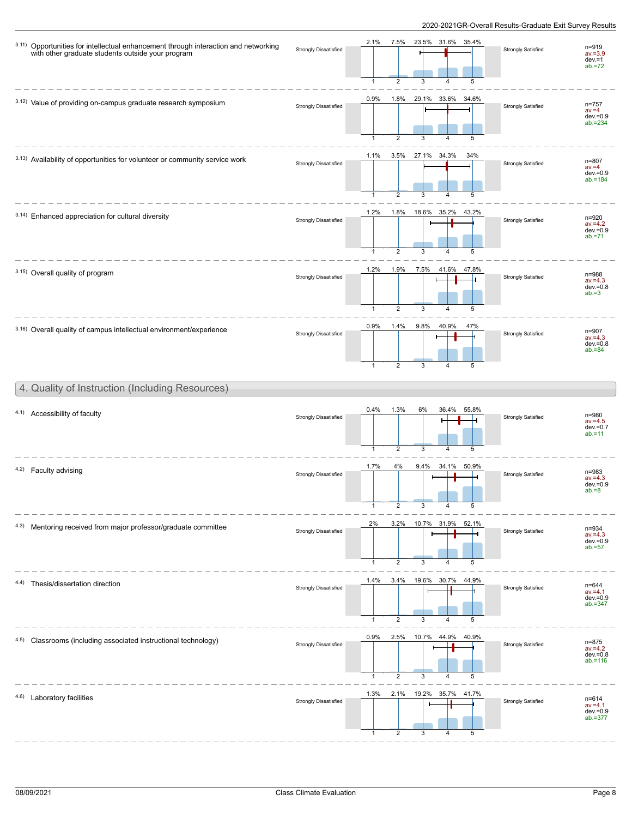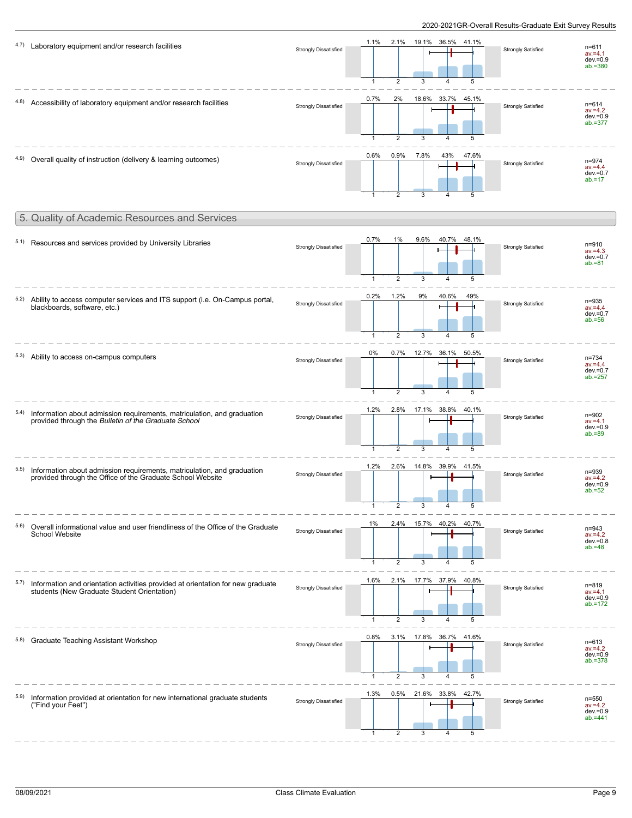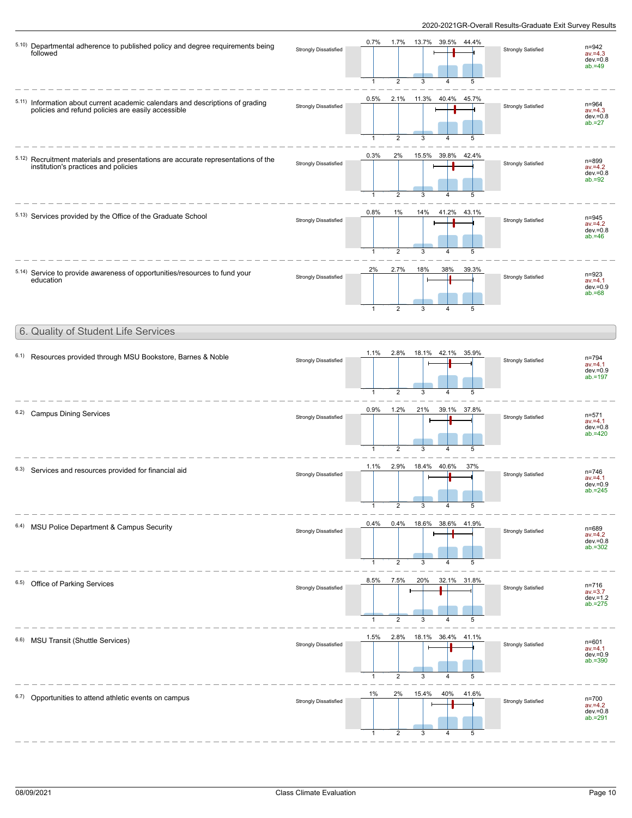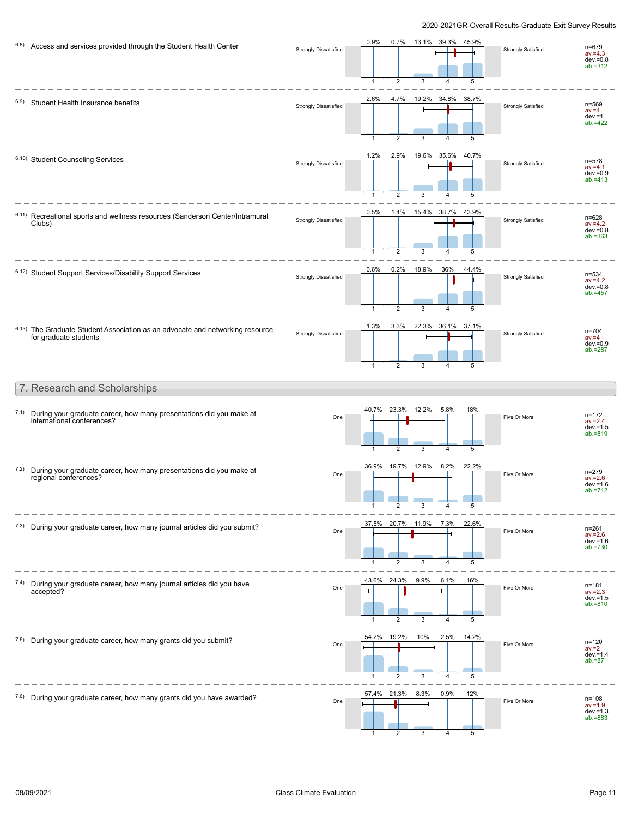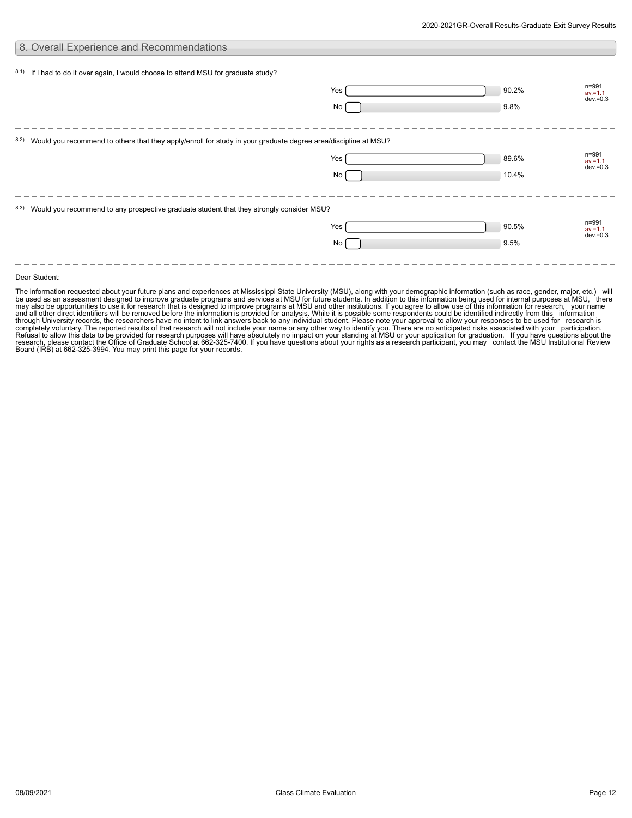| 8. Overall Experience and Recommendations                                                                           |           |                |                                    |
|---------------------------------------------------------------------------------------------------------------------|-----------|----------------|------------------------------------|
| 8.1) If I had to do it over again, I would choose to attend MSU for graduate study?                                 | Yes<br>No | 90.2%<br>9.8%  | n=991<br>$av = 1.1$<br>$dev = 0.3$ |
| 8.2) Would you recommend to others that they apply/enroll for study in your graduate degree area/discipline at MSU? | Yes<br>No | 89.6%<br>10.4% | n=991<br>$av = 1.1$<br>$dev = 0.3$ |
| 8.3) Would you recommend to any prospective graduate student that they strongly consider MSU?                       | Yes<br>No | 90.5%<br>9.5%  | n=991<br>$av = 1.1$<br>$dev = 0.3$ |

#### Dear Student:

The information requested about your future plans and experiences at Mississippi State University (MSU), along with your demographic information (such as race, gender, major, etc.) will<br>be used as an assessment designed to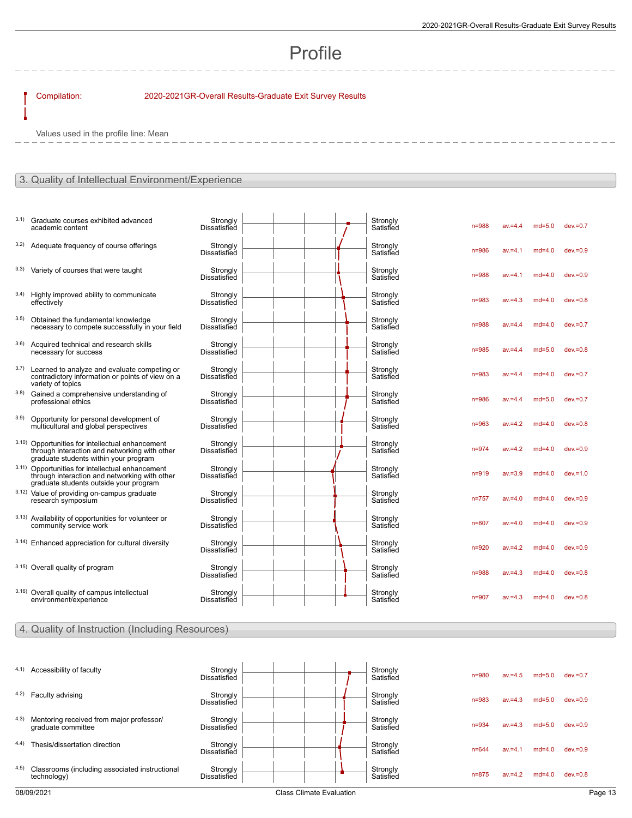# Profile

### Compilation: 2020-2021GR-Overall Results-Graduate Exit Survey Results

Values used in the profile line: Mean

#### 3. Quality of Intellectual Environment/Experience

- 3.1) Graduate courses exhibited advanced academic content
- $3.2)$  Adequate frequency of course offerings
- $3.3)$  Variety of courses that were taught
- 3.4) Highly improved ability to communicate effectively
- 3.5) Obtained the fundamental knowledge necessary to compete successfully in your field
- 3.6) Acquired technical and research skills necessary for success
- 3.7) Learned to analyze and evaluate competing or contradictory information or points of view on a variety of topics
- 3.8) Gained a comprehensive understanding of professional ethics
- 3.9) Opportunity for personal development of multicultural and global perspectives
- 3.10) Opportunities for intellectual enhancement through interaction and networking with other graduate students within your program
- 3.11) Opportunities for intellectual enhancement through interaction and networking with other graduate students outside your program 3.12) Value of providing on-campus graduate
- research symposium
- 3.13) Availability of opportunities for volunteer or community service work
- $3.14$ ) Enhanced appreciation for cultural diversity
- $3.15$ ) Overall quality of program
- 3.16) Overall quality of campus intellectual environment/experience

| Strongly<br><b>Dissatisfied</b> |  | Strongly<br>Satisfied | $n = 988$ | $av = 4.4$ | $md=5.0$ | $dev = 0.7$ |
|---------------------------------|--|-----------------------|-----------|------------|----------|-------------|
| Strongly<br>Dissatisfied        |  | Strongly<br>Satisfied | $n = 986$ | $av = 4.1$ | $md=4.0$ | $dev = 0.9$ |
| Strongly<br>Dissatisfied        |  | Strongly<br>Satisfied | $n = 988$ | $av = 4.1$ | $md=4.0$ | $dev = 0.9$ |
| Strongly<br>Dissatisfied        |  | Strongly<br>Satisfied | $n = 983$ | $av = 4.3$ | $md=4.0$ | $dev = 0.8$ |
| Strongly<br><b>Dissatisfied</b> |  | Strongly<br>Satisfied | $n = 988$ | $av = 4.4$ | $md=4.0$ | $dev = 0.7$ |
| Strongly<br>Dissatisfied        |  | Strongly<br>Satisfied | $n = 985$ | $av = 4.4$ | $md=5.0$ | $dev = 0.8$ |
| Strongly<br><b>Dissatisfied</b> |  | Strongly<br>Satisfied | $n = 983$ | $av = 4.4$ | $md=4.0$ | $dev = 0.7$ |
| Strongly<br><b>Dissatisfied</b> |  | Strongly<br>Satisfied | $n = 986$ | $av = 4.4$ | $md=5.0$ | $dev = 0.7$ |
| Strongly<br>Dissatisfied        |  | Strongly<br>Satisfied | $n = 963$ | $av = 4.2$ | $md=4.0$ | $dev = 0.8$ |
| Strongly<br><b>Dissatisfied</b> |  | Strongly<br>Satisfied | $n = 974$ | $av = 4.2$ | $md=4.0$ | $dev = 0.9$ |
| Strongly<br>Dissatisfied        |  | Strongly<br>Satisfied | $n = 919$ | $av = 3.9$ | $md=4.0$ | $dev = 1.0$ |
| Strongly<br>Dissatisfied        |  | Strongly<br>Satisfied | $n = 757$ | $av = 4.0$ | $md=4.0$ | $dev = 0.9$ |
| Strongly<br>Dissatisfied        |  | Strongly<br>Satisfied | $n = 807$ | $av = 4.0$ | $md=4.0$ | $dev = 0.9$ |
| Strongly<br>Dissatisfied        |  | Strongly<br>Satisfied | $n = 920$ | $av = 4.2$ | $md=4.0$ | $dev = 0.9$ |
| Strongly<br>Dissatisfied        |  | Strongly<br>Satisfied | $n = 988$ | $av = 4.3$ | $md=4.0$ | $dev = 0.8$ |
| Strongly<br><b>Dissatisfied</b> |  | Strongly<br>Satisfied | $n = 907$ | $av = 4.3$ | $md=4.0$ | $dev = 0.8$ |

#### 4. Quality of Instruction (Including Resources)

| 4.1)  | Accessibility of faculty                                       | Strongly<br><b>Dissatisfied</b> |  |  | Strongly<br>Satisfied | $n = 980$ | $av = 4.5$ | $md=5.0$ | $dev = 0.7$ |
|-------|----------------------------------------------------------------|---------------------------------|--|--|-----------------------|-----------|------------|----------|-------------|
| 4.2)  | Faculty advising                                               | Strongly<br><b>Dissatisfied</b> |  |  | Strongly<br>Satisfied | $n = 983$ | $av = 4.3$ | $md=5.0$ | $dev = 0.9$ |
| 4.3)  | Mentoring received from major professor/<br>graduate committee | Strongly<br><b>Dissatisfied</b> |  |  | Strongly<br>Satisfied | $n = 934$ | $av = 4.3$ | $md=5.0$ | $dev = 0.9$ |
| (4.4) | Thesis/dissertation direction                                  | Strongly<br><b>Dissatisfied</b> |  |  | Strongly<br>Satisfied | $n = 644$ | $av = 4.1$ | $md=4.0$ | $dev = 0.9$ |
| 4.5)  | Classrooms (including associated instructional<br>technology)  | Strongly<br><b>Dissatisfied</b> |  |  | Strongly<br>Satisfied | $n = 875$ | $av = 4.2$ | $md=4.0$ | $dev = 0.8$ |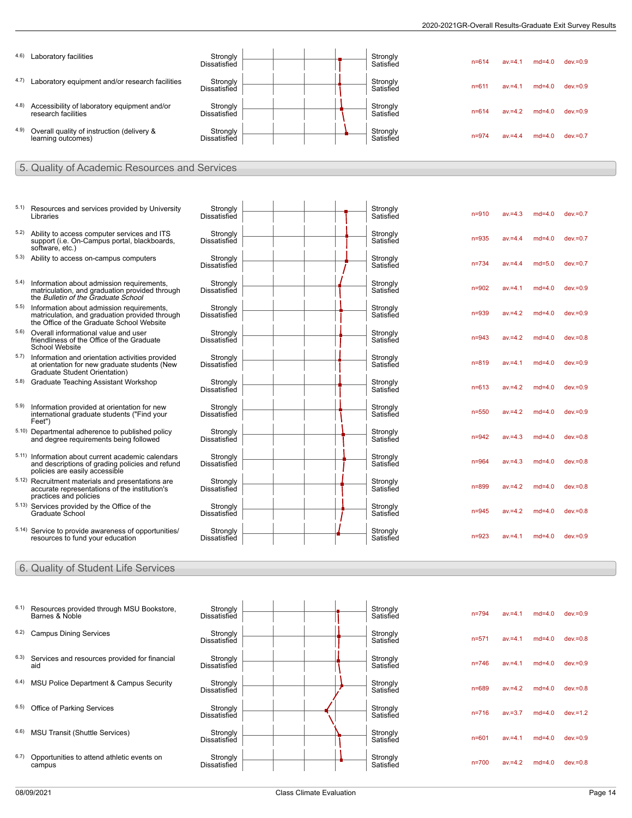| 4.6) | Laboratory facilities                                                                                                                    | Strongly<br><b>Dissatisfied</b> |  |  |  | Strongly<br>Satisfied | $n = 614$ | $av = 4.1$ | $md=4.0$ | $dev = 0.9$ |  |  |  |
|------|------------------------------------------------------------------------------------------------------------------------------------------|---------------------------------|--|--|--|-----------------------|-----------|------------|----------|-------------|--|--|--|
| 4.7) | Laboratory equipment and/or research facilities                                                                                          | Strongly<br><b>Dissatisfied</b> |  |  |  | Strongly<br>Satisfied | $n = 611$ | $av = 4.1$ | $md=4.0$ | $dev = 0.9$ |  |  |  |
| 4.8) | Accessibility of laboratory equipment and/or<br>research facilities                                                                      | Strongly<br>Dissatisfied        |  |  |  | Strongly<br>Satisfied | $n = 614$ | $av = 4.2$ | $md=4.0$ | $dev = 0.9$ |  |  |  |
| 4.9) | Overall quality of instruction (delivery &<br>learning outcomes)                                                                         | Strongly<br>Dissatisfied        |  |  |  | Strongly<br>Satisfied | $n = 974$ | $av = 4.4$ | $md=4.0$ | $dev = 0.7$ |  |  |  |
|      | 5. Quality of Academic Resources and Services                                                                                            |                                 |  |  |  |                       |           |            |          |             |  |  |  |
|      |                                                                                                                                          |                                 |  |  |  |                       |           |            |          |             |  |  |  |
| 5.1) | Resources and services provided by University<br>Libraries                                                                               | Strongly<br>Dissatisfied        |  |  |  | Strongly<br>Satisfied | $n = 910$ | $av = 4.3$ | $md=4.0$ | $dev = 0.7$ |  |  |  |
| 5.2) | Ability to access computer services and ITS<br>support (i.e. On-Campus portal, blackboards,<br>software, etc.)                           | Strongly<br>Dissatisfied        |  |  |  | Strongly<br>Satisfied | $n = 935$ | $av = 4.4$ | $md=4.0$ | $dev = 0.7$ |  |  |  |
|      | 5.3) Ability to access on-campus computers                                                                                               | Strongly<br><b>Dissatisfied</b> |  |  |  | Strongly<br>Satisfied | n=734     | $av = 4.4$ | $md=5.0$ | $dev = 0.7$ |  |  |  |
| 5.4) | Information about admission requirements,<br>matriculation, and graduation provided through<br>the Bulletin of the Graduate School       | Strongly<br><b>Dissatisfied</b> |  |  |  | Strongly<br>Satisfied | $n = 902$ | $av = 4.1$ | $md=4.0$ | $dev = 0.9$ |  |  |  |
| 5.5) | Information about admission requirements,<br>matriculation, and graduation provided through<br>the Office of the Graduate School Website | Strongly<br><b>Dissatisfied</b> |  |  |  | Strongly<br>Satisfied | $n = 939$ | $av = 4.2$ | $md=4.0$ | $dev = 0.9$ |  |  |  |
| 5.6) | Overall informational value and user<br>friendliness of the Office of the Graduate<br><b>School Website</b>                              | Strongly<br><b>Dissatisfied</b> |  |  |  | Strongly<br>Satisfied | $n = 943$ | $av = 4.2$ | $md=4.0$ | $dev = 0.8$ |  |  |  |
| 5.7) | Information and orientation activities provided<br>at orientation for new graduate students (New<br>Graduate Student Orientation)        | Strongly<br><b>Dissatisfied</b> |  |  |  | Strongly<br>Satisfied | n=819     | $av = 4.1$ | $md=4.0$ | $dev = 0.9$ |  |  |  |
|      | 5.8) Graduate Teaching Assistant Workshop                                                                                                | Strongly<br><b>Dissatisfied</b> |  |  |  | Strongly<br>Satisfied | $n = 613$ | $av = 4.2$ | $md=4.0$ | $dev = 0.9$ |  |  |  |
| 5.9) | Information provided at orientation for new<br>international graduate students ("Find your<br>Feet")                                     | Strongly<br><b>Dissatisfied</b> |  |  |  | Strongly<br>Satisfied | $n = 550$ | $av = 4.2$ | $md=4.0$ | $dev = 0.9$ |  |  |  |
|      | 5.10) Departmental adherence to published policy<br>and degree requirements being followed                                               | Strongly<br><b>Dissatisfied</b> |  |  |  | Strongly<br>Satisfied | $n = 942$ | $av = 4.3$ | $md=4.0$ | $dev = 0.8$ |  |  |  |
|      | 5.11) Information about current academic calendars<br>and descriptions of grading policies and refund<br>policies are easily accessible  | Strongly<br><b>Dissatisfied</b> |  |  |  | Strongly<br>Satisfied | n=964     | $av = 4.3$ | $md=4.0$ | $dev = 0.8$ |  |  |  |
|      | 5.12) Recruitment materials and presentations are<br>accurate representations of the institution's<br>practices and policies             | Strongly<br><b>Dissatisfied</b> |  |  |  | Strongly<br>Satisfied | n=899     | $av = 4.2$ | $md=4.0$ | $dev = 0.8$ |  |  |  |
|      | 5.13) Services provided by the Office of the<br>Graduate School                                                                          | Stronalv<br><b>Dissatisfied</b> |  |  |  | Strongly<br>Satisfied | $n = 945$ | $av = 4.2$ | $md=4.0$ | $dev = 0.8$ |  |  |  |
|      | 5.14) Service to provide awareness of opportunities/<br>resources to fund your education                                                 | Strongly<br><b>Dissatisfied</b> |  |  |  | Strongly<br>Satisfied | $n = 923$ | $av = 4.1$ | $md=4.0$ | $dev = 0.9$ |  |  |  |
|      | 6. Quality of Student Life Services                                                                                                      |                                 |  |  |  |                       |           |            |          |             |  |  |  |
|      |                                                                                                                                          |                                 |  |  |  |                       |           |            |          |             |  |  |  |
| 6.1) | Resources provided through MSU Bookstore,<br>Barnes & Noble                                                                              | Strongly<br>Dissatisfied        |  |  |  | Strongly<br>Satisfied | $n = 794$ | $av = 4.1$ | $md=4.0$ | $dev = 0.9$ |  |  |  |
| 6.2) | <b>Campus Dining Services</b>                                                                                                            | Strongly<br>Dissatisfied        |  |  |  | Strongly<br>Satisfied | n=571     | $av = 4.1$ | $md=4.0$ | $dev = 0.8$ |  |  |  |
| 6.3) | Services and resources provided for financial<br>aid                                                                                     | Strongly<br>Dissatisfied        |  |  |  | Strongly<br>Satisfied | $n = 746$ | $av = 4.1$ | $md=4.0$ | $dev = 0.9$ |  |  |  |
| 6.4) | MSU Police Department & Campus Security                                                                                                  | Strongly<br>Dissatisfied        |  |  |  | Strongly<br>Satisfied | n=689     | $av = 4.2$ | $md=4.0$ | $dev = 0.8$ |  |  |  |
| 6.5) | Office of Parking Services                                                                                                               | Strongly<br>Dissatisfied        |  |  |  | Strongly<br>Satisfied | n=716     | $av = 3.7$ | $md=4.0$ | $dev = 1.2$ |  |  |  |
| 6.6) | <b>MSU Transit (Shuttle Services)</b>                                                                                                    | Strongly<br>Dissatisfied        |  |  |  | Strongly<br>Satisfied | n=601     | $av = 4.1$ | $md=4.0$ | $dev = 0.9$ |  |  |  |
| 6.7) | Opportunities to attend athletic events on<br>campus                                                                                     | Strongly<br>Dissatisfied        |  |  |  | Strongly<br>Satisfied | $n = 700$ | $av = 4.2$ | $md=4.0$ | $dev = 0.8$ |  |  |  |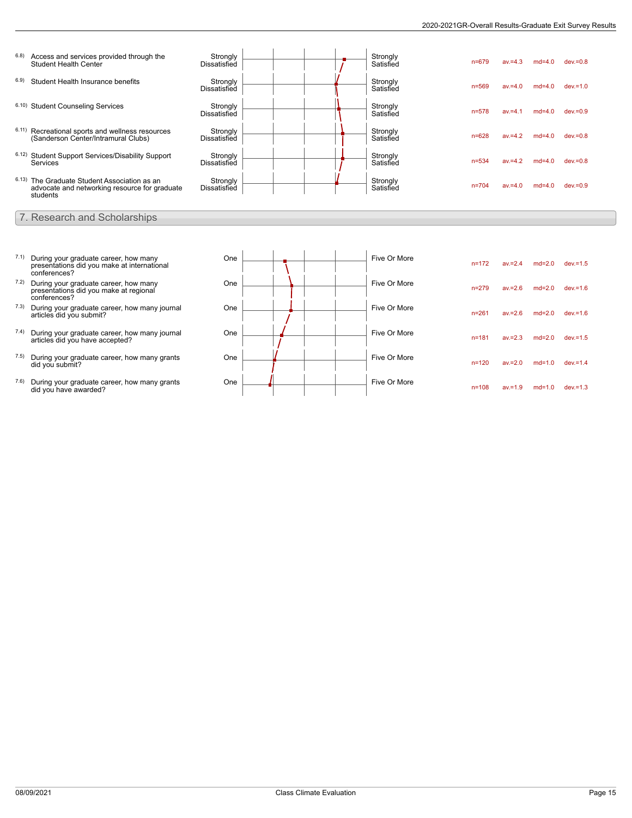| 6.8) | Access and services provided through the<br><b>Student Health Center</b>                                  | Strongly<br><b>Dissatisfied</b> |  | Strongly<br>Satisfied | $n = 679$ | $av = 4.3$ | $md=4.0$ | $dev = 0.8$ |
|------|-----------------------------------------------------------------------------------------------------------|---------------------------------|--|-----------------------|-----------|------------|----------|-------------|
| 6.9) | Student Health Insurance benefits                                                                         | Strongly<br>Dissatisfied        |  | Strongly<br>Satisfied | $n = 569$ | $av = 4.0$ | $md=4.0$ | $dev = 1.0$ |
|      | 6.10) Student Counseling Services                                                                         | Strongly<br>Dissatisfied        |  | Strongly<br>Satisfied | $n = 578$ | $av = 4.1$ | $md=4.0$ | $dev = 0.9$ |
|      | 6.11) Recreational sports and wellness resources<br>(Sanderson Center/Intramural Clubs)                   | Stronaly<br>Dissatisfied        |  | Strongly<br>Satisfied | $n = 628$ | $av = 4.2$ | $md=4.0$ | $dev = 0.8$ |
|      | 6.12) Student Support Services/Disability Support<br><b>Services</b>                                      | Strongly<br>Dissatisfied        |  | Strongly<br>Satisfied | $n = 534$ | $av = 4.2$ | $md=4.0$ | $dev = 0.8$ |
|      | 6.13) The Graduate Student Association as an<br>advocate and networking resource for graduate<br>students | Strongly<br><b>Dissatisfied</b> |  | Strongly<br>Satisfied | $n = 704$ | $av = 4.0$ | $md=4.0$ | $dev = 0.9$ |

- 7. Research and Scholarships
- 7.1) During your graduate career, how many presentations did you make at international conferences?
- 7.2) During your graduate career, how many presentations did you make at regional conferences?
- 7.3) During your graduate career, how many journal articles did you submit?
- 7.4) During your graduate career, how many journal articles did you have accepted?
- 7.5) During your graduate career, how many grants did you submit?
- 7.6) During your graduate career, how many grants did you have awarded?

| One |  | Five Or More | $n = 172$ | $av = 2.4$ | $md=2.0$ | $dev = 1.5$ |
|-----|--|--------------|-----------|------------|----------|-------------|
| One |  | Five Or More | $n = 279$ | $av = 2.6$ | $md=2.0$ | $dev = 1.6$ |
| One |  | Five Or More | $n = 261$ | $av = 2.6$ | $md=2.0$ | $dev = 1.6$ |
| One |  | Five Or More | $n = 181$ | $av = 2.3$ | $md=2.0$ | $dev = 1.5$ |
| One |  | Five Or More | $n = 120$ | $av = 2.0$ | $md=1.0$ | $dev = 1.4$ |
| One |  | Five Or More | $n = 108$ | $av = 1.9$ | $md=1.0$ | $dev = 1.3$ |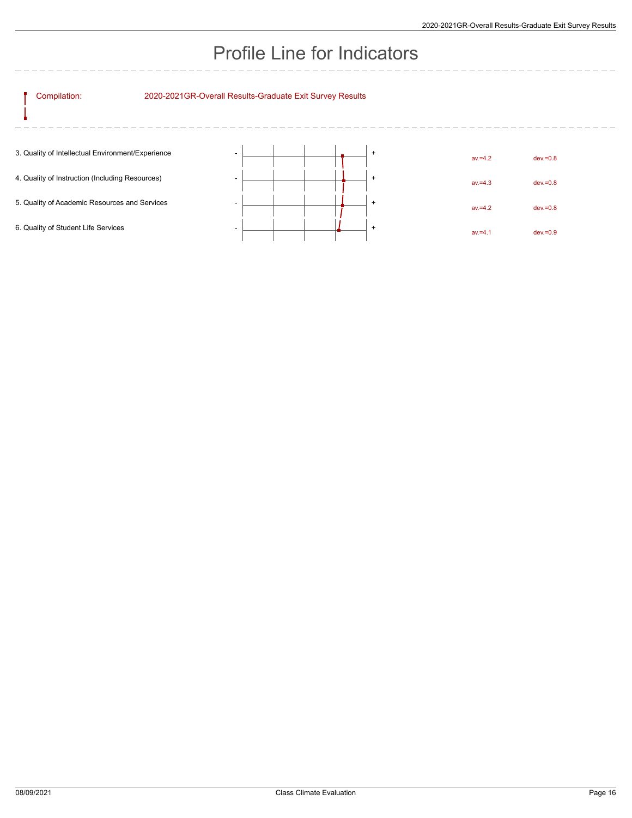# Profile Line for Indicators

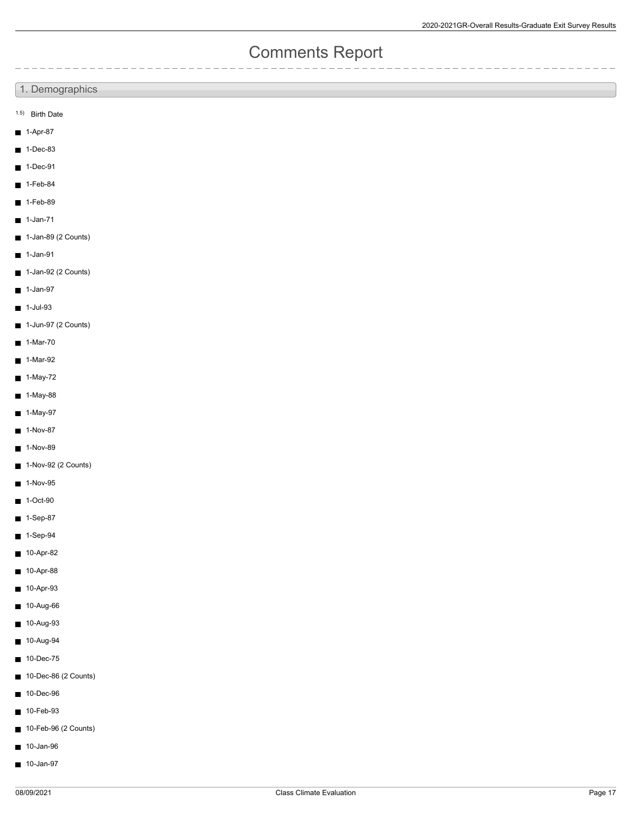## Comments Report

### 1. Demographics

- 1.5) Birth Date
- $1-Apr-87$
- $1$ -Dec-83
- $1$ -Dec-91
- $1-Feb-84$
- $1-Feb-89$
- $\blacksquare$  1-Jan-71
- $\blacksquare$  1-Jan-89 (2 Counts)
- $1$ -Jan-91
- 1-Jan-92 (2 Counts)
- $\blacksquare$  1-Jan-97
- $1$ -Jul-93
- 1-Jun-97 (2 Counts)
- $\blacksquare$  1-Mar-70
- $\blacksquare$ 1-Mar-92
- $1-May-72$
- 1-May-88  $\blacksquare$
- 1-May-97  $\blacksquare$
- $1-Nov-87$
- $\blacksquare$ 1-Nov-89
- 1-Nov-92 (2 Counts)
- $\blacksquare$  1-Nov-95
- $\blacksquare$  1-Oct-90
- $1-$ Sep-87
- $\blacksquare$ 1-Sep-94
- $10-Apr-82$
- 10-Apr-88  $\blacksquare$
- $\blacksquare$ 10-Apr-93
- 10-Aug-66  $\blacksquare$
- $\blacksquare$ 10-Aug-93
- 10-Aug-94
- 10-Dec-75  $\blacksquare$
- 10-Dec-86 (2 Counts)  $\blacksquare$
- 10-Dec-96
- 10-Feb-93  $\blacksquare$
- 10-Feb-96 (2 Counts)
- 10-Jan-96
- $10$ -Jan-97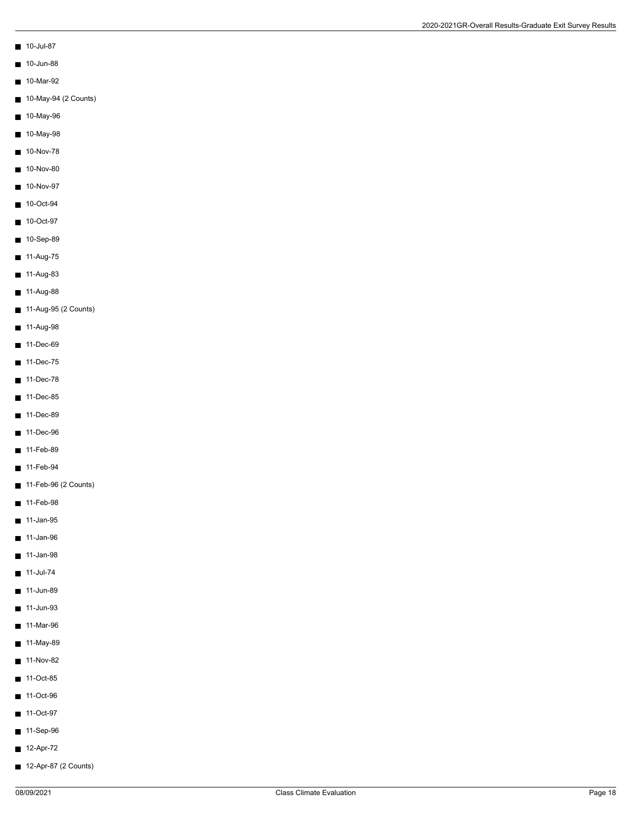- $10$ -Jul-87
- $10$ -Jun-88
- 10-Mar-92
- 10-May-94 (2 Counts)
- 10-May-96
- 10-May-98
- $10-Nov-78$
- $10-Nov-80$
- 
- $10-Nov-97$
- 10-Oct-94
- 10-Oct-97
- 10-Sep-89
- 11-Aug-75
- $11-Aug-83$
- 11-Aug-88
- 11-Aug-95 (2 Counts)
- $11-Aug-98$
- $11-Dec-69$
- 11-Dec-75
- $11$ -Dec-78
- 11-Dec-85
- $11$ -Dec-89
- 11-Dec-96
- 11-Feb-89
- 11-Feb-94
- 11-Feb-96 (2 Counts)
- $11-Feb-98$
- $11$ -Jan-95
- $11$ -Jan-96
- $11$ -Jan-98
- $11$ -Jul-74
- $11$ -Jun-89
- $11$ -Jun-93
- 11-Mar-96
- 11-May-89
- $11-Nov-82$
- 11-Oct-85
- 11-Oct-96
- 11-Oct-97
- 11-Sep-96
- 12-Apr-72
- 12-Apr-87 (2 Counts)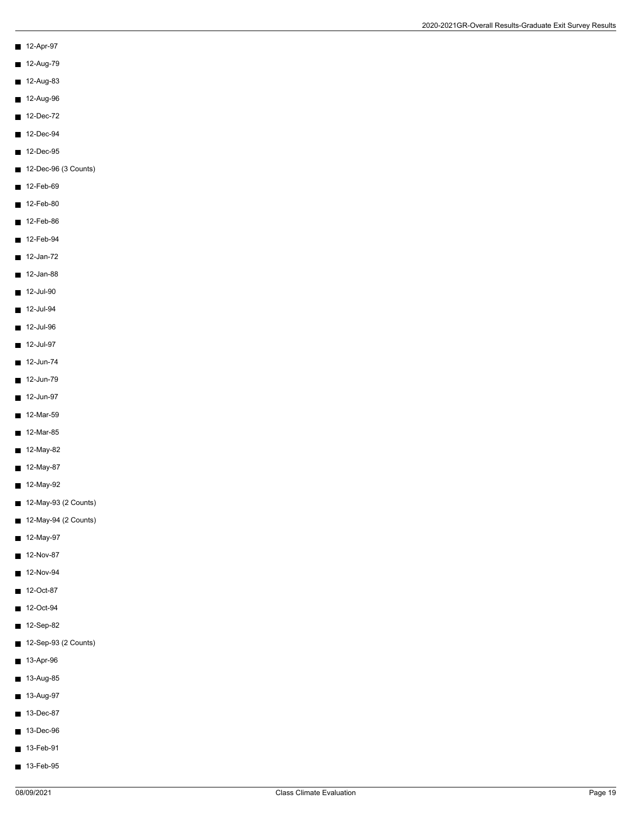- 12-Apr-97
- 12-Aug-79
- $12-Aug-83$
- 12-Aug-96
- $12$ -Dec-72
- 12-Dec-94
- 12-Dec-95
- 12-Dec-96 (3 Counts)
- $12-Feb-69$
- 12-Feb-80
- $12-Feb-86$
- 12-Feb-94
- 12-Jan-72
- $12$ -Jan-88
- $12$ -Jul-90
- $12$ -Jul-94
- $12$ -Jul-96
- $12$ -Jul-97
- $12$ -Jun-74
- $12$ -Jun-79
- 12-Jun-97
- $12-Mar-59$
- 12-Mar-85
- $12-May-82$
- 12-May-87
- $12-May-92$
- 12-May-93 (2 Counts)
- 12-May-94 (2 Counts)
- $12-May-97$
- $12-Nov-87$
- $12-Nov-94$
- $12-Oct-87$
- 12-Oct-94
- 12-Sep-82
- 12-Sep-93 (2 Counts)
- $13-Apr-96$
- 13-Aug-85
- 13-Aug-97
- 13-Dec-87
- 13-Dec-96
- $13-Feb-91$
- $13-Feb-95$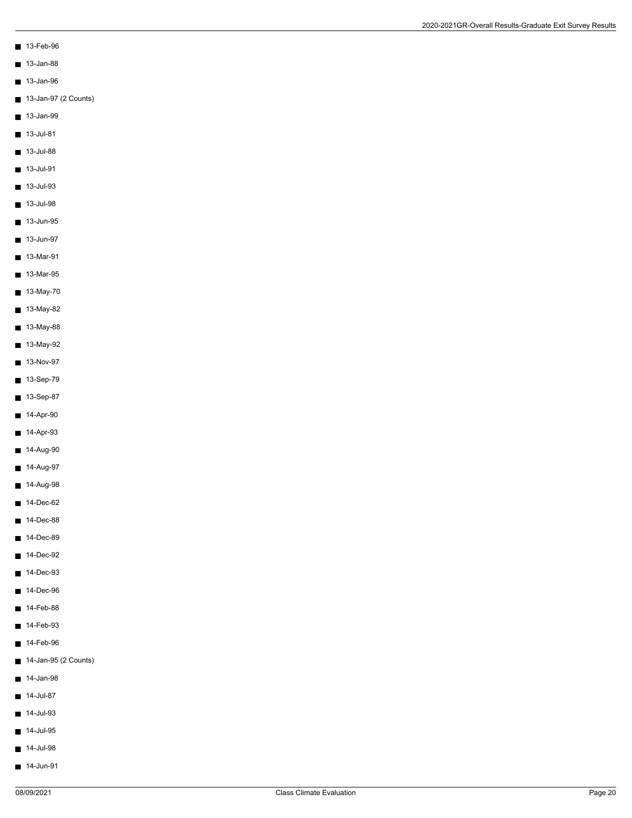- 13-Feb-96
- 13-Jan-88
- 13-Jan-96
- 13-Jan-97 (2 Counts)
- 13-Jan-99
- $13$ -Jul-81
- $13$ -Jul-88
- $13$ -Jul-91
- $13$ -Jul-93
- $13$ -Jul-98
- $13$ -Jun-95
- 13-Jun-97
- 13-Mar-91
- $13-Mar-95$
- 13-May-70
- 13-May-82
- $13-May-88$
- 13-May-92
- $13-Nov-97$
- $13-Sep-79$
- 13-Sep-87
- $14-Apr-90$
- $14-Apr-93$
- $14-Aug-90$
- 14-Aug-97
- $14-Aug-98$
- $14$ -Dec-62
- 14-Dec-88
- $14$ -Dec-89
- 14-Dec-92
- 14-Dec-93
- 14-Dec-96
- $14-Feb-88$
- 14-Feb-93
- 14-Feb-96
- 14-Jan-95 (2 Counts)
- $14$ -Jan-98
- $14$ -Jul-87
- $14$ -Jul-93
- $14$ -Jul-95
- $14$ -Jul-98
- $14$ -Jun-91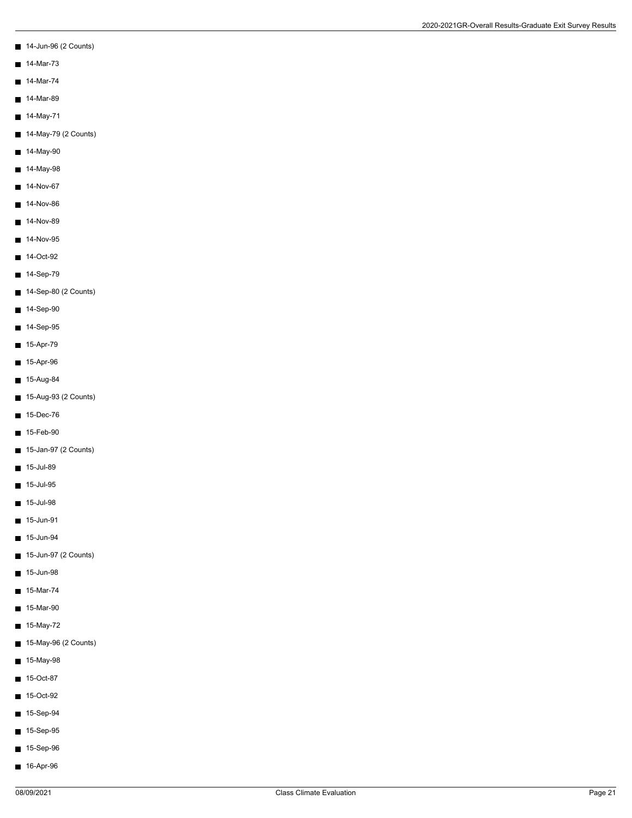- 14-Jun-96 (2 Counts)
- $14-Mar-73$
- $14-Mar-74$
- $14-Mar-89$
- 14-May-71
- 14-May-79 (2 Counts)
- $14-May-90$
- $14$ -May-98
- 14-Nov-67  $\blacksquare$
- 14-Nov-86
- $14-Nov-89$
- $14-Nov-95$
- 14-Oct-92
- $14-Sep-79$
- 14-Sep-80 (2 Counts)
- $14-Sep-90$
- $14-Sep-95$
- $15-Apr-79$
- $15-Apr-96$
- $15-Aug-84$
- 15-Aug-93 (2 Counts)
- 15-Dec-76
- 15-Feb-90
- 15-Jan-97 (2 Counts)
- $15$ -Jul-89
- $15$ -Jul-95
- $\blacksquare$  15-Jul-98
- 15-Jun-91
- $15$ -Jun-94
- 15-Jun-97 (2 Counts)
- 15-Jun-98
- $15-Mar-74$
- 15-Mar-90
- 15-May-72
- 15-May-96 (2 Counts)
- $15$ -May-98
- 15-Oct-87
- 15-Oct-92
- 15-Sep-94
- 15-Sep-95
- 15-Sep-96
- 16-Apr-96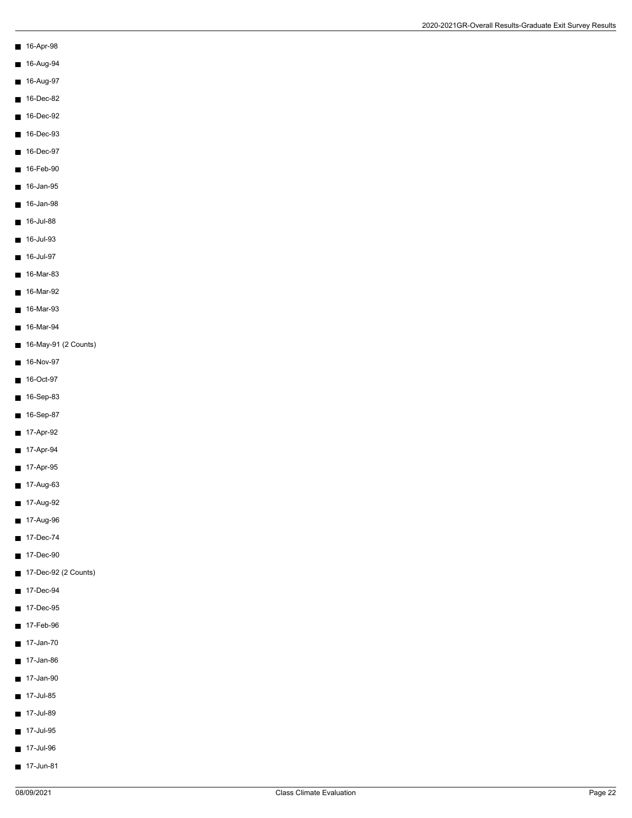- 16-Apr-98
- 16-Aug-94
- 16-Aug-97
- $16$ -Dec-82
- $16$ -Dec-92
- 
- 16-Dec-93
- 16-Dec-97
- $16-Feb-90$
- $16$ -Jan-95
- 16-Jan-98
- $16$ -Jul-88
- 16-Jul-93
- 16-Jul-97
- 16-Mar-83
- 16-Mar-92
- 16-Mar-93
- 16-Mar-94
- 16-May-91 (2 Counts)
- $16-Nov-97$
- 16-Oct-97
- 16-Sep-83
- 16-Sep-87
- 17-Apr-92
- $17-Apr-94$
- 17-Apr-95
- $17-Aug-63$
- 17-Aug-92
- 17-Aug-96
- 17-Dec-74
- 17-Dec-90
- 17-Dec-92 (2 Counts)
- 17-Dec-94
- 17-Dec-95
- 17-Feb-96
- 17-Jan-70
- 17-Jan-86
- 17-Jan-90
- $17$ -Jul-85
- $17$ -Jul-89
- 17-Jul-95
- $17$ -Jul-96
- 
- 17-Jun-81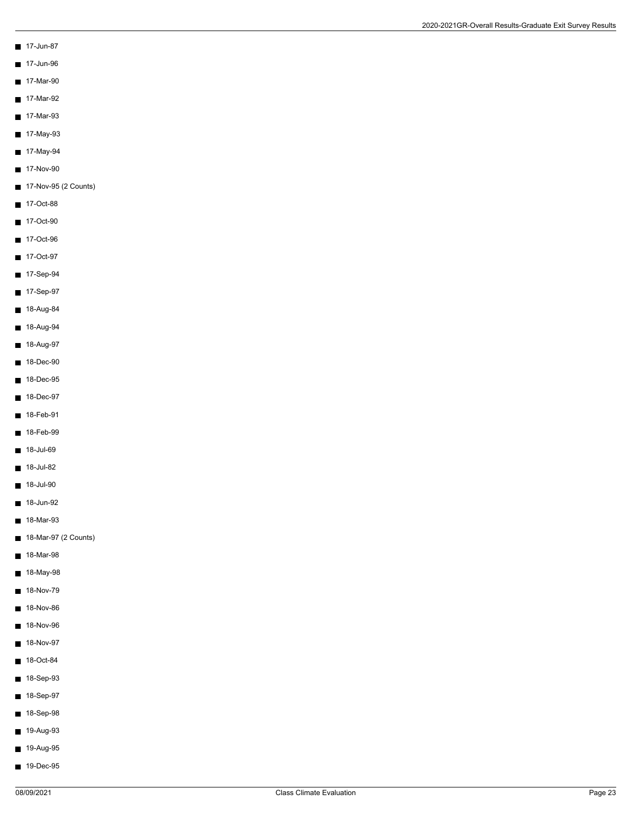- 17-Jun-87
- $17$ -Jun-96
- 17-Mar-90
- $\blacksquare$  17-Mar-92
- 17-Mar-93
- 17-May-93
- 17-May-94
- 
- $17-Nov-90$
- 17-Nov-95 (2 Counts)
- 17-Oct-88
- 17-Oct-90
- 17-Oct-96
- 17-Oct-97
- 17-Sep-94
- 17-Sep-97
- 18-Aug-84
- $18-Aug-94$
- 18-Aug-97
- 18-Dec-90
- 18-Dec-95
- 18-Dec-97
- 18-Feb-91
- $18-Feb-99$
- $18$ -Jul-69
- 18-Jul-82
- $18$ -Jul-90
- $18$ -Jun-92
- 18-Mar-93
- 18-Mar-97 (2 Counts)
- 18-Mar-98
- 18-May-98
- 18-Nov-79  $\blacksquare$
- 18-Nov-86
- 18-Nov-96
- 18-Nov-97
- 18-Oct-84
- 18-Sep-93
- 18-Sep-97
- 18-Sep-98
- 19-Aug-93
- 19-Aug-95
- 19-Dec-95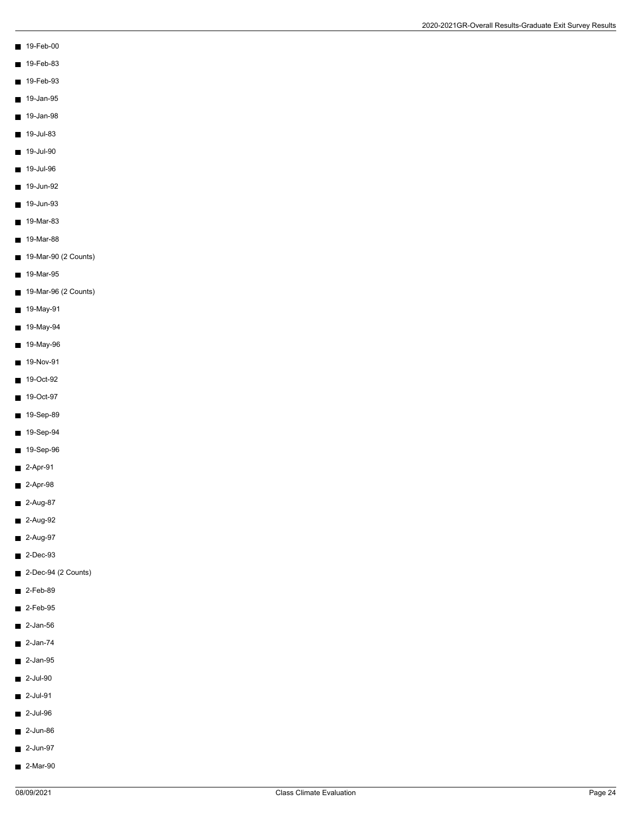- 19-Feb-00
- $19-Feb-83$
- 19-Feb-93
- 
- $19$ -Jan-95
- 19-Jan-98
- 
- $19$ -Jul-83
- 
- $19$ -Jul-90
- $19$ -Jul-96
- 
- $19$ -Jun-92
- 19-Jun-93
- $19-Mar-83$
- 19-Mar-88
- 19-Mar-90 (2 Counts)
- 19-Mar-95
- 19-Mar-96 (2 Counts)
- 19-May-91
- 19-May-94  $\blacksquare$
- 19-May-96
- $19-Nov-91$
- 19-Oct-92
- 19-Oct-97
- 19-Sep-89
- 19-Sep-94
- 19-Sep-96
- 2-Apr-91
- $2-Apr-98$
- $2-Aug-87$
- 2-Aug-92
- $2-Aug-97$
- $\blacksquare$  2-Dec-93
- 2-Dec-94 (2 Counts)
- $2-Feb-89$
- $2-Feb-95$
- $2$ -Jan-56
- $2$ -Jan-74
- $\blacksquare$  2-Jan-95
- $\blacksquare$  2-Jul-90
- $2$ -Jul-91
- $2$ -Jul-96
- $\blacksquare$  2-Jun-86
- 2-Jun-97
- 2-Mar-90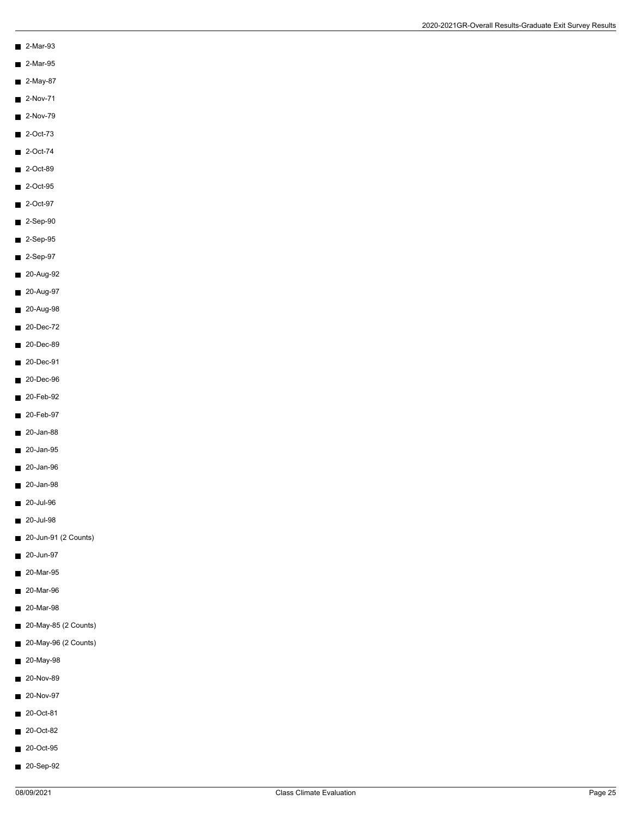- 2-Mar-93
- 2-Mar-95
- 2-May-87
- $\blacksquare$  2-Nov-71
- $2-Nov-79$
- $\blacksquare$  2-Oct-73
- 
- $2$ -Oct-74
- 2-Oct-89
- 2-Oct-95
- 2-Oct-97
- $\blacksquare$  2-Sep-90
- 2-Sep-95
- 2-Sep-97
- 20-Aug-92
- 20-Aug-97
- 20-Aug-98
- 20-Dec-72
- 20-Dec-89
- 20-Dec-91
- 20-Dec-96
- 20-Feb-92
- 20-Feb-97
- 20-Jan-88
- 20-Jan-95
- 20-Jan-96
- 20-Jan-98
- 20-Jul-96
- 20-Jul-98
- 20-Jun-91 (2 Counts)
- 20-Jun-97
- 20-Mar-95
- 20-Mar-96
- 20-Mar-98
- 20-May-85 (2 Counts)
- 20-May-96 (2 Counts)
- 20-May-98
- 20-Nov-89
- 20-Nov-97
- 20-Oct-81
- 20-Oct-82
- 20-Oct-95
- 
- 20-Sep-92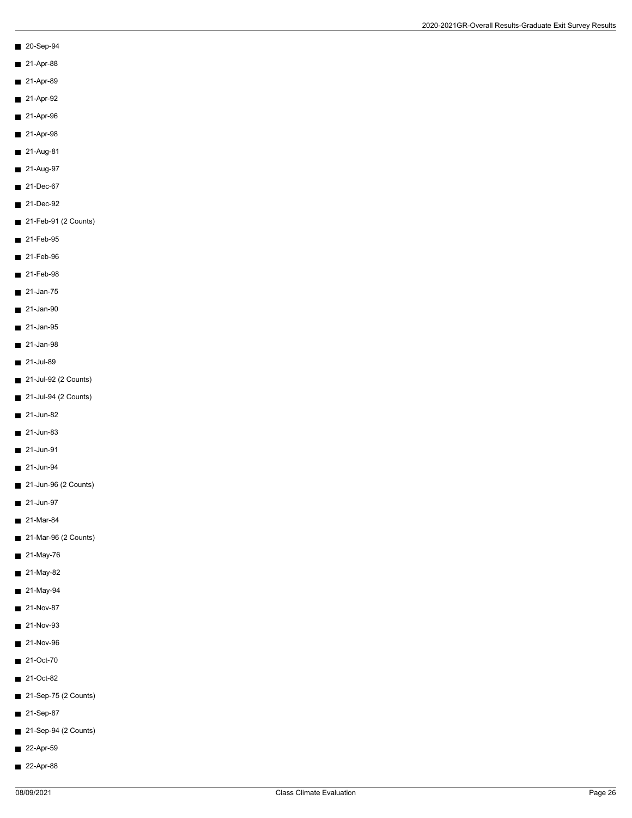- 20-Sep-94
- 21-Apr-88
- 21-Apr-89
- $21-Apr-92$
- $21-Apr-96$
- 21-Apr-98
- 21-Aug-81
- 21-Aug-97
- $21-Dec-67$
- 21-Dec-92
- 21-Feb-91 (2 Counts)
- 21-Feb-95
- 21-Feb-96
- 21-Feb-98
- $\blacksquare$  21-Jan-75
- 21-Jan-90
- 21-Jan-95
- $\blacksquare$  21-Jan-98
- 21-Jul-89
- 21-Jul-92 (2 Counts)
- 21-Jul-94 (2 Counts)
- 21-Jun-82
- 21-Jun-83
- 21-Jun-91
- 21-Jun-94
- 21-Jun-96 (2 Counts)
- 21-Jun-97
- 21-Mar-84
- 21-Mar-96 (2 Counts)
- 21-May-76
- 21-May-82
- 21-May-94
- 21-Nov-87
- 21-Nov-93
- 21-Nov-96
- 21-Oct-70
- 21-Oct-82
- 21-Sep-75 (2 Counts)
- 21-Sep-87
- 21-Sep-94 (2 Counts)
- 22-Apr-59
- 22-Apr-88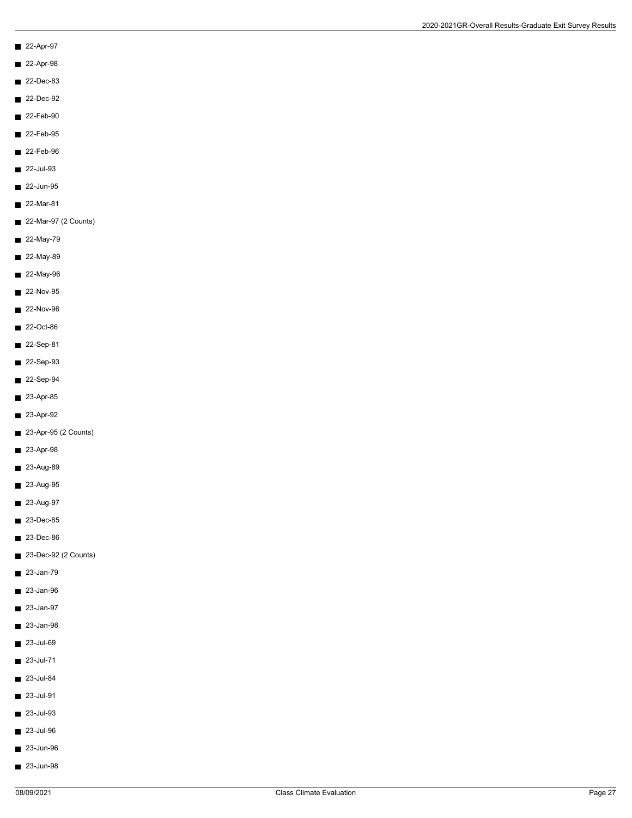- 22-Apr-97
- 22-Apr-98
- 22-Dec-83
- 22-Dec-92
- 22-Feb-90
- 22-Feb-95
- 
- 22-Feb-96
- 22-Jul-93
- $22$ -Jun-95
- 22-Mar-81
- 22-Mar-97 (2 Counts)
- 22-May-79
- 22-May-89
- 22-May-96
- 22-Nov-95
- 22-Nov-96
- 22-Oct-86
- 22-Sep-81
- 22-Sep-93
- 22-Sep-94
- 23-Apr-85
- 23-Apr-92
- 23-Apr-95 (2 Counts)
- 23-Apr-98
- 23-Aug-89
- 23-Aug-95
- 23-Aug-97
- 23-Dec-85
- 23-Dec-86
- 23-Dec-92 (2 Counts)
- 23-Jan-79
- 23-Jan-96
- 23-Jan-97
- 23-Jan-98
- 23-Jul-69
- $23$ -Jul-71
- 23-Jul-84
- 23-Jul-91
- $23$ -Jul-93
- 23-Jul-96
- 23-Jun-96
- 23-Jun-98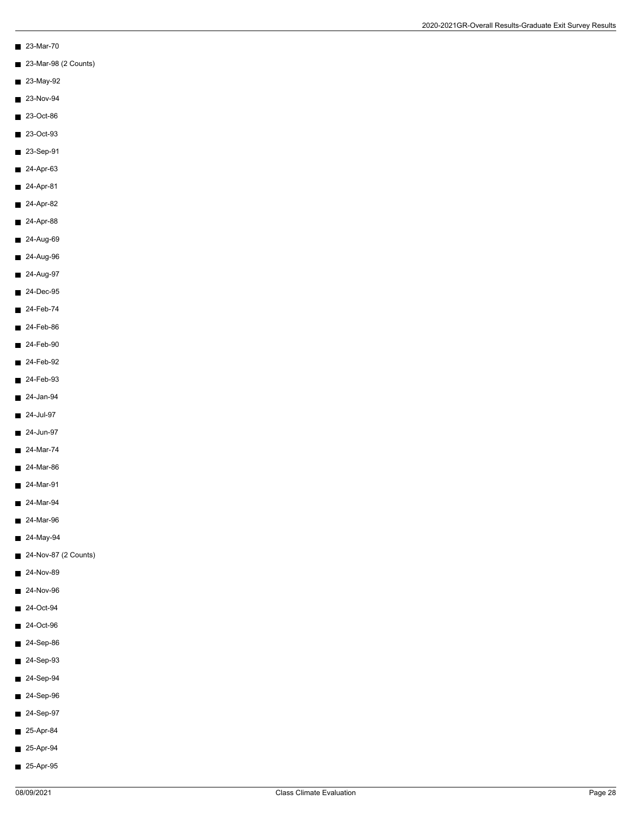- 23-Mar-70
- 23-Mar-98 (2 Counts)
- 23-May-92
- $\blacksquare$  23-Nov-94
- 23-Oct-86
- 23-Oct-93
- 23-Sep-91
- $24-Apr-63$
- 24-Apr-81
- 24-Apr-82
- $24-Apr-88$
- 24-Aug-69
- 24-Aug-96
- 24-Aug-97
- 24-Dec-95
- 24-Feb-74
- $24-Feb-86$
- $24-Feb-90$
- 24-Feb-92
- $24-Feb-93$
- 24-Jan-94
- 24-Jul-97
- $24$ -Jun-97
- 24-Mar-74
- 24-Mar-86
- 24-Mar-91
- $\blacksquare$  24-Mar-94
- 24-Mar-96
- 24-May-94
- 24-Nov-87 (2 Counts)
- 24-Nov-89
- $24-Nov-96$
- 24-Oct-94
- 24-Oct-96
- 24-Sep-86
- $24-Sep-93$
- 24-Sep-94
- 24-Sep-96
- 24-Sep-97
- 25-Apr-84
- 25-Apr-94
- 25-Apr-95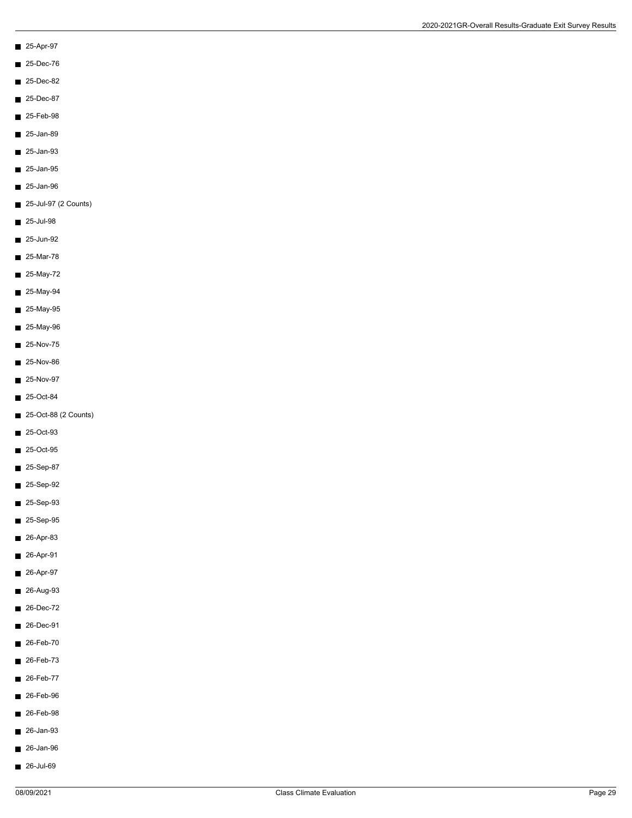- 25-Apr-97
- 25-Dec-76
- 25-Dec-82
- 25-Dec-87
- 25-Feb-98
- 
- $25$ -Jan-89
- 25-Jan-93
- $25$ -Jan-95
- $\blacksquare$  25-Jan-96
- 25-Jul-97 (2 Counts)
- $25$ -Jul-98
- 25-Jun-92
- 25-Mar-78
- $25-May-72$
- 25-May-94
- 25-May-95
- 25-May-96
- $25-Nov-75$
- 25-Nov-86
- $25-Nov-97$
- 25-Oct-84
- 25-Oct-88 (2 Counts)
- 25-Oct-93
- 25-Oct-95
- 25-Sep-87
- 25-Sep-92
- $25-Sep-93$
- 25-Sep-95
- $26-Apr-83$
- 26-Apr-91
- 26-Apr-97
- 26-Aug-93
- 26-Dec-72
- 26-Dec-91
- 26-Feb-70
- 26-Feb-73
- 26-Feb-77
- 26-Feb-96
- 26-Feb-98
- 26-Jan-93
- 26-Jan-96
- 26-Jul-69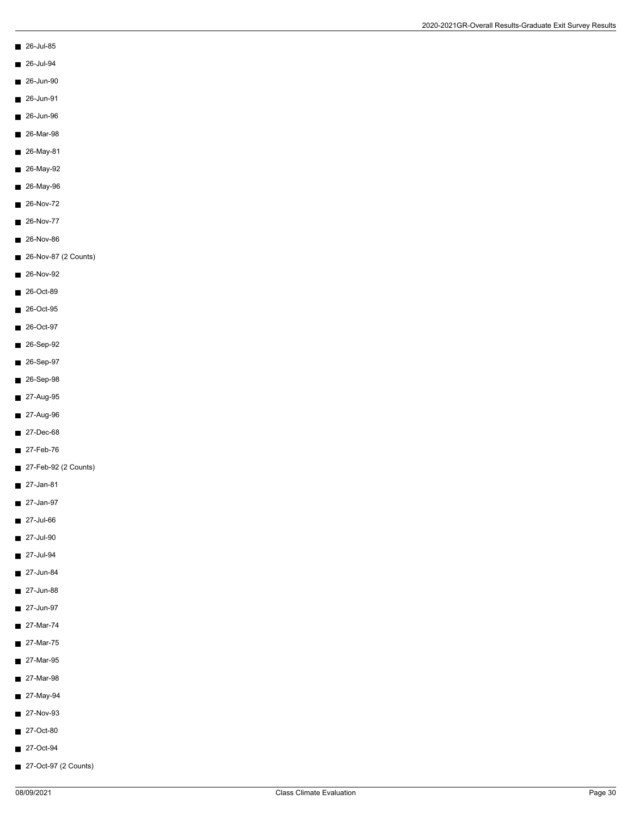- 26-Jul-85
- 26-Jul-94
- 26-Jun-90
- 26-Jun-91
- 26-Jun-96
- 26-Mar-98
- 
- 26-May-81
- 26-May-92
- 26-May-96
- 26-Nov-72
- 26-Nov-77
- 26-Nov-86
- 26-Nov-87 (2 Counts)
- 26-Nov-92
- 26-Oct-89
- 26-Oct-95
- 26-Oct-97
- 26-Sep-92
- 26-Sep-97
- 26-Sep-98
- 27-Aug-95
- 27-Aug-96
- 27-Dec-68
- 27-Feb-76
- 27-Feb-92 (2 Counts)
- 27-Jan-81
- $\blacksquare$  27-Jan-97
- 27-Jul-66
- $\blacksquare$  27-Jul-90
- 27-Jul-94
- 27-Jun-84
- 27-Jun-88
- 27-Jun-97
- 27-Mar-74
- 27-Mar-75
- 27-Mar-95
- 27-Mar-98
- 27-May-94
- 27-Nov-93
- 27-Oct-80
- 27-Oct-94
- 27-Oct-97 (2 Counts)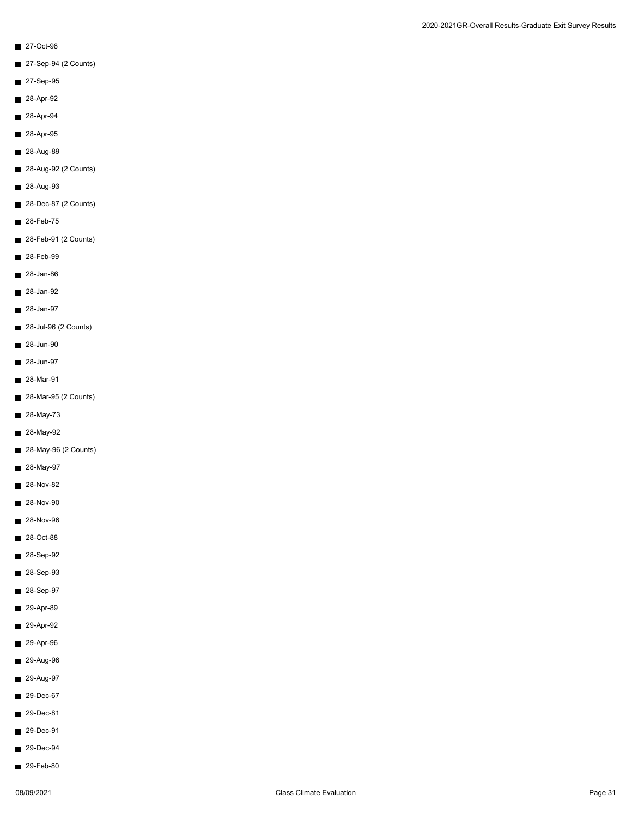- 27-Oct-98
- 27-Sep-94 (2 Counts)
- 27-Sep-95
- 28-Apr-92
- 28-Apr-94
- 28-Apr-95
- 28-Aug-89
- 28-Aug-92 (2 Counts)
- 28-Aug-93
- 28-Dec-87 (2 Counts)
- 28-Feb-75
- 28-Feb-91 (2 Counts)
- 28-Feb-99
- 28-Jan-86
- 28-Jan-92
- 28-Jan-97
- 28-Jul-96 (2 Counts)
- 28-Jun-90
- 28-Jun-97
- 28-Mar-91
- 28-Mar-95 (2 Counts)
- 28-May-73
- 28-May-92
- 28-May-96 (2 Counts)
- 28-May-97
- 28-Nov-82
- 28-Nov-90
- 28-Nov-96
- 28-Oct-88
- 28-Sep-92
- 28-Sep-93
- 28-Sep-97
- 29-Apr-89
- 29-Apr-92
- 29-Apr-96
- 29-Aug-96
- 29-Aug-97
- 29-Dec-67
- 29-Dec-81
- 29-Dec-91
- 29-Dec-94
- 29-Feb-80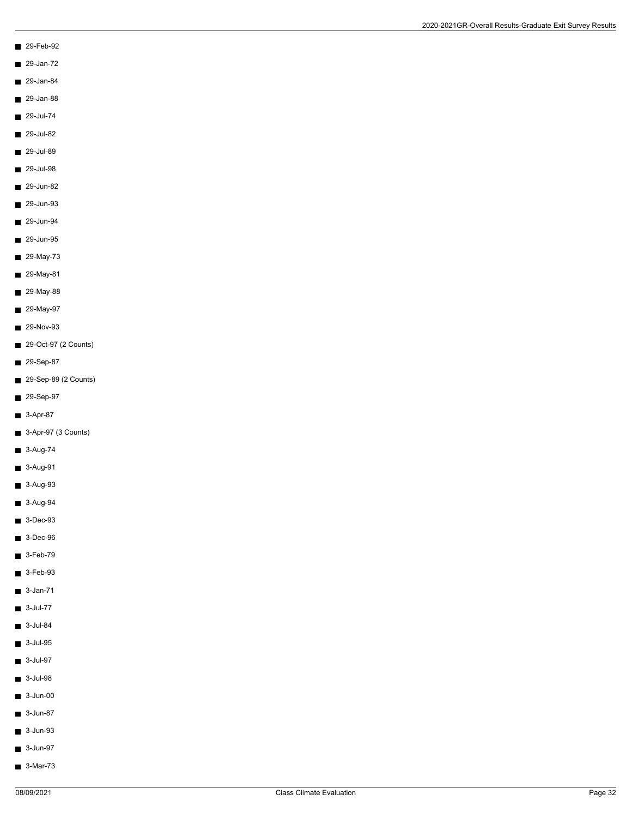- 29-Feb-92
- 29-Jan-72
- 29-Jan-84
- 29-Jan-88
- $29$ -Jul-74
- 
- 29-Jul-82
- 29-Jul-89
- 29-Jul-98
- $29$ -Jun-82
- 29-Jun-93
- 29-Jun-94
- 29-Jun-95
- 29-May-73
- 29-May-81
- 29-May-88
- 29-May-97
- 29-Nov-93
- 29-Oct-97 (2 Counts)
- 29-Sep-87
- 29-Sep-89 (2 Counts)
- 29-Sep-97
- 3-Apr-87
- 3-Apr-97 (3 Counts)
- 3-Aug-74
- 3-Aug-91
- 3-Aug-93
- 3-Aug-94
- 3-Dec-93
- 3-Dec-96
- $\blacksquare$  3-Feb-79
- 3-Feb-93
- $3$ -Jan-71
- 3-Jul-77
- 3-Jul-84
- 3-Jul-95
- 3-Jul-97
- 3-Jul-98
- $\blacksquare$  3-Jun-00
- 3-Jun-87
- 3-Jun-93
- 3-Jun-97
- 3-Mar-73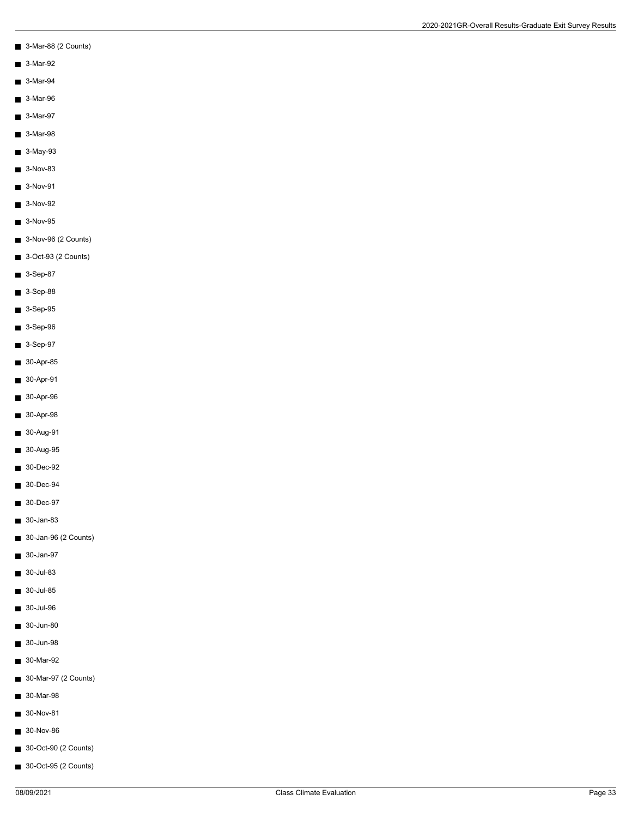- 3-Mar-88 (2 Counts)
- 3-Mar-92
- 3-Mar-94
- 3-Mar-96
- 3-Mar-97
- 3-Mar-98
- 
- 3-May-93
- 3-Nov-83
- $\blacksquare$  3-Nov-91
- 3-Nov-92
- $3-Nov-95$
- 3-Nov-96 (2 Counts)
- 3-Oct-93 (2 Counts)
- $3-Sep-87$
- 3-Sep-88
- 3-Sep-95
- 3-Sep-96
- 3-Sep-97
- 30-Apr-85
- 30-Apr-91
- 30-Apr-96
- 30-Apr-98
- 30-Aug-91
- 30-Aug-95
- 30-Dec-92
- 30-Dec-94
- 30-Dec-97
- 30-Jan-83
- 30-Jan-96 (2 Counts)
- 30-Jan-97
- 30-Jul-83
- 30-Jul-85
- 30-Jul-96
- 30-Jun-80
- 30-Jun-98
- 30-Mar-92
- 30-Mar-97 (2 Counts)
- 30-Mar-98
- 30-Nov-81
- 30-Nov-86
- 30-Oct-90 (2 Counts)
- 30-Oct-95 (2 Counts)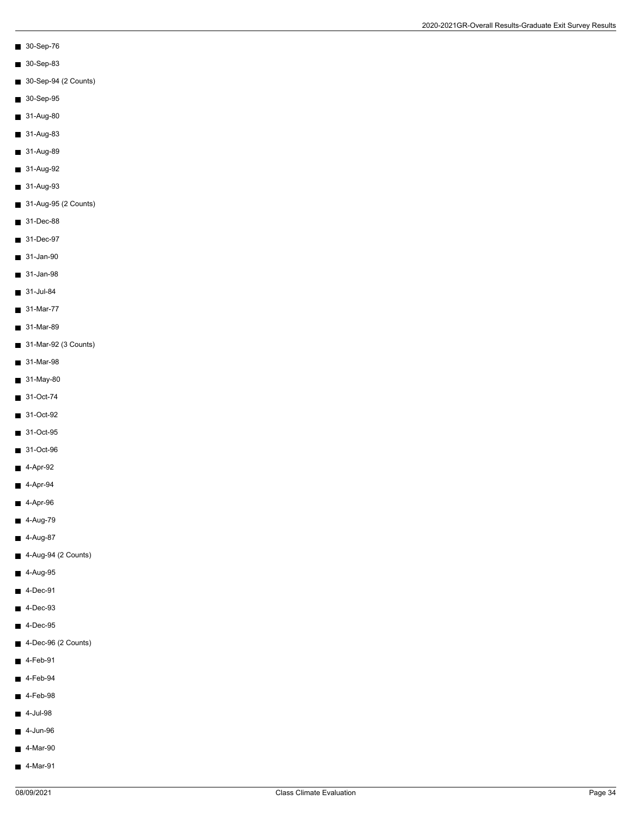- 30-Sep-76
- 30-Sep-83
- 30-Sep-94 (2 Counts)
- 30-Sep-95
- 31-Aug-80
- 31-Aug-83
- 31-Aug-89
- 31-Aug-92
- 31-Aug-93
- 31-Aug-95 (2 Counts)
- 31-Dec-88
- 31-Dec-97
- 31-Jan-90
- 31-Jan-98
- 31-Jul-84
- 31-Mar-77
- 31-Mar-89
- 31-Mar-92 (3 Counts)
- 31-Mar-98
- 31-May-80
- 31-Oct-74
- 31-Oct-92
- 31-Oct-95
- 31-Oct-96
- 4-Apr-92
- $4-Apr-94$
- $4-Apr-96$
- $\blacksquare$  4-Aug-79
- 4-Aug-87
- 4-Aug-94 (2 Counts)
- 4-Aug-95
- $4$ -Dec-91
- 4-Dec-93
- 4-Dec-95
- 4-Dec-96 (2 Counts)
- $4-Feb-91$
- $4-Feb-94$
- $4-Feb-98$
- $\blacksquare$  4-Jul-98
- $\blacksquare$  4-Jun-96
- $4-Mar-90$
- 4-Mar-91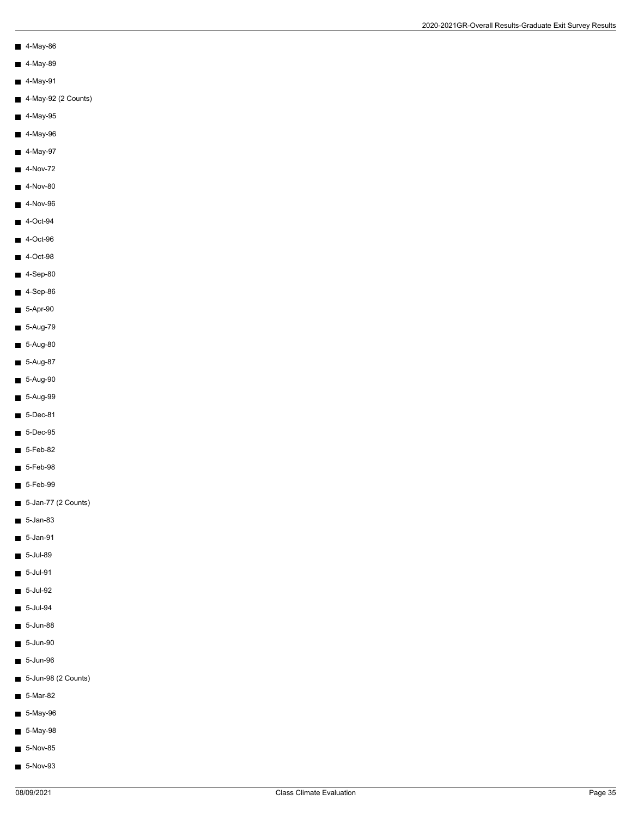- 4-May-86
- 4-May-89
- $\blacksquare$  4-May-91
- 4-May-92 (2 Counts)
- $\blacksquare$  4-May-95
- 4-May-96
- 4-May-97
- $4-Nov-72$
- $4-Nov-80$
- 4-Nov-96
- $4$ -Oct-94
- 4-Oct-96
- 4-Oct-98
- $4-Sep-80$
- 4-Sep-86
- 5-Apr-90
- $5-Aug-79$
- 5-Aug-80
- 5-Aug-87
- 5-Aug-90
- 5-Aug-99
- 5-Dec-81
- 5-Dec-95
- $5-Feb-82$
- 5-Feb-98
- $5-Feb-99$
- 5-Jan-77 (2 Counts)
- 5-Jan-83
- $\blacksquare$  5-Jan-91
- $5$ -Jul-89
- 5-Jul-91
- 5-Jul-92
- 5-Jul-94
- 5-Jun-88
- 5-Jun-90
- $\blacksquare$  5-Jun-96
- 5-Jun-98 (2 Counts)
- $5-Mar-82$
- 5-May-96
- 5-May-98
- 5-Nov-85
- 5-Nov-93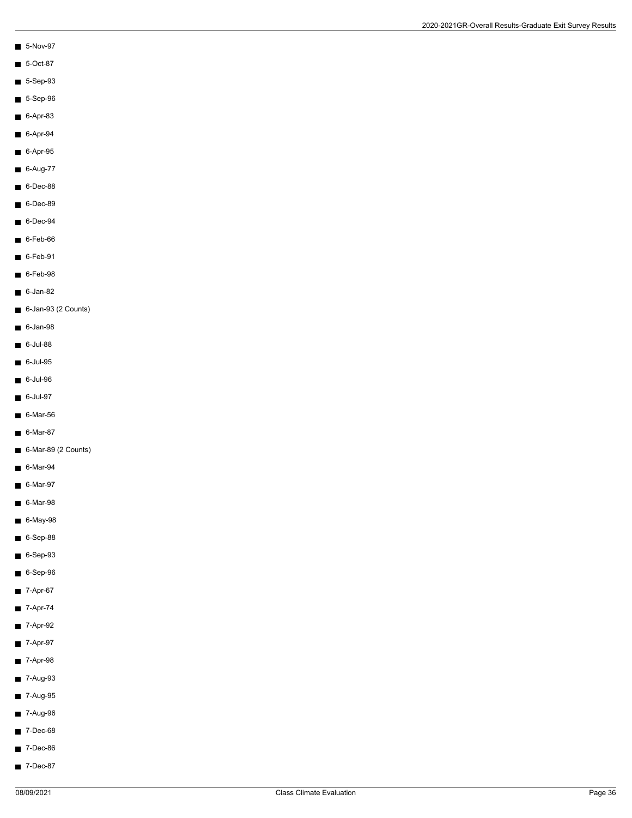- $\blacksquare$  5-Nov-97
- 5-Oct-87
- $\blacksquare$  5-Sep-93
- $5-$ Sep-96
- 6-Apr-83
- $6 Apr-94$
- 
- $6-$ Apr-95
- 6-Aug-77
- $\blacksquare$  6-Dec-88
- 6-Dec-89
- $6$ -Dec-94
- 6-Feb-66
- 6-Feb-91
- 6-Feb-98
- $6$ -Jan-82
- 6-Jan-93 (2 Counts)
- $6$ -Jan-98
- $6$ -Jul-88
- $6$ -Jul-95
- 6-Jul-96
- 6-Jul-97
- 6-Mar-56
- 6-Mar-87
- 6-Mar-89 (2 Counts)
- 6-Mar-94
- 6-Mar-97
- 6-Mar-98
- 6-May-98
- $6-$ Sep-88
- 6-Sep-93
- 6-Sep-96
- $7-Apr-67$
- 7-Apr-74
- 7-Apr-92
- 7-Apr-97
- 7-Apr-98
- 7-Aug-93
- 7-Aug-95
- 7-Aug-96
- 7-Dec-68
- 7-Dec-86
- 7-Dec-87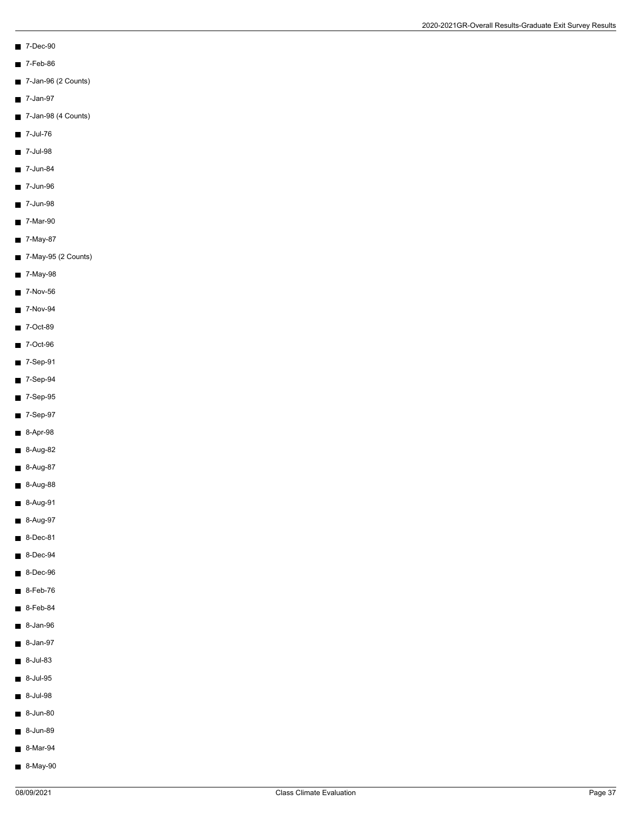- 7-Dec-90
- 7-Feb-86
- 7-Jan-96 (2 Counts)
- 7-Jan-97
- 7-Jan-98 (4 Counts)
- 7-Jul-76
- 7-Jul-98
- $\blacksquare$  7-Jun-84
- 
- $\blacksquare$  7-Jun-96
- 7-Jun-98
- 7-Mar-90
- 7-May-87
- 7-May-95 (2 Counts)
- 7-May-98
- $\blacksquare$  7-Nov-56
- 7-Nov-94
- 7-Oct-89
- 7-Oct-96
- 7-Sep-91
- 7-Sep-94
- 7-Sep-95
- 7-Sep-97
- 8-Apr-98
- 8-Aug-82
- 8-Aug-87
- 8-Aug-88
- 8-Aug-91
- 8-Aug-97
- $\blacksquare$  8-Dec-81
- 8-Dec-94
- 8-Dec-96
- $8-Feb-76$
- $8-Feb-84$
- 8-Jan-96
- 8-Jan-97
- 8-Jul-83
- 8-Jul-95
- 8-Jul-98
- 8-Jun-80
- 8-Jun-89
- 8-Mar-94
- 8-May-90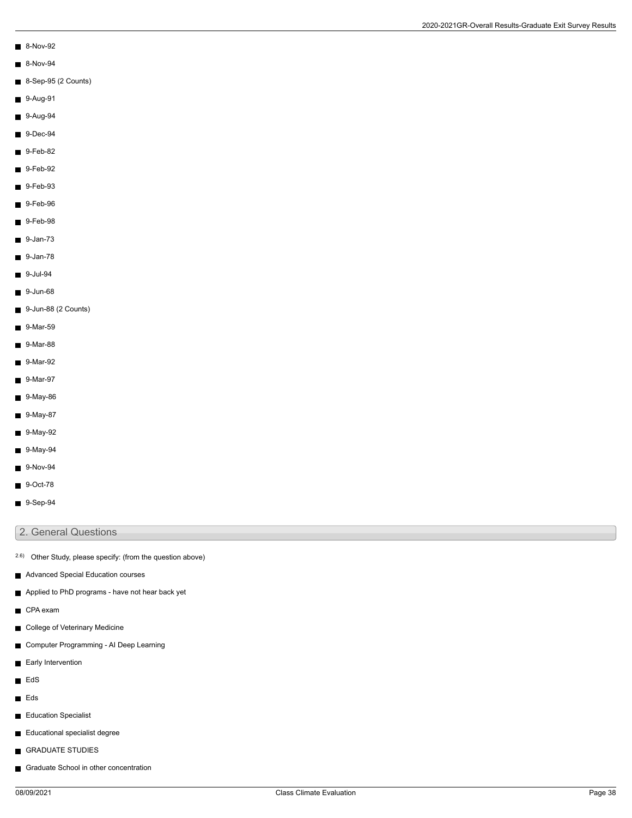- 8-Nov-92
- 8-Nov-94
- 8-Sep-95 (2 Counts)
- 9-Aug-91
- 9-Aug-94
- 9-Dec-94
- 9-Feb-82
- 9-Feb-92
- $9-Feb-93$
- 9-Feb-96
- $9-Feb-98$
- 9-Jan-73
- 9-Jan-78
- 9-Jul-94
- 9-Jun-68
- 9-Jun-88 (2 Counts)
- 9-Mar-59
- 9-Mar-88
- 9-Mar-92
- 9-Mar-97
- 9-May-86
- 9-May-87
- 9-May-92
- 9-May-94
- $\blacksquare$  9-Nov-94
- 9-Oct-78
- $9-Sep-94$

## 2. General Questions

- 2.6) Other Study, please specify: (from the question above)
- Advanced Special Education courses
- Applied to PhD programs have not hear back yet
- CPA exam
- College of Veterinary Medicine
- Computer Programming AI Deep Learning
- Early Intervention
- **EdS**
- **Eds**
- Education Specialist
- Educational specialist degree
- GRADUATE STUDIES
- Graduate School in other concentration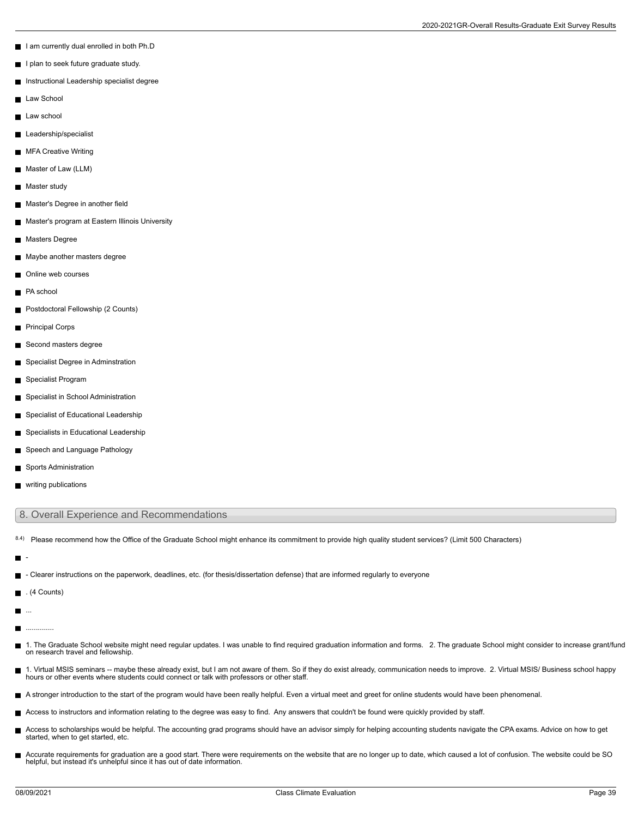- I am currently dual enrolled in both Ph.D
- I plan to seek future graduate study.
- Instructional Leadership specialist degree
- Law School
- Law school
- **Leadership/specialist**
- **MFA Creative Writing**
- Master of Law (LLM)
- Master study  $\blacksquare$
- Master's Degree in another field
- Master's program at Eastern Illinois University
- Masters Degree
- Maybe another masters degree
- Online web courses
- PA school
- **Postdoctoral Fellowship (2 Counts)**
- **Principal Corps**
- Second masters degree
- Specialist Degree in Adminstration
- Specialist Program
- Specialist in School Administration
- Specialist of Educational Leadership
- Specialists in Educational Leadership
- Speech and Language Pathology
- Sports Administration
- writing publications

## 8. Overall Experience and Recommendations

8.4) Please recommend how the Office of the Graduate School might enhance its commitment to provide high quality student services? (Limit 500 Characters)

- г
- Clearer instructions on the paperwork, deadlines, etc. (for thesis/dissertation defense) that are informed regularly to everyone
- $\blacksquare$ . (4 Counts)
- $\blacksquare$ ...
- $\blacksquare$ ..............
- Н 1. The Graduate School website might need regular updates. I was unable to find required graduation information and forms. 2. The graduate School might consider to increase grant/fund on research travel and fellowship.
- 1. Virtual MSIS seminars -- maybe these already exist, but I am not aware of them. So if they do exist already, communication needs to improve. 2. Virtual MSIS/ Business school happy<br>hours or other events where students co
- A stronger introduction to the start of the program would have been really helpful. Even a virtual meet and greet for online students would have been phenomenal.
- Access to instructors and information relating to the degree was easy to find. Any answers that couldn't be found were quickly provided by staff.
- Access to scholarships would be helpful. The accounting grad programs should have an advisor simply for helping accounting students navigate the CPA exams. Advice on how to get started, when to get started, etc.
- Accurate requirements for graduation are a good start. There were requirements on the website that are no longer up to date, which caused a lot of confusion. The website could be SO helpful, but instead it's unhelpful since it has out of date information.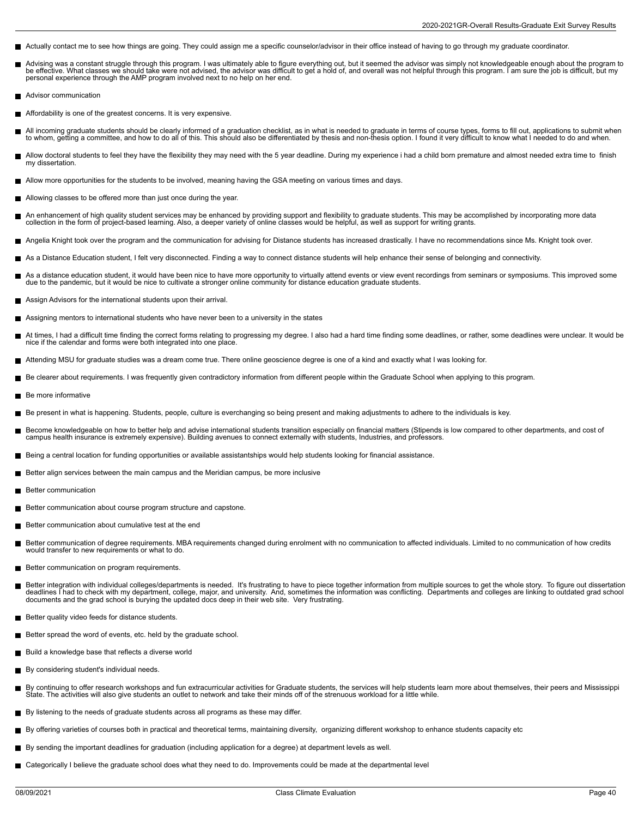- Actually contact me to see how things are going. They could assign me a specific counselor/advisor in their office instead of having to go through my graduate coordinator.
- Advising was a constant struggle through this program. I was ultimately able to figure everything out, but it seemed the advisor was simply not knowledgeable enough about the program to be effective. What classes we should take were not advised, the advisor was difficult to get a hold of, and overall was not helpful through this program. I am sure the job is difficult, but my personal experience through the AMP program involved next to no help on her end.
- Advisor communication
- Affordability is one of the greatest concerns. It is very expensive.
- All incoming graduate students should be clearly informed of a graduation checklist, as in what is needed to graduate in terms of course types, forms to fill out, applications to submit when<br>to whom, getting a committee, a
- Allow doctoral students to feel they have the flexibility they may need with the 5 year deadline. During my experience i had a child born premature and almost needed extra time to finish П my dissertation.
- Allow more opportunities for the students to be involved, meaning having the GSA meeting on various times and days.
- Allowing classes to be offered more than just once during the year.
- An enhancement of high quality student services may be enhanced by providing support and flexibility to graduate students. This may be accomplished by incorporating more data г collection in the form of project-based learning. Also, a deeper variety of online classes would be helpful, as well as support for writing grants.
- Angelia Knight took over the program and the communication for advising for Distance students has increased drastically. I have no recommendations since Ms. Knight took over.
- As a Distance Education student, I felt very disconnected. Finding a way to connect distance students will help enhance their sense of belonging and connectivity.
- As a distance education student, it would have been nice to have more opportunity to virtually attend events or view event recordings from seminars or symposiums. This improved some due to the pandemic, but it would be nice to cultivate a stronger online community for distance education graduate students.
- Assign Advisors for the international students upon their arrival.
- Assigning mentors to international students who have never been to a university in the states
- At times, I had a difficult time finding the correct forms relating to progressing my degree. I also had a hard time finding some deadlines, or rather, some deadlines were unclear. It would be nice if the calendar and forms were both integrated into one place.
- Attending MSU for graduate studies was a dream come true. There online geoscience degree is one of a kind and exactly what I was looking for.
- Be clearer about requirements. I was frequently given contradictory information from different people within the Graduate School when applying to this program.
- Be more informative
- Be present in what is happening. Students, people, culture is everchanging so being present and making adjustments to adhere to the individuals is key.
- Become knowledgeable on how to better help and advise international students transition especially on financial matters (Stipends is low compared to other departments, and cost of campus health insurance is extremely expensive). Building avenues to connect externally with students, Industries, and professors.
- Being a central location for funding opportunities or available assistantships would help students looking for financial assistance.
- Better align services between the main campus and the Meridian campus, be more inclusive ш
- Better communication
- Better communication about course program structure and capstone.
- Better communication about cumulative test at the end
- Better communication of degree requirements. MBA requirements changed during enrolment with no communication to affected individuals. Limited to no communication of how credits  $\blacksquare$ would transfer to new requirements or what to do.
- Better communication on program requirements.
- Better integration with individual colleges/departments is needed. It's frustrating to have to piece together information from multiple sources to get the whole story. To figure out dissertation<br>deadlines I had to check
- Better quality video feeds for distance students.
- Better spread the word of events, etc. held by the graduate school.
- Build a knowledge base that reflects a diverse world
- By considering student's individual needs.
- By continuing to offer research workshops and fun extracurricular activities for Graduate students, the services will help students learn more about themselves, their peers and Mississippi П State. The activities will also give students an outlet to network and take their minds off of the strenuous workload for a little while.
- By listening to the needs of graduate students across all programs as these may differ.
- By offering varieties of courses both in practical and theoretical terms, maintaining diversity, organizing different workshop to enhance students capacity etc
- By sending the important deadlines for graduation (including application for a degree) at department levels as well.
- Categorically I believe the graduate school does what they need to do. Improvements could be made at the departmental level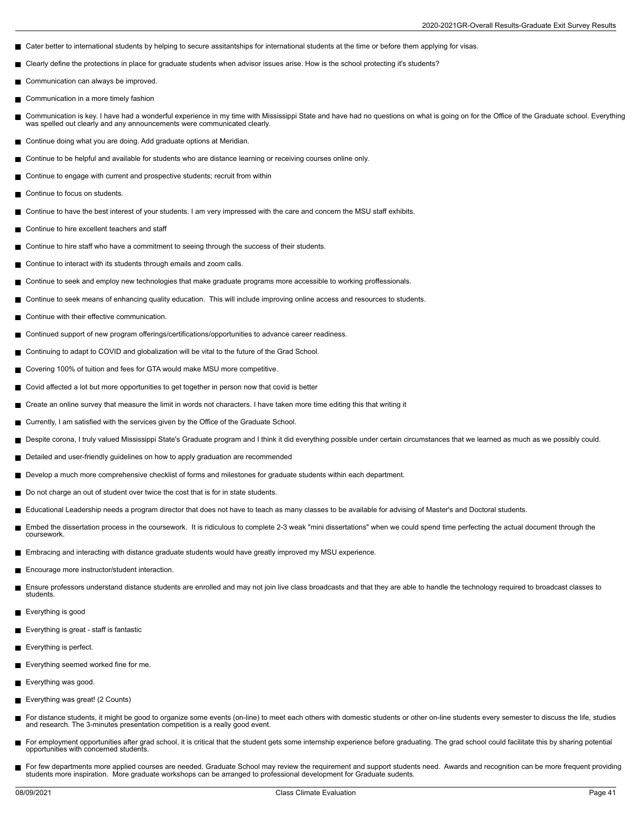- Cater better to international students by helping to secure assitantships for international students at the time or before them applying for visas.
- Clearly define the protections in place for graduate students when advisor issues arise. How is the school protecting it's students?  $\blacksquare$
- Communication can always be improved.
- $\blacksquare$ Communication in a more timely fashion
- Communication is key. I have had a wonderful experience in my time with Mississippi State and have had no questions on what is going on for the Office of the Graduate school. Everything was spelled out clearly and any announcements were communicated clearly.
- Continue doing what you are doing. Add graduate options at Meridian.
- Continue to be helpful and available for students who are distance learning or receiving courses online only.
- Continue to engage with current and prospective students; recruit from within
- Continue to focus on students. П
- Continue to have the best interest of your students. I am very impressed with the care and concern the MSU staff exhibits.
- Continue to hire excellent teachers and staff П
- Continue to hire staff who have a commitment to seeing through the success of their students.
- Continue to interact with its students through emails and zoom calls.
- Continue to seek and employ new technologies that make graduate programs more accessible to working proffessionals.
- Continue to seek means of enhancing quality education. This will include improving online access and resources to students.
- Continue with their effective communication. П
- Continued support of new program offerings/certifications/opportunities to advance career readiness.
- Continuing to adapt to COVID and globalization will be vital to the future of the Grad School.  $\blacksquare$
- $\blacksquare$ Covering 100% of tuition and fees for GTA would make MSU more competitive.
- Covid affected a lot but more opportunities to get together in person now that covid is better
- Create an online survey that measure the limit in words not characters. I have taken more time editing this that writing it
- Currently, I am satisfied with the services given by the Office of the Graduate School.
- Despite corona, I truly valued Mississippi State's Graduate program and I think it did everything possible under certain circumstances that we learned as much as we possibly could.
- Detailed and user-friendly guidelines on how to apply graduation are recommended
- Develop a much more comprehensive checklist of forms and milestones for graduate students within each department.
- Do not charge an out of student over twice the cost that is for in state students.
- Educational Leadership needs a program director that does not have to teach as many classes to be available for advising of Master's and Doctoral students.
- Embed the dissertation process in the coursework. It is ridiculous to complete 2-3 weak "mini dissertations" when we could spend time perfecting the actual document through the m, coursework.
- Embracing and interacting with distance graduate students would have greatly improved my MSU experience.
- **Encourage more instructor/student interaction.**
- Ensure professors understand distance students are enrolled and may not join live class broadcasts and that they are able to handle the technology required to broadcast classes to  $\blacksquare$ students.
- Everything is good
- **Everything is great staff is fantastic**
- Everything is perfect.
- Everything seemed worked fine for me.
- Everything was good.
- Everything was great! (2 Counts)
- For distance students, it might be good to organize some events (on-line) to meet each others with domestic students or other on-line students every semester to discuss the life, studies П and research. The 3-minutes presentation competition is a really good event.
- For employment opportunities after grad school, it is critical that the student gets some internship experience before graduating. The grad school could facilitate this by sharing potential  $\blacksquare$ opportunities with concerned students.
- For few departments more applied courses are needed. Graduate School may review the requirement and support students need. Awards and recognition can be more frequent providing students more inspiration. More graduate workshops can be arranged to professional development for Graduate sudents.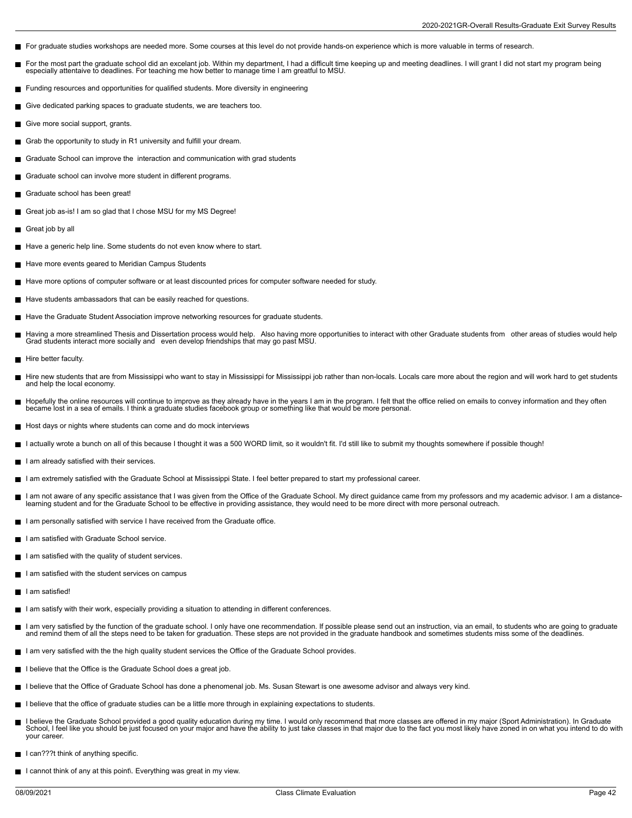- For graduate studies workshops are needed more. Some courses at this level do not provide hands-on experience which is more valuable in terms of research.
- For the most part the graduate school did an excelant job. Within my department, I had a difficult time keeping up and meeting deadlines. I will grant I did not start my program being П especially attentaive to deadlines. For teaching me how better to manage time I am greatful to MSU.
- Funding resources and opportunities for qualified students. More diversity in engineering
- Give dedicated parking spaces to graduate students, we are teachers too.
- Give more social support, grants.
- Grab the opportunity to study in R1 university and fulfill your dream.
- Graduate School can improve the interaction and communication with grad students
- Graduate school can involve more student in different programs.
- Graduate school has been great! П
- Great job as-is! I am so glad that I chose MSU for my MS Degree!
- Great job by all П
- Have a generic help line. Some students do not even know where to start.
- Have more events geared to Meridian Campus Students
- Have more options of computer software or at least discounted prices for computer software needed for study.
- Have students ambassadors that can be easily reached for questions.
- Have the Graduate Student Association improve networking resources for graduate students.
- Having a more streamlined Thesis and Dissertation process would help. Also having more opportunities to interact with other Graduate students from other areas of studies would help<br>Grad students interact more socially and
- Hire better faculty.
- Hire new students that are from Mississippi who want to stay in Mississippi for Mississippi job rather than non-locals. Locals care more about the region and will work hard to get students П and help the local economy.
- Hopefully the online resources will continue to improve as they already have in the years I am in the program. I felt that the office relied on emails to convey information and they often became lost in a sea of emails. I think a graduate studies facebook group or something like that would be more personal.
- Host days or nights where students can come and do mock interviews
- I actually wrote a bunch on all of this because I thought it was a 500 WORD limit, so it wouldn't fit. I'd still like to submit my thoughts somewhere if possible though!
- $\blacksquare$  I am already satisfied with their services.
- I am extremely satisfied with the Graduate School at Mississippi State. I feel better prepared to start my professional career.
- I am not aware of any specific assistance that I was given from the Office of the Graduate School. My direct guidance came from my professors and my academic advisor. I am a distance-<br>learning student and for the Graduate
- I am personally satisfied with service I have received from the Graduate office.
- I am satisfied with Graduate School service.
- I am satisfied with the quality of student services.
- $\blacksquare$  I am satisfied with the student services on campus
- I am satisfied!
- I am satisfy with their work, especially providing a situation to attending in different conferences.
- I am very satisfied by the function of the graduate school. I only have one recommendation. If possible please send out an instruction, via an email, to students who are going to graduate<br>and remind them of all the steps n
- I am very satisfied with the the high quality student services the Office of the Graduate School provides.
- I believe that the Office is the Graduate School does a great job.
- I believe that the Office of Graduate School has done a phenomenal job. Ms. Susan Stewart is one awesome advisor and always very kind.
- I believe that the office of graduate studies can be a little more through in explaining expectations to students.
- I believe the Graduate School provided a good quality education during my time. I would only recommend that more classes are offered in my major (Sport Administration). In Graduate<br>School, I feel like you should be just fo your career.
- I can???t think of anything specific.
- I cannot think of any at this point\. Everything was great in my view.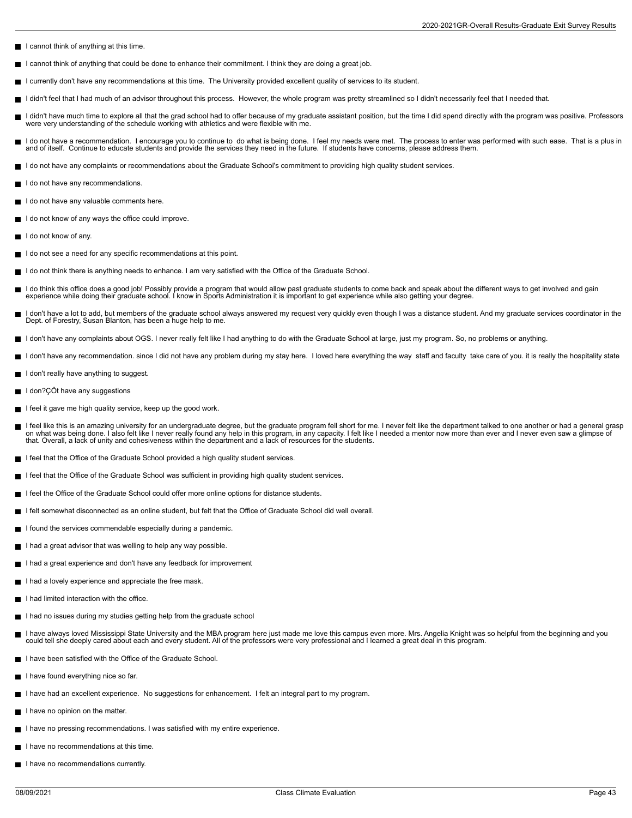- I cannot think of anything at this time.
- I cannot think of anything that could be done to enhance their commitment. I think they are doing a great job.
- I currently don't have any recommendations at this time. The University provided excellent quality of services to its student.
- I didn't feel that I had much of an advisor throughout this process. However, the whole program was pretty streamlined so I didn't necessarily feel that I needed that.
- I didn't have much time to explore all that the grad school had to offer because of my graduate assistant position, but the time I did spend directly with the program was positive. Professors were very understanding of the schedule working with athletics and were flexible with me.
- I do not have a recommendation. I encourage you to continue to do what is being done. I feel my needs were met. The process to enter was performed with such ease. That is a plus in and of itself. Continue to educate students and provide the services they need in the future. If students have concerns, please address them.
- I do not have any complaints or recommendations about the Graduate School's commitment to providing high quality student services.
- I do not have any recommendations.
- I do not have any valuable comments here.
- I do not know of any ways the office could improve.
- $\blacksquare$  I do not know of any.
- I do not see a need for any specific recommendations at this point.
- I do not think there is anything needs to enhance. I am very satisfied with the Office of the Graduate School.
- I do think this office does a good job! Possibly provide a program that would allow past graduate students to come back and speak about the different ways to get involved and gain<br>experience while doing their graduate scho
- I don't have a lot to add, but members of the graduate school always answered my request very quickly even though I was a distance student. And my graduate services coordinator in the Dept. of Forestry, Susan Blanton, has been a huge help to me.
- I don't have any complaints about OGS. I never really felt like I had anything to do with the Graduate School at large, just my program. So, no problems or anything.
- I don't have any recommendation. since I did not have any problem during my stay here. I loved here everything the way staff and faculty take care of you. it is really the hospitality state
- I don't really have anything to suggest.
- I don?ÇÖt have any suggestions
- I feel it gave me high quality service, keep up the good work.
- I feel like this is an amazing university for an undergraduate degree, but the graduate program fell short for me. I never felt like the department talked to one another or had a general grasp on what was being done. I also felt like I never really found any help in this program, in any capacity. I felt like I needed a mentor now more than ever and I never even saw a glimpse of that. Overall, a lack of unity and cohesiveness within the department and a lack of resources for the students.
- I feel that the Office of the Graduate School provided a high quality student services.
- I feel that the Office of the Graduate School was sufficient in providing high quality student services.
- I feel the Office of the Graduate School could offer more online options for distance students.
- I felt somewhat disconnected as an online student, but felt that the Office of Graduate School did well overall
- I found the services commendable especially during a pandemic.
- I had a great advisor that was welling to help any way possible.
- I had a great experience and don't have any feedback for improvement
- I had a lovely experience and appreciate the free mask.
- $\blacksquare$  I had limited interaction with the office.
- I had no issues during my studies getting help from the graduate school
- I have always loved Mississippi State University and the MBA program here just made me love this campus even more. Mrs. Angelia Knight was so helpful from the beginning and you could tell she deeply cared about each and every student. All of the professors were very professional and I learned a great deal in this program.
- I have been satisfied with the Office of the Graduate School.
- I have found everything nice so far.
- I have had an excellent experience. No suggestions for enhancement. I felt an integral part to my program.
- I have no opinion on the matter.
- I have no pressing recommendations. I was satisfied with my entire experience.
- I have no recommendations at this time.
- I have no recommendations currently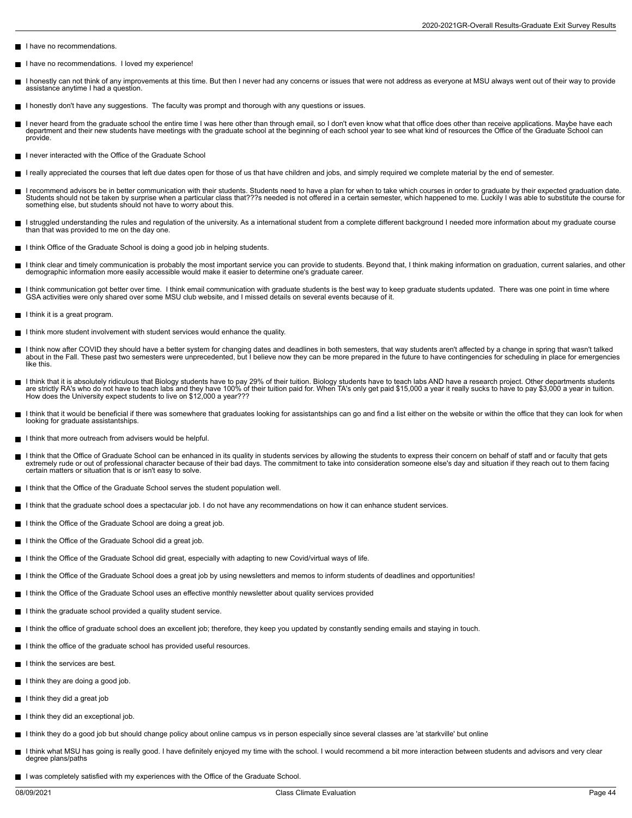- I have no recommendations.
- I have no recommendations. I loved my experience! П
- I honestly can not think of any improvements at this time. But then I never had any concerns or issues that were not address as everyone at MSU always went out of their way to provide assistance anytime I had a question.
- I honestly don't have any suggestions. The faculty was prompt and thorough with any questions or issues.
- I never heard from the graduate school the entire time I was here other than through email, so I don't even know what that office does other than receive applications. Maybe have each department and their new students have meetings with the graduate school at the beginning of each school year to see what kind of resources the Office of the Graduate School can provide.
- I never interacted with the Office of the Graduate School
- I really appreciated the courses that left due dates open for those of us that have children and jobs, and simply required we complete material by the end of semester.
- I recommend advisors be in better communication with their students. Students need to have a plan for when to take which courses in order to graduate by their expected graduation date. Students should not be taken by surprise when a particular class that???s needed is not offered in a certain semester, which happened to me. Luckily I was able to substitute the course for something else, but students should not have to worry about this.
- I struggled understanding the rules and regulation of the university. As a international student from a complete different background I needed more information about my graduate course than that was provided to me on the day one.
- I think Office of the Graduate School is doing a good job in helping students.
- I think clear and timely communication is probably the most important service you can provide to students. Beyond that, I think making information on graduation, current salaries, and other  $\blacksquare$ demographic information more easily accessible would make it easier to determine one's graduate career.
- I think communication got better over time. I think email communication with graduate students is the best way to keep graduate students updated. There was one point in time where GSA activities were only shared over some MSU club website, and I missed details on several events because of it.
- I think it is a great program.
- $\blacksquare$  I think more student involvement with student services would enhance the quality.
- П I think now after COVID they should have a better system for changing dates and deadlines in both semesters, that way students aren't affected by a change in spring that wasn't talked<br>about in the Fall. These past two seme like this.
- I think that it is absolutely ridiculous that Biology students have to pay 29% of their tuition. Biology students have to teach labs AND have a research project. Other departments students<br>are strictly RA's who do not have How does the University expect students to live on \$12,000 a year???
- I think that it would be beneficial if there was somewhere that graduates looking for assistantships can go and find a list either on the website or within the office that they can look for when looking for graduate assistantships.
- I think that more outreach from advisers would be helpful.
- I think that the Office of Graduate School can be enhanced in its quality in students services by allowing the students to express their concern on behalf of staff and or faculty that gets  $\blacksquare$ extremely rude or out of professional character because of their bad days. The commitment to take into consideration someone else's day and situation if they reach out to them facing certain matters or situation that is or isn't easy to solve.
- I think that the Office of the Graduate School serves the student population well.  $\blacksquare$
- I think that the graduate school does a spectacular job. I do not have any recommendations on how it can enhance student services.
- I think the Office of the Graduate School are doing a great job.
- I think the Office of the Graduate School did a great job.
- I think the Office of the Graduate School did great, especially with adapting to new Covid/virtual ways of life.
- I think the Office of the Graduate School does a great job by using newsletters and memos to inform students of deadlines and opportunities!
- I think the Office of the Graduate School uses an effective monthly newsletter about quality services provided
- I think the graduate school provided a quality student service.
- I think the office of graduate school does an excellent job; therefore, they keep you updated by constantly sending emails and staying in touch.
- I think the office of the graduate school has provided useful resources.
- I think the services are best.
- I think they are doing a good job.
- I think they did a great job
- I think they did an exceptional job.
- I think they do a good job but should change policy about online campus vs in person especially since several classes are 'at starkville' but online
- I think what MSU has going is really good. I have definitely enjoyed my time with the school. I would recommend a bit more interaction between students and advisors and very clear  $\blacksquare$ degree plans/paths
- I was completely satisfied with my experiences with the Office of the Graduate School.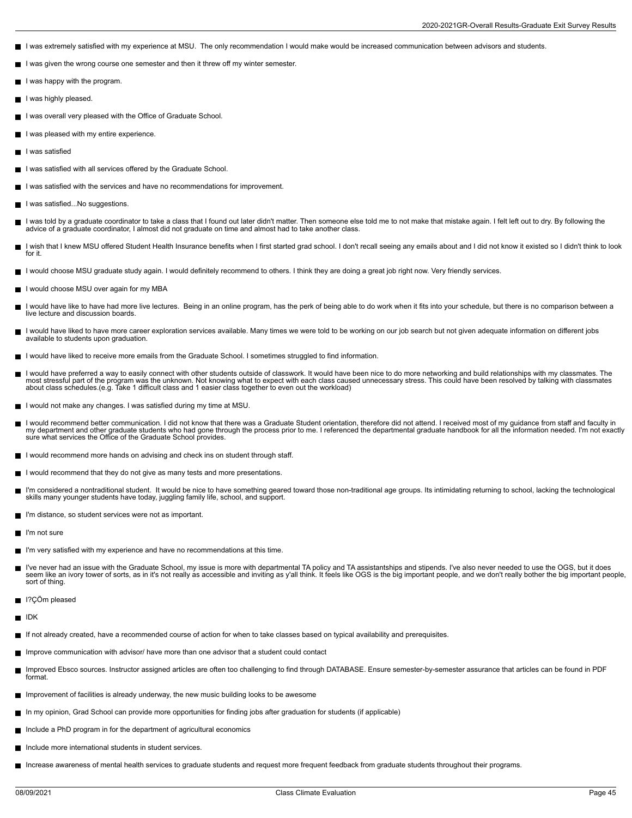- I was extremely satisfied with my experience at MSU. The only recommendation I would make would be increased communication between advisors and students.
- I was given the wrong course one semester and then it threw off my winter semester.
- I was happy with the program.
- I was highly pleased.
- I was overall very pleased with the Office of Graduate School.
- I was pleased with my entire experience.
- I was satisfied
- I was satisfied with all services offered by the Graduate School.
- I was satisfied with the services and have no recommendations for improvement.
- I was satisfied...No suggestions.
- I was told by a graduate coordinator to take a class that I found out later didn't matter. Then someone else told me to not make that mistake again. I felt left out to dry. By following the advice of a graduate coordinator, I almost did not graduate on time and almost had to take another class.
- I wish that I knew MSU offered Student Health Insurance benefits when I first started grad school. I don't recall seeing any emails about and I did not know it existed so I didn't think to look  $\blacksquare$ for it.
- I would choose MSU graduate study again. I would definitely recommend to others. I think they are doing a great job right now. Very friendly services.
- I would choose MSU over again for my MBA
- I would have like to have had more live lectures. Being in an online program, has the perk of being able to do work when it fits into your schedule, but there is no comparison between a E live lecture and discussion boards.
- п I would have liked to have more career exploration services available. Many times we were told to be working on our job search but not given adequate information on different jobs available to students upon graduation.
- I would have liked to receive more emails from the Graduate School. I sometimes struggled to find information.
- I would have preferred a way to easily connect with other students outside of classwork. It would have been nice to do more networking and build relationships with my classmates. The most stressful part of the program was the unknown. Not knowing what to expect with each class caused unnecessary stress. This could have been resolved by talking with classmates<br>about class schedules.(e.g. Take 1 difficul
- I would not make any changes. I was satisfied during my time at MSU.
- I would recommend better communication. I did not know that there was a Graduate Student orientation, therefore did not attend. I received most of my quidance from staff and faculty in  $\blacksquare$ my department and other graduate students who had gone through the process prior to me. I referenced the departmental graduate handbook for all the information needed. I'm not exactly sure what services the Office of the Graduate School provides.
- I would recommend more hands on advising and check ins on student through staff.
- I would recommend that they do not give as many tests and more presentations. П
- I'm considered a nontraditional student. It would be nice to have something geared toward those non-traditional age groups. Its intimidating returning to school, lacking the technological skills many younger students have today, juggling family life, school, and support.
- I'm distance, so student services were not as important.
- I'm not sure
- I'm very satisfied with my experience and have no recommendations at this time.
- I've never had an issue with the Graduate School, my issue is more with departmental TA policy and TA assistantships and stipends. I've also never needed to use the OGS, but it does<br>seem like an ivory tower of sorts, as in sort of thing.
- I?CÖm pleased
- $\blacksquare$  IDK
- If not already created, have a recommended course of action for when to take classes based on typical availability and prerequisites.
- Improve communication with advisor/ have more than one advisor that a student could contact
- Improved Ebsco sources. Instructor assigned articles are often too challenging to find through DATABASE. Ensure semester-by-semester assurance that articles can be found in PDF format.
- Improvement of facilities is already underway, the new music building looks to be awesome
- In my opinion, Grad School can provide more opportunities for finding jobs after graduation for students (if applicable)
- $\blacksquare$  Include a PhD program in for the department of agricultural economics
- Include more international students in student services.
- Increase awareness of mental health services to graduate students and request more frequent feedback from graduate students throughout their programs.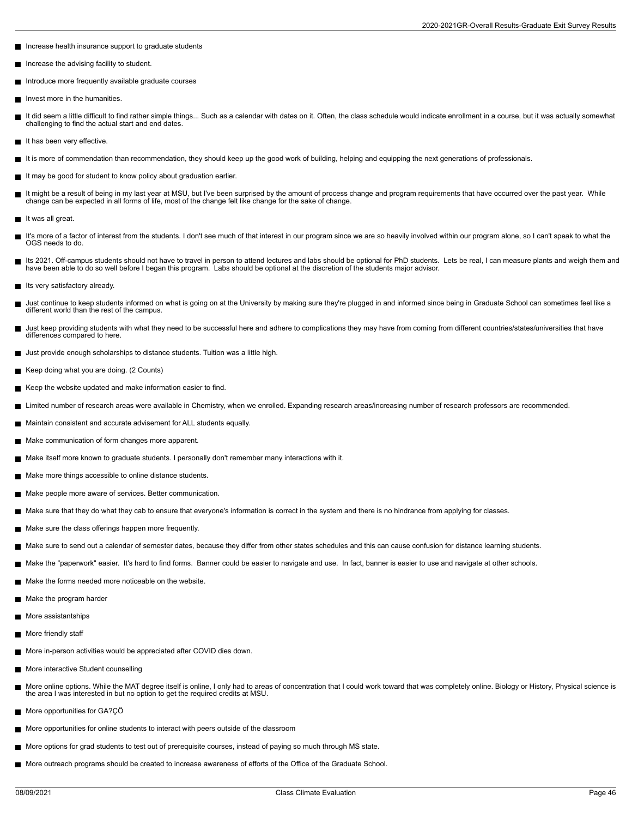- Increase health insurance support to graduate students
- Increase the advising facility to student.  $\blacksquare$
- Introduce more frequently available graduate courses
- $\blacksquare$ Invest more in the humanities.
- It did seem a little difficult to find rather simple things... Such as a calendar with dates on it. Often, the class schedule would indicate enrollment in a course, but it was actually somewhat challenging to find the actual start and end dates.
- It has been very effective.
- It is more of commendation than recommendation, they should keep up the good work of building, helping and equipping the next generations of professionals.
- It may be good for student to know policy about graduation earlier.
- It might be a result of being in my last year at MSU, but I've been surprised by the amount of process change and program requirements that have occurred over the past year. While П change can be expected in all forms of life, most of the change felt like change for the sake of change.
- It was all great.
- It's more of a factor of interest from the students. I don't see much of that interest in our program since we are so heavily involved within our program alone, so I can't speak to what the OGS needs to do.
- Its 2021. Off-campus students should not have to travel in person to attend lectures and labs should be optional for PhD students. Lets be real, I can measure plants and weigh them and have been able to do so well before I began this program. Labs should be optional at the discretion of the students major advisor.
- Its very satisfactory already.
- $\blacksquare$ Just continue to keep students informed on what is going on at the University by making sure they're plugged in and informed since being in Graduate School can sometimes feel like a different world than the rest of the campus.
- П Just keep providing students with what they need to be successful here and adhere to complications they may have from coming from different countries/states/universities that have differences compared to here.
- Just provide enough scholarships to distance students. Tuition was a little high.
- Keep doing what you are doing. (2 Counts)
- Keep the website updated and make information easier to find.
- Imited number of research areas were available in Chemistry, when we enrolled. Expanding research areas/increasing number of research professors are recommended.
- Maintain consistent and accurate advisement for ALL students equally.
- Make communication of form changes more apparent.
- Make itself more known to graduate students. I personally don't remember many interactions with it.
- Make more things accessible to online distance students.
- Make people more aware of services. Better communication.
- Make sure that they do what they cab to ensure that everyone's information is correct in the system and there is no hindrance from applying for classes.
- Make sure the class offerings happen more frequently.
- Make sure to send out a calendar of semester dates, because they differ from other states schedules and this can cause confusion for distance learning students.
- Make the "paperwork" easier. It's hard to find forms. Banner could be easier to navigate and use. In fact, banner is easier to use and navigate at other schools.
- Make the forms needed more noticeable on the website.
- Make the program harder
- **More assistantships**
- More friendly staff
- More in-person activities would be appreciated after COVID dies down.
- **More interactive Student counselling**
- More online options. While the MAT degree itself is online, I only had to areas of concentration that I could work toward that was completely online. Biology or History, Physical science is Ē the area I was interested in but no option to get the required credits at MSU.
- More opportunities for GA?ÇÖ
- More opportunities for online students to interact with peers outside of the classroom
- More options for grad students to test out of prerequisite courses, instead of paying so much through MS state.
- More outreach programs should be created to increase awareness of efforts of the Office of the Graduate School.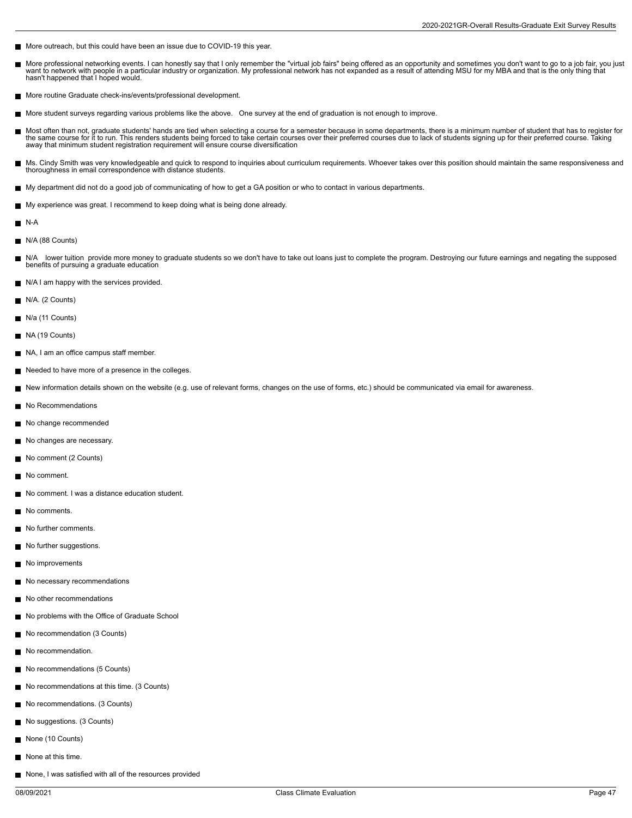- More outreach, but this could have been an issue due to COVID-19 this year.
- More professional networking events. I can honestly say that I only remember the "virtual job fairs" being offered as an opportunity and sometimes you don't want to go to a job fair, you just  $\blacksquare$ want to network with people in a particular industry or organization. My professional network has not expanded as a result of attending MSU for my MBA and that is the only thing that hasn't happened that I hoped would.
- More routine Graduate check-ins/events/professional development.
- More student surveys regarding various problems like the above. One survey at the end of graduation is not enough to improve.  $\blacksquare$
- Ē Most often than not, graduate students' hands are tied when selecting a course for a semester because in some departments, there is a minimum number of student that has to register for<br>the same course for it to run. This r away that minimum student registration requirement will ensure course diversification
- Ms. Cindy Smith was very knowledgeable and quick to respond to inquiries about curriculum requirements. Whoever takes over this position should maintain the same responsiveness and thoroughness in email correspondence with distance students.
- My department did not do a good job of communicating of how to get a GA position or who to contact in various departments.
- My experience was great. I recommend to keep doing what is being done already.
- $N-A$
- N/A (88 Counts)
- $\blacksquare$ N/A lower tuition provide more money to graduate students so we don't have to take out loans just to complete the program. Destroying our future earnings and negating the supposed benefits of pursuing a graduate education
- N/A I am happy with the services provided.
- N/A. (2 Counts)
- $N/a$  (11 Counts)
- NA (19 Counts)
- NA, I am an office campus staff member.
- Needed to have more of a presence in the colleges.
- New information details shown on the website (e.g. use of relevant forms, changes on the use of forms, etc.) should be communicated via email for awareness.
- No Recommendations
- No change recommended
- No changes are necessary.
- No comment (2 Counts)
- No comment
- No comment. I was a distance education student.
- No comments.
- No further comments.
- No further suggestions.
- No improvements
- No necessary recommendations
- No other recommendations
- No problems with the Office of Graduate School
- No recommendation (3 Counts) П
- No recommendation.
- No recommendations (5 Counts)
- No recommendations at this time. (3 Counts)
- No recommendations. (3 Counts)
- No suggestions. (3 Counts)
- None (10 Counts)
- None at this time.
- None, I was satisfied with all of the resources provided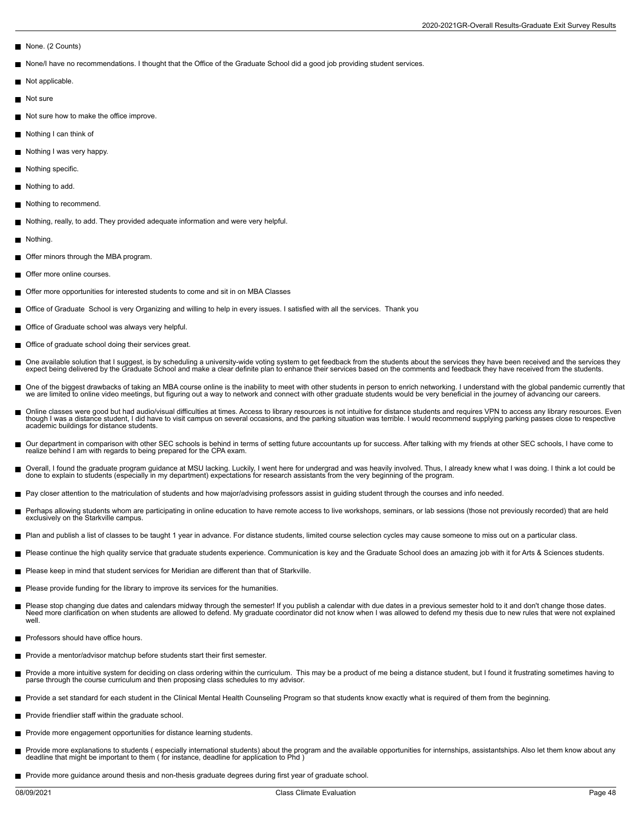- None. (2 Counts)
- None/I have no recommendations. I thought that the Office of the Graduate School did a good job providing student services.
- Not applicable.
- Not sure
- Not sure how to make the office improve.
- Nothing I can think of
- Nothing I was very happy.
- Nothing specific.
- П Nothing to add.
- Nothing to recommend.
- Nothing, really, to add. They provided adequate information and were very helpful.
- Nothing.
- Offer minors through the MBA program.
- Offer more online courses.
- Offer more opportunities for interested students to come and sit in on MBA Classes  $\blacksquare$
- Office of Graduate School is very Organizing and willing to help in every issues. I satisfied with all the services. Thank you
- Office of Graduate school was always very helpful.
- Office of graduate school doing their services great.
- One available solution that I suggest, is by scheduling a university-wide voting system to get feedback from the students about the services they have been received and the services they<br>expect being delivered by the Gradu
- One of the biggest drawbacks of taking an MBA course online is the inability to meet with other students in person to enrich networking. I understand with the global pandemic currently that we are limited to online video meetings, but figuring out a way to network and connect with other graduate students would be very beneficial in the journey of advancing our careers.
- Online classes were good but had audio/visual difficulties at times. Access to library resources is not intuitive for distance students and requires VPN to access any library resources. Even though I was a distance student, I did have to visit campus on several occasions, and the parking situation was terrible. I would recommend supplying parking passes close to respective<br>academic buildings for distance stude
- Our department in comparison with other SEC schools is behind in terms of setting future accountants up for success. After talking with my friends at other SEC schools, I have come to<br>realize behind I am with regards to be
- Overall, I found the graduate program guidance at MSU lacking. Luckily, I went here for undergrad and was heavily involved. Thus, I already knew what I was doing. I think a lot could be done to explain to students (especially in my department) expectations for research assistants from the very beginning of the program.
- Pay closer attention to the matriculation of students and how major/advising professors assist in guiding student through the courses and info needed.
- Perhaps allowing students whom are participating in online education to have remote access to live workshops, seminars, or lab sessions (those not previously recorded) that are held г exclusively on the Starkville campus.
- Plan and publish a list of classes to be taught 1 year in advance. For distance students, limited course selection cycles may cause someone to miss out on a particular class.
- Please continue the high quality service that graduate students experience. Communication is key and the Graduate School does an amazing job with it for Arts & Sciences students.  $\blacksquare$
- Please keep in mind that student services for Meridian are different than that of Starkville.
- Please provide funding for the library to improve its services for the humanities.
- Please stop changing due dates and calendars midway through the semester! If you publish a calendar with due dates in a previous semester hold to it and don't change those dates. Need more clarification on when students are allowed to defend. My graduate coordinator did not know when I was allowed to defend my thesis due to new rules that were not explained well
- **Professors should have office hours.**
- Provide a mentor/advisor matchup before students start their first semester.
- Provide a more intuitive system for deciding on class ordering within the curriculum. This may be a product of me being a distance student, but I found it frustrating sometimes having to parse through the course curriculum and then proposing class schedules to my advisor.
- Provide a set standard for each student in the Clinical Mental Health Counseling Program so that students know exactly what is required of them from the beginning.
- Provide friendlier staff within the graduate school.
- Provide more engagement opportunities for distance learning students.
- Provide more explanations to students (especially international students) about the program and the available opportunities for internships, assistantships. Also let them know about any П deadline that might be important to them ( for instance, deadline for application to Phd )
- **Provide more guidance around thesis and non-thesis graduate degrees during first year of graduate school.**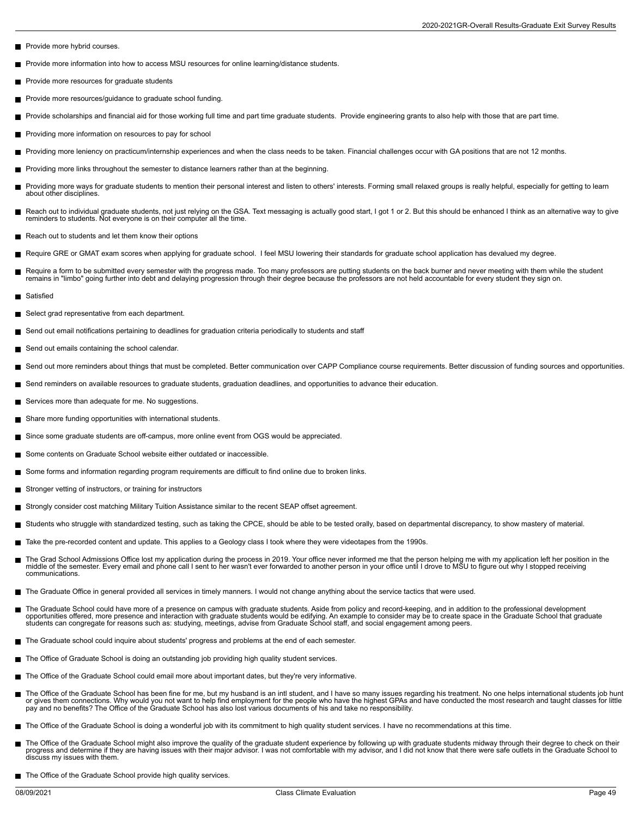- Provide more hybrid courses.
- Provide more information into how to access MSU resources for online learning/distance students. П
- Provide more resources for graduate students
- $\blacksquare$ Provide more resources/guidance to graduate school funding.
- Provide scholarships and financial aid for those working full time and part time graduate students. Provide engineering grants to also help with those that are part time.
- **Providing more information on resources to pay for school**
- Providing more leniency on practicum/internship experiences and when the class needs to be taken. Financial challenges occur with GA positions that are not 12 months.  $\blacksquare$
- Providing more links throughout the semester to distance learners rather than at the beginning.
- ш Providing more ways for graduate students to mention their personal interest and listen to others' interests. Forming small relaxed groups is really helpful, especially for getting to learn<br>about other disciplines.
- $\blacksquare$ Reach out to individual graduate students, not just relying on the GSA. Text messaging is actually good start, I got 1 or 2. But this should be enhanced I think as an alternative way to give<br>reminders to students. Not ever
- Reach out to students and let them know their options
- Require GRE or GMAT exam scores when applying for graduate school. I feel MSU lowering their standards for graduate school application has devalued my degree.
- Require a form to be submitted every semester with the progress made. Too many professors are putting students on the back burner and never meeting with them while the student remains in "limbo" going further into debt and delaying progression through their degree because the professors are not held accountable for every student they sign on.
- Satisfied
- Select grad representative from each department.
- Send out email notifications pertaining to deadlines for graduation criteria periodically to students and staff
- Send out emails containing the school calendar.
- Send out more reminders about things that must be completed. Better communication over CAPP Compliance course requirements. Better discussion of funding sources and opportunities.
- Send reminders on available resources to graduate students, graduation deadlines, and opportunities to advance their education.
- Services more than adequate for me. No suggestions.  $\blacksquare$
- Share more funding opportunities with international students.  $\blacksquare$
- Since some graduate students are off-campus, more online event from OGS would be appreciated. П
- Some contents on Graduate School website either outdated or inaccessible.
- Some forms and information regarding program requirements are difficult to find online due to broken links.
- Stronger vetting of instructors, or training for instructors п
- Strongly consider cost matching Military Tuition Assistance similar to the recent SEAP offset agreement.
- Students who struggle with standardized testing, such as taking the CPCE, should be able to be tested orally, based on departmental discrepancy, to show mastery of material. П
- Take the pre-recorded content and update. This applies to a Geology class I took where they were videotapes from the 1990s.
- The Grad School Admissions Office lost my application during the process in 2019. Your office never informed me that the person helping me with my application left her position in the  $\blacksquare$ middle of the semester. Every email and phone call I sent to her wasn't ever forwarded to another person in your office until I drove to MSU to figure out why I stopped receiving communications.
- The Graduate Office in general provided all services in timely manners. I would not change anything about the service tactics that were used.
- The Graduate School could have more of a presence on campus with graduate students. Aside from policy and record-keeping, and in addition to the professional development г opportunities offered, more presence and interaction with graduate students would be edifying. An example to consider may be to create space in the Graduate School that graduate<br>students can congregate for reasons such as:
- The Graduate school could inquire about students' progress and problems at the end of each semester.
- The Office of Graduate School is doing an outstanding job providing high quality student services.
- The Office of the Graduate School could email more about important dates, but they're very informative.
- The Office of the Graduate School has been fine for me, but my husband is an intl student, and I have so many issues regarding his treatment. No one helps international students job hunt<br>or gives them connections. Why woul
- The Office of the Graduate School is doing a wonderful job with its commitment to high quality student services. I have no recommendations at this time.
- The Office of the Graduate School might also improve the quality of the graduate student experience by following up with graduate students midway through their degree to check on their<br>progress and determine if they are ha discuss my issues with them.
- The Office of the Graduate School provide high quality services.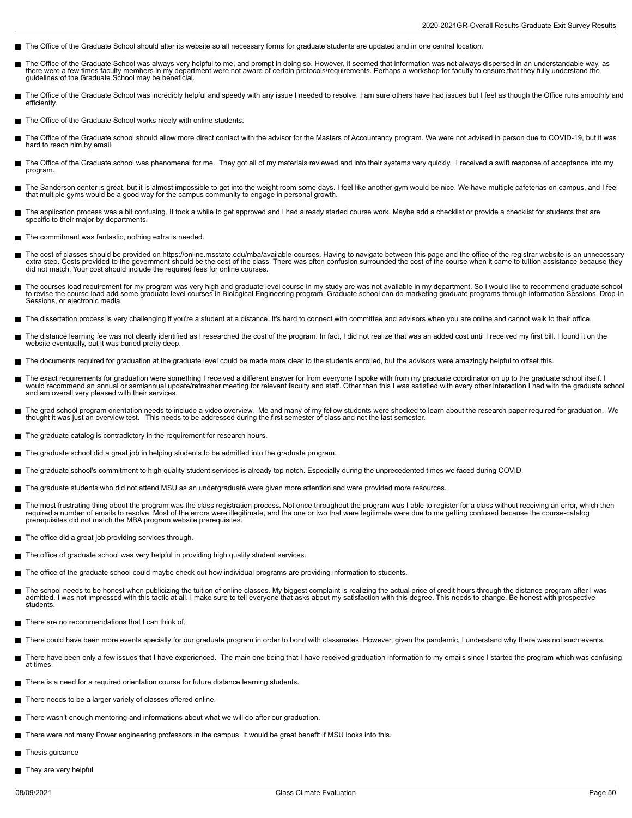- The Office of the Graduate School should alter its website so all necessary forms for graduate students are updated and in one central location.
- The Office of the Graduate School was always very helpful to me, and prompt in doing so. However, it seemed that information was not always dispersed in an understandable way, as г there were a few times faculty members in my department were not aware of certain protocols/requirements. Perhaps a workshop for faculty to ensure that they fully understand the guidelines of the Graduate School may be beneficial.
- The Office of the Graduate School was incredibly helpful and speedy with any issue I needed to resolve. I am sure others have had issues but I feel as though the Office runs smoothly and efficiently.
- The Office of the Graduate School works nicely with online students.
- The Office of the Graduate school should allow more direct contact with the advisor for the Masters of Accountancy program. We were not advised in person due to COVID-19, but it was hard to reach him by email.
- The Office of the Graduate school was phenomenal for me. They got all of my materials reviewed and into their systems very quickly. I received a swift response of acceptance into my program.
- The Sanderson center is great, but it is almost impossible to get into the weight room some days. I feel like another gym would be nice. We have multiple cafeterias on campus, and I feel that multiple gyms would be a good way for the campus community to engage in personal growth.
- The application process was a bit confusing. It took a while to get approved and I had already started course work. Maybe add a checklist or provide a checklist for students that are specific to their major by departments.
- The commitment was fantastic, nothing extra is needed. Н
- Н The cost of classes should be provided on https://online.msstate.edu/mba/available-courses. Having to navigate between this page and the office of the registrar website is an unnecessary<br>extra step. Costs provided to the g did not match. Your cost should include the required fees for online courses.
- The courses load requirement for my program was very high and graduate level course in my study are was not available in my department. So I would like to recommend graduate school  $\blacksquare$ to revise the course load add some graduate level courses in Biological Engineering program. Graduate school can do marketing graduate programs through information Sessions, Drop-In Sessions, or electronic media.
- The dissertation process is very challenging if you're a student at a distance. It's hard to connect with committee and advisors when you are online and cannot walk to their office.
- The distance learning fee was not clearly identified as I researched the cost of the program. In fact, I did not realize that was an added cost until I received my first bill. I found it on the г website eventually, but it was buried pretty deep.
- The documents required for graduation at the graduate level could be made more clear to the students enrolled, but the advisors were amazingly helpful to offset this.
- The exact requirements for graduation were something I received a different answer for from everyone I spoke with from my graduate coordinator on up to the graduate school itself. I<br>would recommend an annual or semiannual and am overall very pleased with their services.
- The grad school program orientation needs to include a video overview. Me and many of my fellow students were shocked to learn about the research paper required for graduation. We thought it was just an overview test. This needs to be addressed during the first semester of class and not the last semester.
- The graduate catalog is contradictory in the requirement for research hours.
- The graduate school did a great job in helping students to be admitted into the graduate program.
- The graduate school's commitment to high quality student services is already top notch. Especially during the unprecedented times we faced during COVID.
- The graduate students who did not attend MSU as an undergraduate were given more attention and were provided more resources. П
- The most frustrating thing about the program was the class registration process. Not once throughout the program was I able to register for a class without receiving an error, which then<br>required a number of emails to reso prerequisites did not match the MBA program website prerequisites.
- The office did a great job providing services through.
- $\blacksquare$ The office of graduate school was very helpful in providing high quality student services.
- The office of the graduate school could maybe check out how individual programs are providing information to students.
- The school needs to be honest when publicizing the tuition of online classes. My biggest complaint is realizing the actual price of credit hours through the distance program after I was admitted. I was not impressed with this tactic at all. I make sure to tell everyone that asks about my satisfaction with this degree. This needs to change. Be honest with prospective students.
- There are no recommendations that I can think of.
- There could have been more events specially for our graduate program in order to bond with classmates. However, given the pandemic, I understand why there was not such events.
- There have been only a few issues that I have experienced. The main one being that I have received graduation information to my emails since I started the program which was confusing п at times.
- There is a need for a required orientation course for future distance learning students.
- There needs to be a larger variety of classes offered online.
- There wasn't enough mentoring and informations about what we will do after our graduation. П
- There were not many Power engineering professors in the campus. It would be great benefit if MSU looks into this.  $\blacksquare$
- Thesis guidance П
- They are very helpful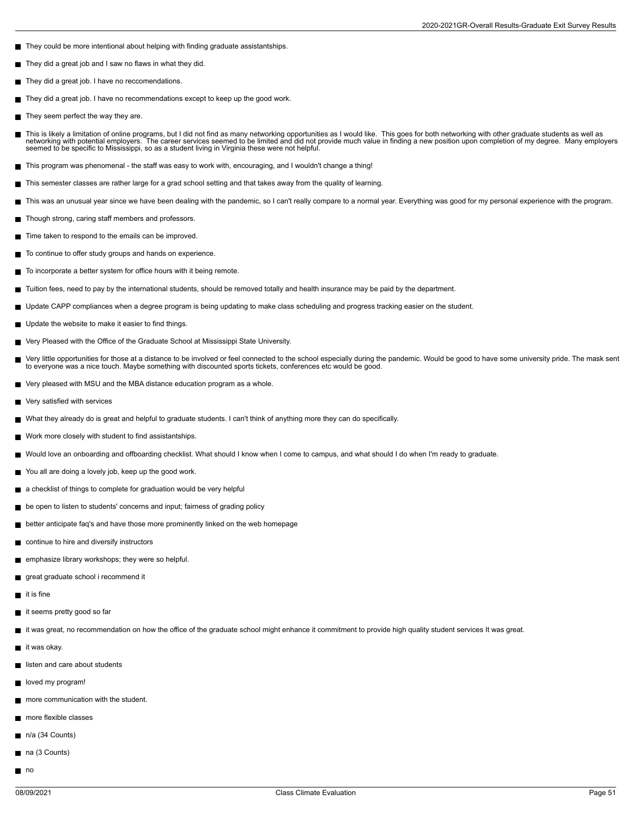- They could be more intentional about helping with finding graduate assistantships.
- They did a great job and I saw no flaws in what they did.
- They did a great job. I have no reccomendations.
- $\blacksquare$ They did a great job. I have no recommendations except to keep up the good work.
- They seem perfect the way they are.
- This is likely a limitation of online programs, but I did not find as many networking opportunities as I would like. This goes for both networking with other graduate students as well as<br>networking with potential employers seemed to be specific to Mississippi, so as a student living in Virginia these were not helpful.
- This program was phenomenal the staff was easy to work with, encouraging, and I wouldn't change a thing!
- This semester classes are rather large for a grad school setting and that takes away from the quality of learning.  $\blacksquare$
- This was an unusual year since we have been dealing with the pandemic, so I can't really compare to a normal year. Everything was good for my personal experience with the program.
- Though strong, caring staff members and professors.
- Time taken to respond to the emails can be improved.
- To continue to offer study groups and hands on experience.
- To incorporate a better system for office hours with it being remote.  $\blacksquare$
- Tuition fees, need to pay by the international students, should be removed totally and health insurance may be paid by the department.
- Update CAPP compliances when a degree program is being updating to make class scheduling and progress tracking easier on the student.
- Update the website to make it easier to find things.
- Very Pleased with the Office of the Graduate School at Mississippi State University.  $\blacksquare$
- П Very little opportunities for those at a distance to be involved or feel connected to the school especially during the pandemic. Would be good to have some university pride. The mask sent to everyone was a nice touch. Maybe something with discounted sports tickets, conferences etc would be good.
- Very pleased with MSU and the MBA distance education program as a whole.
- Very satisfied with services  $\blacksquare$
- What they already do is great and helpful to graduate students. I can't think of anything more they can do specifically.
- Work more closely with student to find assistantships.
- Would love an onboarding and offboarding checklist. What should I know when I come to campus, and what should I do when I'm ready to graduate.
- $\blacksquare$ You all are doing a lovely job, keep up the good work.
- a checklist of things to complete for graduation would be very helpful
- **be open to listen to students' concerns and input; fairness of grading policy**
- better anticipate faq's and have those more prominently linked on the web homepage
- continue to hire and diversify instructors
- emphasize library workshops; they were so helpful.
- great graduate school i recommend it
- $\blacksquare$  it is fine
- it seems pretty good so far
- it was great, no recommendation on how the office of the graduate school might enhance it commitment to provide high quality student services It was great.
- $\blacksquare$  it was okay.
- listen and care about students
- loved my program!
- more communication with the student.
- more flexible classes
- n/a (34 Counts)
- na (3 Counts)
- $\blacksquare$  no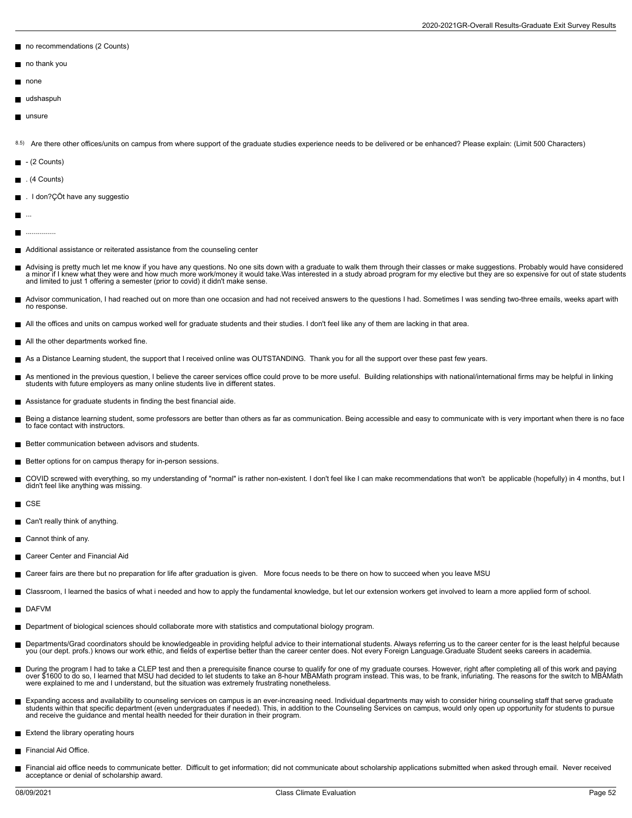- no recommendations (2 Counts)
- no thank you
- none
- udshaspuh
- unsure

8.5) Are there other offices/units on campus from where support of the graduate studies experience needs to be delivered or be enhanced? Please explain: (Limit 500 Characters)

- $-$  (2 Counts)
- $\blacksquare$  . (4 Counts)
- . I don?ÇÖt have any suggestio
- m, ...
- ............... П
- Additional assistance or reiterated assistance from the counseling center
- Advising is pretty much let me know if you have any questions. No one sits down with a graduate to walk them through their classes or make suggestions. Probably would have considered<br>a minor if I knew what they were and ho and limited to just 1 offering a semester (prior to covid) it didn't make sense.
- Advisor communication, I had reached out on more than one occasion and had not received answers to the questions I had. Sometimes I was sending two-three emails, weeks apart with no response.
- All the offices and units on campus worked well for graduate students and their studies. I don't feel like any of them are lacking in that area.
- All the other departments worked fine.
- As a Distance Learning student, the support that I received online was OUTSTANDING. Thank you for all the support over these past few years.
- As mentioned in the previous question, I believe the career services office could prove to be more useful. Building relationships with national/international firms may be helpful in linking П students with future employers as many online students live in different states.
- Assistance for graduate students in finding the best financial aide.
- Being a distance learning student, some professors are better than others as far as communication. Being accessible and easy to communicate with is very important when there is no face to face contact with instructors.
- Better communication between advisors and students.
- Better options for on campus therapy for in-person sessions.
- COVID screwed with everything, so my understanding of "normal" is rather non-existent. I don't feel like I can make recommendations that won't be applicable (hopefully) in 4 months, but I Е didn't feel like anything was missing.
- **CSE**
- Can't really think of anything.
- Cannot think of any.
- Career Center and Financial Aid
- Career fairs are there but no preparation for life after graduation is given. More focus needs to be there on how to succeed when you leave MSU
- Classroom, I learned the basics of what i needed and how to apply the fundamental knowledge, but let our extension workers get involved to learn a more applied form of school.
- DAFVM
- Department of biological sciences should collaborate more with statistics and computational biology program.
- $\blacksquare$ Departments/Grad coordinators should be knowledgeable in providing helpful advice to their international students. Always referring us to the career center for is the least helpful because<br>you (our dept. profs.) knows our
- During the program I had to take a CLEP test and then a prerequisite finance course to qualify for one of my graduate courses. However, right after completing all of this work and paying<br>over \$1600 to do so, I learned that were explained to me and I understand, but the situation was extremely frustrating nonetheless.
- Expanding access and availability to counseling services on campus is an ever-increasing need. Individual departments may wish to consider hiring counseling staff that serve graduate<br>students within that specific departmen and receive the guidance and mental health needed for their duration in their program.
- Extend the library operating hours
- Financial Aid Office.
- Financial aid office needs to communicate better. Difficult to get information; did not communicate about scholarship applications submitted when asked through email. Never received acceptance or denial of scholarship award.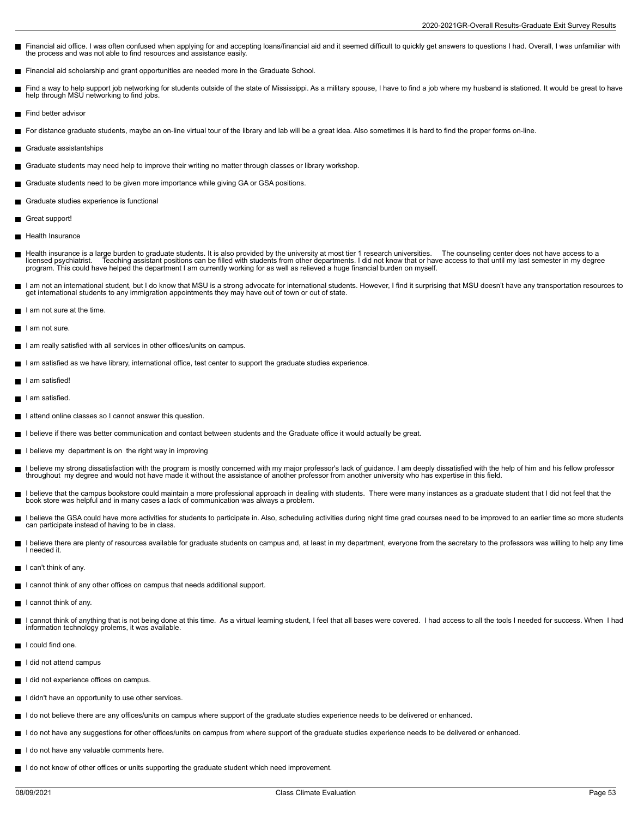- Financial aid office. I was often confused when applying for and accepting loans/financial aid and it seemed difficult to quickly get answers to questions I had. Overall, I was unfamiliar with the process and was not able to find resources and assistance easily.
- Financial aid scholarship and grant opportunities are needed more in the Graduate School.
- Find a way to help support job networking for students outside of the state of Mississippi. As a military spouse, I have to find a job where my husband is stationed. It would be great to have help through MSU networking to find jobs.
- Find better advisor
- For distance graduate students, maybe an on-line virtual tour of the library and lab will be a great idea. Also sometimes it is hard to find the proper forms on-line.
- Graduate assistantships
- Graduate students may need help to improve their writing no matter through classes or library workshop.
- Graduate students need to be given more importance while giving GA or GSA positions.
- Graduate studies experience is functional
- Great support!  $\blacksquare$
- **Health Insurance**
- Health insurance is a large burden to graduate students. It is also provided by the university at most tier 1 research universities. The counseling center does not have access to a<br>licensed psychiatrist. Teaching assista
- I am not an international student, but I do know that MSU is a strong advocate for international students. However, I find it surprising that MSU doesn't have any transportation resources to get international students to any immigration appointments they may have out of town or out of state.
- I am not sure at the time.
- $\blacksquare$  I am not sure.
- I am really satisfied with all services in other offices/units on campus.
- I am satisfied as we have library, international office, test center to support the graduate studies experience.
- I am satisfied!
- I am satisfied.
- I attend online classes so I cannot answer this question.
- I believe if there was better communication and contact between students and the Graduate office it would actually be great.
- I believe my department is on the right way in improving
- I believe my strong dissatisfaction with the program is mostly concerned with my major professor's lack of guidance. I am deeply dissatisfied with the help of him and his fellow professor<br>throughout my degree and would no
- I believe that the campus bookstore could maintain a more professional approach in dealing with students. There were many instances as a graduate student that I did not feel that the book store was helpful and in many cases a lack of communication was always a problem.
- I believe the GSA could have more activities for students to participate in. Also, scheduling activities during night time grad courses need to be improved to an earlier time so more students can participate instead of having to be in class.
- I believe there are plenty of resources available for graduate students on campus and, at least in my department, everyone from the secretary to the professors was willing to help any time  $\blacksquare$ I needed it.
- $\blacksquare$  I can't think of any.
- I cannot think of any other offices on campus that needs additional support.
- I cannot think of any. П
- I cannot think of anything that is not being done at this time. As a virtual learning student, I feel that all bases were covered. I had access to all the tools I needed for success. When I had information technology prolems, it was available.
- $\blacksquare$  I could find one.
- I did not attend campus
- I did not experience offices on campus.
- I didn't have an opportunity to use other services.
- I do not believe there are any offices/units on campus where support of the graduate studies experience needs to be delivered or enhanced.
- I do not have any suggestions for other offices/units on campus from where support of the graduate studies experience needs to be delivered or enhanced.
- I do not have any valuable comments here.
- I do not know of other offices or units supporting the graduate student which need improvement.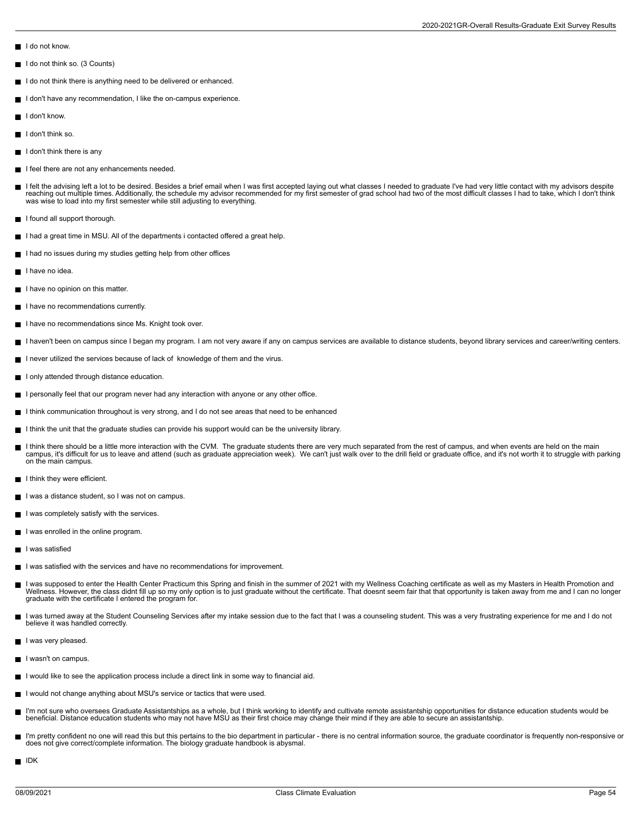- I do not know.
- $\blacksquare$  I do not think so. (3 Counts)
- I do not think there is anything need to be delivered or enhanced.
- I don't have any recommendation, I like the on-campus experience.
- I don't know.
- $\blacksquare$  I don't think so.
- $\blacksquare$  I don't think there is any
- I feel there are not any enhancements needed.
- I felt the advising left a lot to be desired. Besides a brief email when I was first accepted laying out what classes I needed to graduate I've had very little contact with my advisors despite<br>reaching out multiple times. was wise to load into my first semester while still adjusting to everything.
- I found all support thorough.
- I had a great time in MSU. All of the departments i contacted offered a great help.
- I had no issues during my studies getting help from other offices
- I have no idea.
- I have no opinion on this matter.
- I have no recommendations currently.
- I have no recommendations since Ms. Knight took over.
- I haven't been on campus since I began my program. I am not very aware if any on campus services are available to distance students, beyond library services and career/writing centers.
- I never utilized the services because of lack of knowledge of them and the virus.
- I only attended through distance education.
- I personally feel that our program never had any interaction with anyone or any other office.
- I think communication throughout is very strong, and I do not see areas that need to be enhanced
- I think the unit that the graduate studies can provide his support would can be the university library.
- I think there should be a little more interaction with the CVM. The graduate students there are very much separated from the rest of campus, and when events are held on the main campus, it's difficult for us to leave and attend (such as graduate appreciation week). We can't just walk over to the drill field or graduate office, and it's not worth it to struggle with parking on the main campus.
- I think they were efficient.
- I was a distance student, so I was not on campus.
- I was completely satisfy with the services.
- I was enrolled in the online program.
- **I** I was satisfied
- I was satisfied with the services and have no recommendations for improvement.
- I was supposed to enter the Health Center Practicum this Spring and finish in the summer of 2021 with my Wellness Coaching certificate as well as my Masters in Health Promotion and Wellness. However, the class didnt fill up so my only option is to just graduate without the certificate. That doesnt seem fair that that opportunity is taken away from me and I can no longer graduate with the certificate I entered the program for.
- I was turned away at the Student Counseling Services after my intake session due to the fact that I was a counseling student. This was a very frustrating experience for me and I do not  $\blacksquare$ believe it was handled correctly.
- I was very pleased.
- I wasn't on campus.
- I would like to see the application process include a direct link in some way to financial aid.
- I would not change anything about MSU's service or tactics that were used.
- I'm not sure who oversees Graduate Assistantships as a whole, but I think working to identify and cultivate remote assistantship opportunities for distance education students would be beneficial. Distance education students who may not have MSU as their first choice may change their mind if they are able to secure an assistantship.
- I'm pretty confident no one will read this but this pertains to the bio department in particular there is no central information source, the graduate coordinator is frequently non-responsive or does not give correct/complete information. The biology graduate handbook is abysmal.
- $\blacksquare$  IDK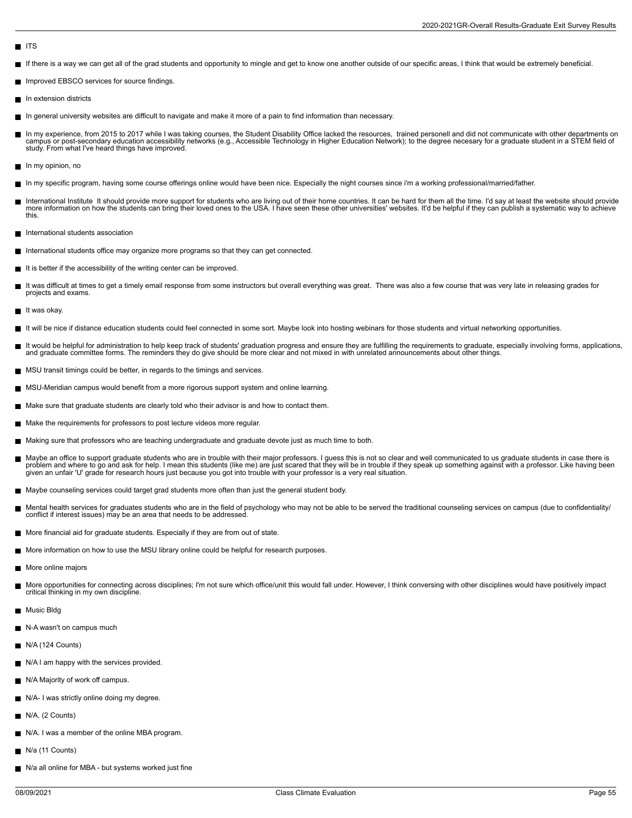## **ITS**

- If there is a way we can get all of the grad students and opportunity to mingle and get to know one another outside of our specific areas, I think that would be extremely beneficial.
- **Improved EBSCO services for source findings.**
- $\blacksquare$ In extension districts
- In general university websites are difficult to navigate and make it more of a pain to find information than necessary.
- In my experience, from 2015 to 2017 while I was taking courses, the Student Disability Office lacked the resources, trained personell and did not communicate with other departments on  $\blacksquare$ campus or post-secondary education accessibility networks (e.g., Accessible Technology in Higher Education Network); to the degree necesary for a graduate student in a STEM field of study. From what I've heard things have improved.
- In my opinion, no
- In my specific program, having some course offerings online would have been nice. Especially the night courses since i'm a working professional/married/father.
- International Institute It should provide more support for students who are living out of their home countries. It can be hard for them all the time. I'd say at least the website should provide<br>more information on how the this.
- International students association
- International students office may organize more programs so that they can get connected.
- $\blacksquare$  It is better if the accessibility of the writing center can be improved.
- It was difficult at times to get a timely email response from some instructors but overall everything was great. There was also a few course that was very late in releasing grades for projects and exams.
- $\blacksquare$  It was okav.
- $\blacksquare$ It will be nice if distance education students could feel connected in some sort. Maybe look into hosting webinars for those students and virtual networking opportunities.
- It would be helpful for administration to help keep track of students' graduation progress and ensure they are fulfilling the requirements to graduate, especially involving forms, applications, and graduate committee forms. The reminders they do give should be more clear and not mixed in with unrelated announcements about other things.
- MSU transit timings could be better, in regards to the timings and services.
- MSU-Meridian campus would benefit from a more rigorous support system and online learning.
- $\blacksquare$  Make sure that graduate students are clearly told who their advisor is and how to contact them.
- Make the requirements for professors to post lecture videos more regular.
- Making sure that professors who are teaching undergraduate and graduate devote just as much time to both.
- Maybe an office to support graduate students who are in trouble with their major professors. I guess this is not so clear and well communicated to us graduate students in case there is  $\blacksquare$ problem and where to go and ask for help. I mean this students (like me) are just scared that they will be in trouble if they speak up something against with a professor. Like having been<br>given an unfair 'U' grade for rese
- Maybe counseling services could target grad students more often than just the general student body.
- Mental health services for graduates students who are in the field of psychology who may not be able to be served the traditional counseling services on campus (due to confidentiality/ conflict if interest issues) may be an area that needs to be addressed
- More financial aid for graduate students. Especially if they are from out of state.
- More information on how to use the MSU library online could be helpful for research purposes.
- More online majors
- More opportunities for connecting across disciplines; I'm not sure which office/unit this would fall under. However, I think conversing with other disciplines would have positively impact critical thinking in my own discipline.
- Music Bldg
- N-A wasn't on campus much
- N/A (124 Counts)
- N/A I am happy with the services provided.
- N/A Majority of work off campus.
- N/A- I was strictly online doing my degree.
- $\blacksquare$  N/A. (2 Counts)
- N/A. I was a member of the online MBA program.
- N/a (11 Counts)
- N/a all online for MBA but systems worked just fine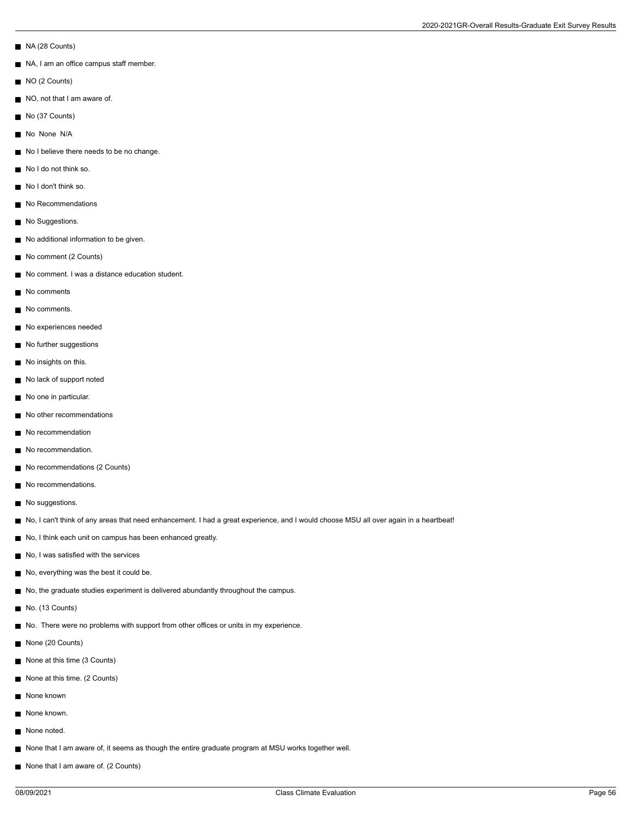- NA (28 Counts)
- NA, I am an office campus staff member.
- NO (2 Counts)
- NO, not that I am aware of.
- No (37 Counts)
- No None N/A
- No I believe there needs to be no change.
- No I do not think so.
- No I don't think so.
- No Recommendations
- No Suggestions.
- No additional information to be given.
- No comment (2 Counts)
- No comment. I was a distance education student.
- No comments
- No comments.
- No experiences needed
- No further suggestions
- No insights on this.
- No lack of support noted
- No one in particular.
- No other recommendations
- No recommendation
- No recommendation.
- No recommendations (2 Counts)
- No recommendations.
- No suggestions.
- No, I can't think of any areas that need enhancement. I had a great experience, and I would choose MSU all over again in a heartbeat!
- No, I think each unit on campus has been enhanced greatly.
- No, I was satisfied with the services
- No, everything was the best it could be.
- No, the graduate studies experiment is delivered abundantly throughout the campus.
- No. (13 Counts)
- No. There were no problems with support from other offices or units in my experience.
- None (20 Counts)
- None at this time (3 Counts)
- None at this time. (2 Counts)
- None known
- None known.
- None noted.
- None that I am aware of, it seems as though the entire graduate program at MSU works together well.
- None that I am aware of. (2 Counts)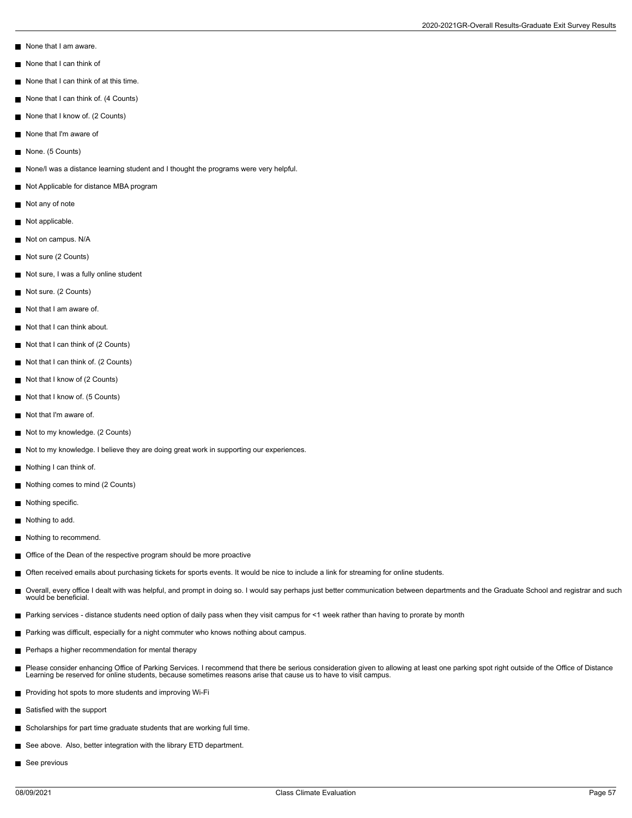- None that I am aware.
- None that I can think of
- None that I can think of at this time.
- None that I can think of. (4 Counts)
- None that I know of. (2 Counts)
- None that I'm aware of
- None. (5 Counts)
- None/I was a distance learning student and I thought the programs were very helpful.
- Not Applicable for distance MBA program
- Not any of note
- Not applicable.
- Not on campus. N/A
- Not sure (2 Counts)
- Not sure, I was a fully online student
- Not sure. (2 Counts)
- Not that I am aware of.
- Not that I can think about.
- Not that I can think of (2 Counts)
- Not that I can think of. (2 Counts)
- Not that I know of (2 Counts)
- Not that I know of. (5 Counts)
- Not that I'm aware of.
- Not to my knowledge. (2 Counts)
- Not to my knowledge. I believe they are doing great work in supporting our experiences.
- Nothing I can think of.
- Nothing comes to mind (2 Counts)
- Nothing specific.
- Nothing to add.
- Nothing to recommend.
- Office of the Dean of the respective program should be more proactive
- Often received emails about purchasing tickets for sports events. It would be nice to include a link for streaming for online students.
- Overall, every office I dealt with was helpful, and prompt in doing so. I would say perhaps just better communication between departments and the Graduate School and registrar and such П would be beneficial.
- Parking services distance students need option of daily pass when they visit campus for <1 week rather than having to prorate by month
- Parking was difficult, especially for a night commuter who knows nothing about campus.
- **Perhaps a higher recommendation for mental therapy**
- Please consider enhancing Office of Parking Services. I recommend that there be serious consideration given to allowing at least one parking spot right outside of the Office of Distance Learning be reserved for online students, because sometimes reasons arise that cause us to have to visit campus.
- **Providing hot spots to more students and improving Wi-Fi**
- Satisfied with the support
- Scholarships for part time graduate students that are working full time.
- See above. Also, better integration with the library ETD department.
- See previous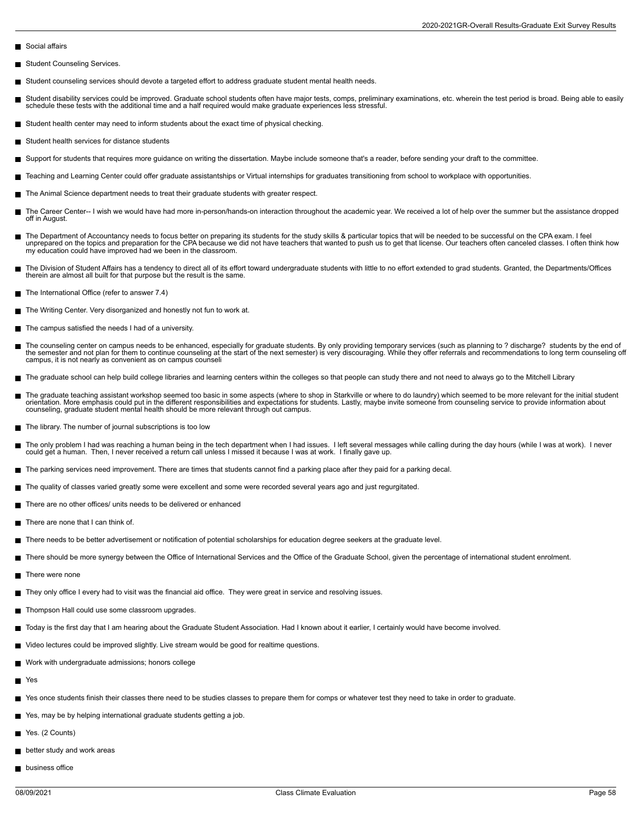- Social affairs
- Student Counseling Services.
- Student counseling services should devote a targeted effort to address graduate student mental health needs.
- Student disability services could be improved. Graduate school students often have major tests, comps, preliminary examinations, etc. wherein the test period is broad. Being able to easily  $\blacksquare$ schedule these tests with the additional time and a half required would make graduate experiences less stressful.
- Student health center may need to inform students about the exact time of physical checking.
- Student health services for distance students
- Support for students that requires more guidance on writing the dissertation. Maybe include someone that's a reader, before sending your draft to the committee.
- Teaching and Learning Center could offer graduate assistantships or Virtual internships for graduates transitioning from school to workplace with opportunities.
- The Animal Science department needs to treat their graduate students with greater respect.  $\blacksquare$
- The Career Center-- I wish we would have had more in-person/hands-on interaction throughout the academic year. We received a lot of help over the summer but the assistance dropped off in August.
- The Department of Accountancy needs to focus better on preparing its students for the study skills & particular topics that will be needed to be successful on the CPA exam. I feel<br>unprepared on the topics and preparation f my education could have improved had we been in the classroom.
- The Division of Student Affairs has a tendency to direct all of its effort toward undergraduate students with little to no effort extended to grad students. Granted, the Departments/Offices therein are almost all built for that purpose but the result is the same.
- The International Office (refer to answer 7.4)
- The Writing Center. Very disorganized and honestly not fun to work at.
- $\blacksquare$ The campus satisfied the needs I had of a university.
- The counseling center on campus needs to be enhanced, especially for graduate students. By only providing temporary services (such as planning to ? discharge? students by the end of the semester and not plan for them to continue counseling at the start of the next semester) is very discouraging. While they offer referrals and recommendations to long term counseling off<br>campus, it is not nearly as conv
- The graduate school can help build college libraries and learning centers within the colleges so that people can study there and not need to always go to the Mitchell Library
- The graduate teaching assistant workshop seemed too basic in some aspects (where to shop in Starkville or where to do laundry) which seemed to be more relevant for the initial student orientation. More emphasis could put in the different responsibilities and expectations for students. Lastly, maybe invite someone from counseling service to provide information about<br>counseling, graduate student mental he
- The library. The number of journal subscriptions is too low
- The only problem I had was reaching a human being in the tech department when I had issues. I left several messages while calling during the day hours (while I was at work). I never Г could get a human. Then, I never received a return call unless I missed it because I was at work. I finally gave up.
- The parking services need improvement. There are times that students cannot find a parking place after they paid for a parking decal.
- The quality of classes varied greatly some were excellent and some were recorded several years ago and just regurgitated.
- There are no other offices/ units needs to be delivered or enhanced
- There are none that I can think of.
- There needs to be better advertisement or notification of potential scholarships for education degree seekers at the graduate level.
- There should be more synergy between the Office of International Services and the Office of the Graduate School, given the percentage of international student enrolment.
- There were none
- They only office I every had to visit was the financial aid office. They were great in service and resolving issues.
- Thompson Hall could use some classroom upgrades.
- Today is the first day that I am hearing about the Graduate Student Association. Had I known about it earlier, I certainly would have become involved.
- Video lectures could be improved slightly. Live stream would be good for realtime questions.
- Work with undergraduate admissions; honors college
- Н Yes
- Yes once students finish their classes there need to be studies classes to prepare them for comps or whatever test they need to take in order to graduate.
- Yes, may be by helping international graduate students getting a job.
- Yes. (2 Counts)
- **better study and work areas**
- **business office**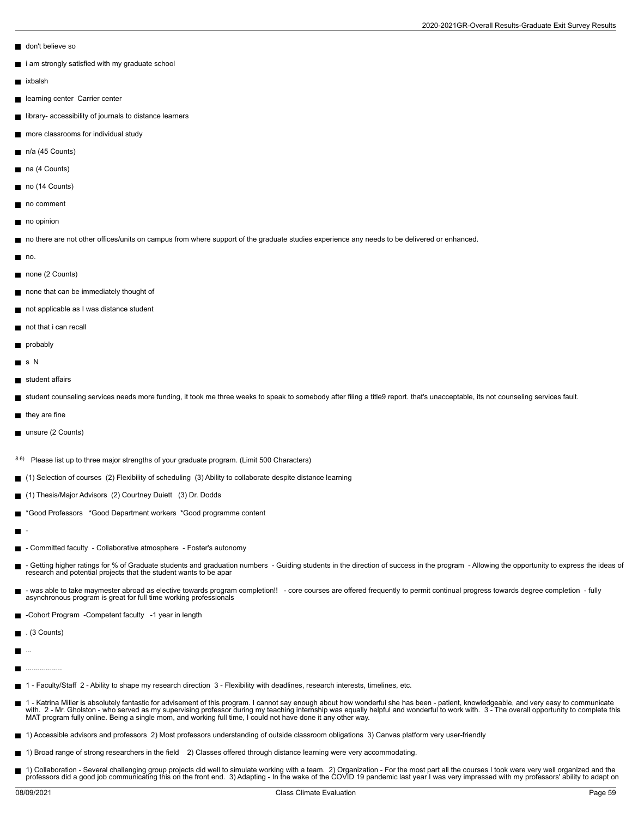2020-2021GR-Overall Results-Graduate Exit Survey Results

- don't believe so
- i am strongly satisfied with my graduate school
- **ixbalsh**
- **learning center Carrier center**
- library- accessibility of journals to distance learners
- more classrooms for individual study
- n/a (45 Counts)
- na (4 Counts)
- no (14 Counts)
- no comment
- no opinion
- no there are not other offices/units on campus from where support of the graduate studies experience any needs to be delivered or enhanced.
- $\blacksquare$  no.
- none (2 Counts)
- none that can be immediately thought of
- not applicable as I was distance student
- not that i can recall
- probably
- s N
- student affairs
- student counseling services needs more funding, it took me three weeks to speak to somebody after filing a title9 report. that's unacceptable, its not counseling services fault.
- $\blacksquare$  they are fine
- unsure (2 Counts)
- 8.6) Please list up to three major strengths of your graduate program. (Limit 500 Characters)
- (1) Selection of courses (2) Flexibility of scheduling (3) Ability to collaborate despite distance learning
- (1) Thesis/Major Advisors (2) Courtney Duiett (3) Dr. Dodds
- \*Good Professors \*Good Department workers \*Good programme content  $\blacksquare$
- $\blacksquare$ -
- Committed faculty Collaborative atmosphere Foster's autonomy  $\blacksquare$
- Getting higher ratings for % of Graduate students and graduation numbers Guiding students in the direction of success in the program Allowing the opportunity to express the ideas of  $\blacksquare$ research and potential projects that the student wants to be apar
- was able to take maymester abroad as elective towards program completion!! core courses are offered frequently to permit continual progress towards degree completion fully asynchronous program is great for full time working professionals
- **-Cohort Program -Competent faculty -1 year in length**
- $\blacksquare$ . (3 Counts)
- П ...
- $\blacksquare$ ..................
- 1 Faculty/Staff 2 Ability to shape my research direction 3 Flexibility with deadlines, research interests, timelines, etc.
- 1 Katrina Miller is absolutely fantastic for advisement of this program. I cannot say enough about how wonderful she has been patient, knowledgeable, and very easy to communicate<br>with. 2 Mr. Gholston who served as
- 1) Accessible advisors and professors 2) Most professors understanding of outside classroom obligations 3) Canvas platform very user-friendly
- 1) Broad range of strong researchers in the field 2) Classes offered through distance learning were very accommodating.
- 1) Collaboration Several challenging group projects did well to simulate working with a team. 2) Organization For the most part all the courses I took were very well organized and the<br>professors did a good job communic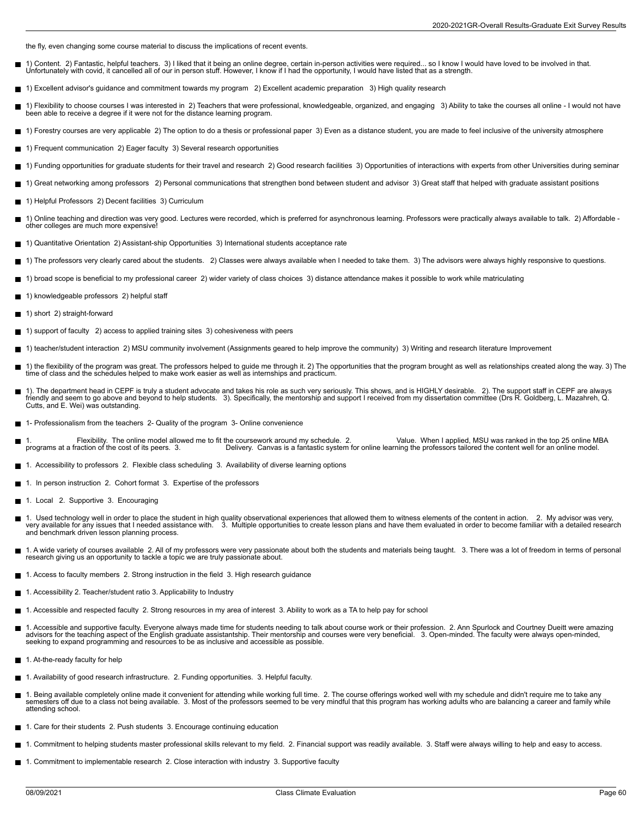the fly, even changing some course material to discuss the implications of recent events.

- 1) Content. 2) Fantastic, helpful teachers. 3) I liked that it being an online degree, certain in-person activities were required... so I know I would have loved to be involved in that. Г Unfortunately with covid, it cancelled all of our in person stuff. However, I know if I had the opportunity, I would have listed that as a strength.
- 1) Excellent advisor's guidance and commitment towards my program 2) Excellent academic preparation 3) High quality research
- 1) Flexibility to choose courses I was interested in 2) Teachers that were professional, knowledgeable, organized, and engaging 3) Ability to take the courses all online I would not have been able to receive a degree if it were not for the distance learning program.
- 1) Forestry courses are very applicable 2) The option to do a thesis or professional paper 3) Even as a distance student, you are made to feel inclusive of the university atmosphere
- 1) Frequent communication 2) Eager faculty 3) Several research opportunities
- 1) Funding opportunities for graduate students for their travel and research 2) Good research facilities 3) Opportunities of interactions with experts from other Universities during seminar
- 1) Great networking among professors 2) Personal communications that strengthen bond between student and advisor 3) Great staff that helped with graduate assistant positions  $\blacksquare$
- 1) Helpful Professors 2) Decent facilities 3) Curriculum
- $\blacksquare$ 1) Online teaching and direction was very good. Lectures were recorded, which is preferred for asynchronous learning. Professors were practically always available to talk. 2) Affordable other colleges are much more expensive!
- 1) Quantitative Orientation 2) Assistant-ship Opportunities 3) International students acceptance rate
- 1) The professors very clearly cared about the students. 2) Classes were always available when I needed to take them. 3) The advisors were always highly responsive to questions.
- 1) broad scope is beneficial to my professional career 2) wider variety of class choices 3) distance attendance makes it possible to work while matriculating
- 1) knowledgeable professors 2) helpful staff
- 1) short 2) straight-forward
- 1) support of faculty 2) access to applied training sites 3) cohesiveness with peers
- 1) teacher/student interaction 2) MSU community involvement (Assignments geared to help improve the community) 3) Writing and research literature Improvement
- Н 1) the flexibility of the program was great. The professors helped to guide me through it. 2) The opportunities that the program brought as well as relationships created along the way. 3) The<br>time of class and the schedule
- 1). The department head in CEPF is truly a student advocate and takes his role as such very seriously. This shows, and is HIGHLY desirable. 2). The support staff in CEPF are always<br>friendly and seem to go above and beyond Cutts, and E. Wei) was outstanding.
- 1- Professionalism from the teachers 2- Quality of the program 3- Online convenience  $\blacksquare$
- 1. Flexibility. The online model allowed me to fit the coursework around my schedule. 2. Value. When I applied, MSU was ranked in the top 25 online MBA<br>Programs at a fraction of the cost of its peers. 3. Delivery. Canvas i
- 1. Accessibility to professors 2. Flexible class scheduling 3. Availability of diverse learning options
- 1. In person instruction 2. Cohort format 3. Expertise of the professors
- 1. Local 2. Supportive 3. Encouraging
- 1. Used technology well in order to place the student in high quality observational experiences that allowed them to witness elements of the content in action. 2. My advisor was very,<br>very available for any issues that I n and benchmark driven lesson planning process.
- 1. A wide variety of courses available 2. All of my professors were very passionate about both the students and materials being taught. 3. There was a lot of freedom in terms of personal research giving us an opportunity to tackle a topic we are truly passionate about.
- 1. Access to faculty members 2. Strong instruction in the field 3. High research guidance
- 1. Accessibility 2. Teacher/student ratio 3. Applicability to Industry  $\blacksquare$
- 1. Accessible and respected faculty 2. Strong resources in my area of interest 3. Ability to work as a TA to help pay for school
- 1. Accessible and supportive faculty. Everyone always made time for students needing to talk about course work or their profession. 2. Ann Spurlock and Courtney Dueitt were amazing advisors for the teaching aspect of the English graduate assistantship. Their mentorship and courses were very beneficial. 3. Open-minded. The faculty were always open-minded, seeking to expand programming and resources to be as inclusive and accessible as possible.
- 1. At-the-ready faculty for help
- 1. Availability of good research infrastructure. 2. Funding opportunities. 3. Helpful faculty.
- 1. Being available completely online made it convenient for attending while working full time. 2. The course offerings worked well with my schedule and didn't require me to take any<br>semesters off due to a class not being a attending school.
- 1. Care for their students 2. Push students 3. Encourage continuing education
- 1. Commitment to helping students master professional skills relevant to my field. 2. Financial support was readily available. 3. Staff were always willing to help and easy to access.
- 1. Commitment to implementable research 2. Close interaction with industry 3. Supportive faculty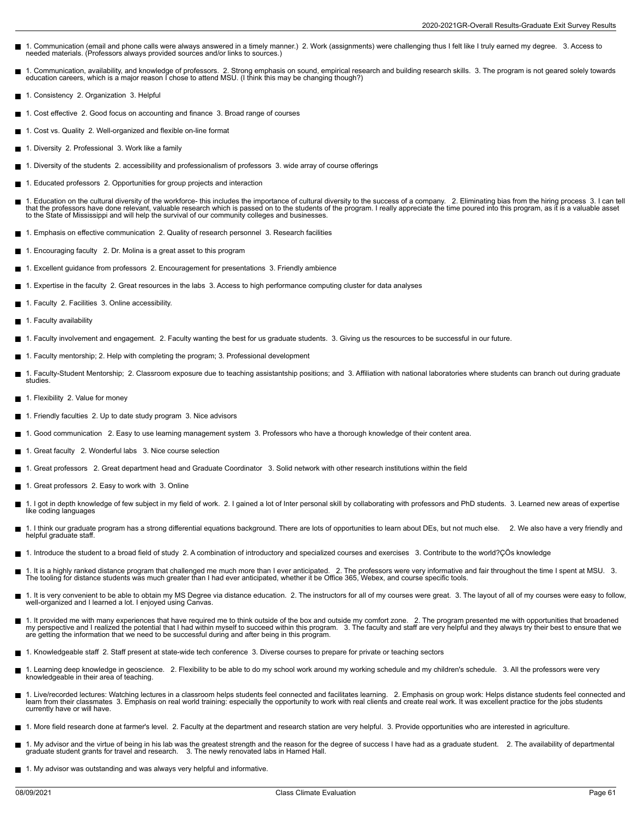- 1. Communication (email and phone calls were always answered in a timely manner.) 2. Work (assignments) were challenging thus I felt like I truly earned my degree. 3. Access to needed materials. (Professors always provided sources and/or links to sources.)
- 1. Communication, availability, and knowledge of professors. 2. Strong emphasis on sound, empirical research and building research skills. 3. The program is not geared solely towards<br>education careers, which is a major r
- 1. Consistency 2. Organization 3. Helpful
- 1. Cost effective 2. Good focus on accounting and finance 3. Broad range of courses
- 1. Cost vs. Quality 2. Well-organized and flexible on-line format
- 1. Diversity 2. Professional 3. Work like a family
- 1. Diversity of the students 2. accessibility and professionalism of professors 3. wide array of course offerings
- 1. Educated professors 2. Opportunities for group projects and interaction
- 1. Education on the cultural diversity of the workforce- this includes the importance of cultural diversity to the success of a company. \_2. Eliminating bias from the hiring process\_3. I can tell<br>that the professors have d
- 1. Emphasis on effective communication 2. Quality of research personnel 3. Research facilities
- 1. Encouraging faculty 2. Dr. Molina is a great asset to this program
- 1. Excellent guidance from professors 2. Encouragement for presentations 3. Friendly ambience
- 1. Expertise in the faculty 2. Great resources in the labs 3. Access to high performance computing cluster for data analyses
- 1. Faculty 2. Facilities 3. Online accessibility.
- 1. Faculty availability
- 1. Faculty involvement and engagement. 2. Faculty wanting the best for us graduate students. 3. Giving us the resources to be successful in our future.
- 1. Faculty mentorship; 2. Help with completing the program; 3. Professional development
- 1. Faculty-Student Mentorship; 2. Classroom exposure due to teaching assistantship positions; and 3. Affiliation with national laboratories where students can branch out during graduate studies.
- 1. Flexibility 2. Value for money
- 1. Friendly faculties 2. Up to date study program 3. Nice advisors
- 1. Good communication 2. Easy to use learning management system 3. Professors who have a thorough knowledge of their content area.
- 1. Great faculty 2. Wonderful labs 3. Nice course selection
- 1. Great professors 2. Great department head and Graduate Coordinator 3. Solid network with other research institutions within the field
- 1. Great professors 2. Easy to work with 3. Online
- 1. I got in depth knowledge of few subject in my field of work. 2. I gained a lot of Inter personal skill by collaborating with professors and PhD students. 3. Learned new areas of expertise like coding languages
- 1. I think our graduate program has a strong differential equations background. There are lots of opportunities to learn about DEs, but not much else. 2. We also have a very friendly and helpful graduate staff.
- 1. Introduce the student to a broad field of study 2. A combination of introductory and specialized courses and exercises 3. Contribute to the world?ÇÖs knowledge
- Е 1. It is a highly ranked distance program that challenged me much more than I ever anticipated. 2. The professors were very informative and fair throughout the time I spent at MSU. 3.<br>The tooling for distance students was
- 1. It is very convenient to be able to obtain my MS Degree via distance education. 2. The instructors for all of my courses were great. 3. The layout of all of my courses were easy to follow,<br>well-organized and I learned a
- 1. It provided me with many experiences that have required me to think outside of the box and outside my comfort zone. 2. The program presented me with opportunities that broadened<br>my perspective and I realized the potenti are getting the information that we need to be successful during and after being in this program.
- 1. Knowledgeable staff 2. Staff present at state-wide tech conference 3. Diverse courses to prepare for private or teaching sectors
- 1. Learning deep knowledge in geoscience. 2. Flexibility to be able to do my school work around my working schedule and my children's schedule. 3. All the professors were very knowledgeable in their area of teaching.
- 1. Live/recorded lectures: Watching lectures in a classroom helps students feel connected and facilitates learning. 2. Emphasis on group work: Helps distance students feel connected and<br>learn from their classmates 3. Empha currently have or will have.
- 1. More field research done at farmer's level. 2. Faculty at the department and research station are very helpful. 3. Provide opportunities who are interested in agriculture.
- 1. My advisor and the virtue of being in his lab was the greatest strength and the reason for the degree of success I have had as a graduate student. 2. The availability of departmental graduate student grants for travel and research. 3. The newly renovated labs in Harned Hall.
- 1. My advisor was outstanding and was always very helpful and informative.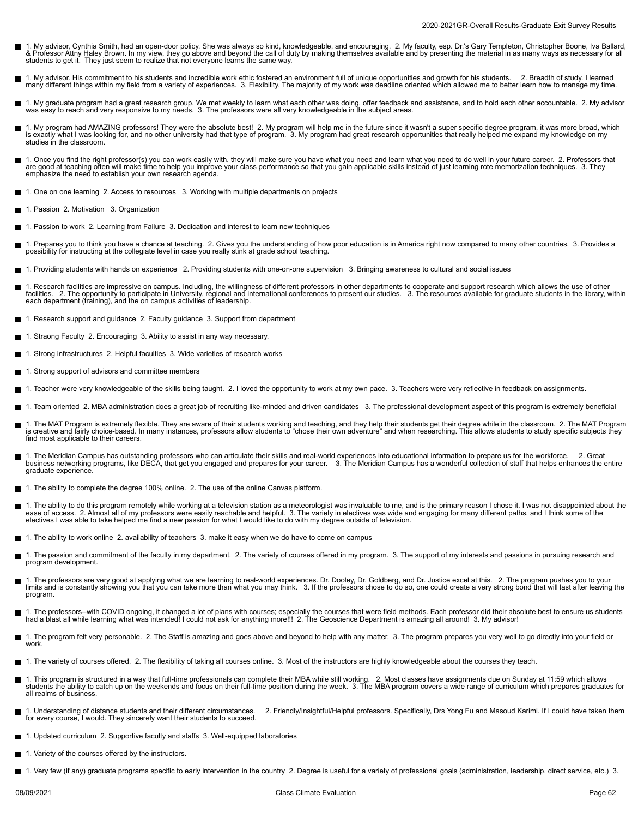- 1. My advisor, Cynthia Smith, had an open-door policy. She was always so kind, knowledgeable, and encouraging. 2. My faculty, esp. Dr.'s Gary Templeton, Christopher Boone, Iva Ballard,<br>& Professor Attny Haley Brown. In my
- 1. My advisor. His commitment to his students and incredible work ethic fostered an environment full of unique opportunities and growth for his students. 2. Breadth of study. I learned<br>many different things within my field
- 1. My graduate program had a great research group. We met weekly to learn what each other was doing, offer feedback and assistance, and to hold each other accountable. 2. My advisor<br>was easy to reach and very responsive to
- 1. My program had AMAZING professors! They were the absolute best! 2. My program will help me in the future since it wasn't a super specific degree program, it was more broad, which<br>is exactly what I was looking for, and n studies in the classroom.
- 1. Once you find the right professor(s) you can work easily with, they will make sure you have what you need and learn what you need to do well in your future career. 2. Professors that are good at teaching often will make time to help you improve your class performance so that you gain applicable skills instead of just learning rote memorization techniques. 3. They<br>emphasize the need to establish your o
- 1. One on one learning 2. Access to resources 3. Working with multiple departments on projects
- 1. Passion 2. Motivation 3. Organization
- 1. Passion to work 2. Learning from Failure 3. Dedication and interest to learn new techniques  $\blacksquare$
- 1. Prepares you to think you have a chance at teaching. 2. Gives you the understanding of how poor education is in America right now compared to many other countries. 3. Provides a<br>possibility for instructing at the coll
- 1. Providing students with hands on experience 2. Providing students with one-on-one supervision 3. Bringing awareness to cultural and social issues
- 1. Research facilities are impressive on campus. Including, the willingness of different professors in other departments to cooperate and support research which allows the use of other П facilities. 2. The opportunity to participate in University, regional and international conferences to present our studies. 3. The resources available for graduate students in the library, within<br>each department (train
- 1. Research support and guidance 2. Faculty guidance 3. Support from department
- 1. Straong Faculty 2. Encouraging 3. Ability to assist in any way necessary.  $\blacksquare$
- 1. Strong infrastructures 2. Helpful faculties 3. Wide varieties of research works
- П 1. Strong support of advisors and committee members
- 1. Teacher were very knowledgeable of the skills being taught. 2. I loved the opportunity to work at my own pace. 3. Teachers were very reflective in feedback on assignments.
- 1. Team oriented 2. MBA administration does a great job of recruiting like-minded and driven candidates 3. The professional development aspect of this program is extremely beneficial
- 1. The MAT Program is extremely flexible. They are aware of their students working and teaching, and they help their students get their degree while in the classroom. 2. The MAT Program<br>is creative and fairly choice-based. find most applicable to their careers.
- 1. The Meridian Campus has outstanding professors who can articulate their skills and real-world experiences into educational information to prepare us for the workforce. 2. Great<br>business networking programs, like DECA, t graduate experience.
- 1. The ability to complete the degree 100% online. 2. The use of the online Canvas platform. П
- 1. The ability to do this program remotely while working at a television station as a meteorologist was invaluable to me, and is the primary reason I chose it. I was not disappointed about the<br>ease of access. 2. Almost all electives I was able to take helped me find a new passion for what I would like to do with my degree outside of television.
- 1. The ability to work online 2. availability of teachers 3. make it easy when we do have to come on campus
- Н 1. The passion and commitment of the faculty in my department. 2. The variety of courses offered in my program. 3. The support of my interests and passions in pursuing research and program development.
- 1. The professors are very good at applying what we are learning to real-world experiences. Dr. Dooley, Dr. Goldberg, and Dr. Justice excel at this. 2. The program pushes you to your<br>limits and is constantly showing you th program.
- 1. The professors--with COVID ongoing, it changed a lot of plans with courses; especially the courses that were field methods. Each professor did their absolute best to ensure us students had a blast all while learning what was intended! I could not ask for anything more!!! 2. The Geoscience Department is amazing all around! 3. My advisor!
- 1. The program felt very personable. 2. The Staff is amazing and goes above and beyond to help with any matter. 3. The program prepares you very well to go directly into your field or work.
- 1. The variety of courses offered. 2. The flexibility of taking all courses online. 3. Most of the instructors are highly knowledgeable about the courses they teach.
- 1. This program is structured in a way that full-time professionals can complete their MBA while still working. 2. Most classes have assignments due on Sunday at 11:59 which allows<br>students the ability to catch up on the w all realms of business.
- 1. Understanding of distance students and their different circumstances. 2. Friendly/Insightful/Helpful professors. Specifically, Drs Yong Fu and Masoud Karimi. If I could have taken them for every course, I would. They sincerely want their students to succeed.
- 1. Updated curriculum 2. Supportive faculty and staffs 3. Well-equipped laboratories
- 1. Variety of the courses offered by the instructors.  $\blacksquare$
- 1. Very few (if any) graduate programs specific to early intervention in the country 2. Degree is useful for a variety of professional goals (administration, leadership, direct service, etc.) 3.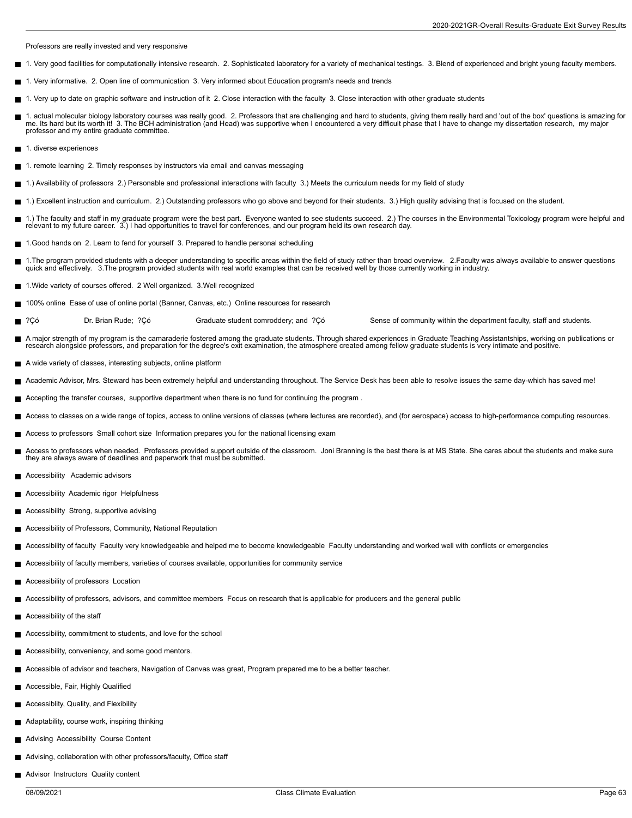Professors are really invested and very responsive

- 1. Very good facilities for computationally intensive research. 2. Sophisticated laboratory for a variety of mechanical testings. 3. Blend of experienced and bright young faculty members.
- 1. Very informative. 2. Open line of communication 3. Very informed about Education program's needs and trends
- 1. Very up to date on graphic software and instruction of it 2. Close interaction with the faculty 3. Close interaction with other graduate students
- 1. actual molecular biology laboratory courses was really good. 2. Professors that are challenging and hard to students, giving them really hard and 'out of the box' questions is amazing for<br>me. Its hard but its worth it! professor and my entire graduate committee.
- **■** 1. diverse experiences
- 1. remote learning 2. Timely responses by instructors via email and canvas messaging
- 1.) Availability of professors 2.) Personable and professional interactions with faculty 3.) Meets the curriculum needs for my field of study П
- 1.) Excellent instruction and curriculum. 2.) Outstanding professors who go above and beyond for their students. 3.) High quality advising that is focused on the student.
- $\blacksquare$ 1.) The faculty and staff in my graduate program were the best part. Everyone wanted to see students succeed. 2.) The courses in the Environmental Toxicology program were helpful and relevant to my future career. 3.) I had opportunities to travel for conferences, and our program held its own research day.
- 1.Good hands on 2. Learn to fend for yourself 3. Prepared to handle personal scheduling
- 1.The program provided students with a deeper understanding to specific areas within the field of study rather than broad overview. 2.Faculty was always available to answer questions<br>quick and effectively. 3.The program pr
- 1.Wide variety of courses offered. 2 Well organized. 3.Well recognized
- $\blacksquare$ 100% online Ease of use of online portal (Banner, Canvas, etc.) Online resources for research
- Ē ?Çó Dr. Brian Rude; ?Çó Graduate student comroddery; and ?Çó Sense of community within the department faculty, staff and students.
- Е A major strength of my program is the camaraderie fostered among the graduate students. Through shared experiences in Graduate Teaching Assistantships, working on publications or research alongside professors, and preparation for the degree's exit examination, the atmosphere created among fellow graduate students is very intimate and positive.
- A wide variety of classes, interesting subjects, online platform
- Academic Advisor, Mrs. Steward has been extremely helpful and understanding throughout. The Service Desk has been able to resolve issues the same day-which has saved me!
- Accepting the transfer courses, supportive department when there is no fund for continuing the program .
- Access to classes on a wide range of topics, access to online versions of classes (where lectures are recorded), and (for aerospace) access to high-performance computing resources.
- Access to professors Small cohort size Information prepares you for the national licensing exam
- Access to professors when needed. Professors provided support outside of the classroom. Joni Branning is the best there is at MS State. She cares about the students and make sure they are always aware of deadlines and paperwork that must be submitted.
- Accessibility Academic advisors
- **Accessibility Academic rigor Helpfulness**
- Accessibility Strong, supportive advising
- Accessibility of Professors, Community, National Reputation
- Accessibility of faculty Faculty very knowledgeable and helped me to become knowledgeable Faculty understanding and worked well with conflicts or emergencies
- Accessibility of faculty members, varieties of courses available, opportunities for community service
- Accessibility of professors Location
- Accessibility of professors, advisors, and committee members Focus on research that is applicable for producers and the general public
- Accessibility of the staff
- Accessibility, commitment to students, and love for the school
- Accessibility, conveniency, and some good mentors.
- Accessible of advisor and teachers, Navigation of Canvas was great, Program prepared me to be a better teacher.
- Accessible, Fair, Highly Qualified
- Accessiblity, Quality, and Flexibility
- Adaptability, course work, inspiring thinking
- Advising Accessibility Course Content
- Advising, collaboration with other professors/faculty, Office staff
- **Advisor Instructors Quality content**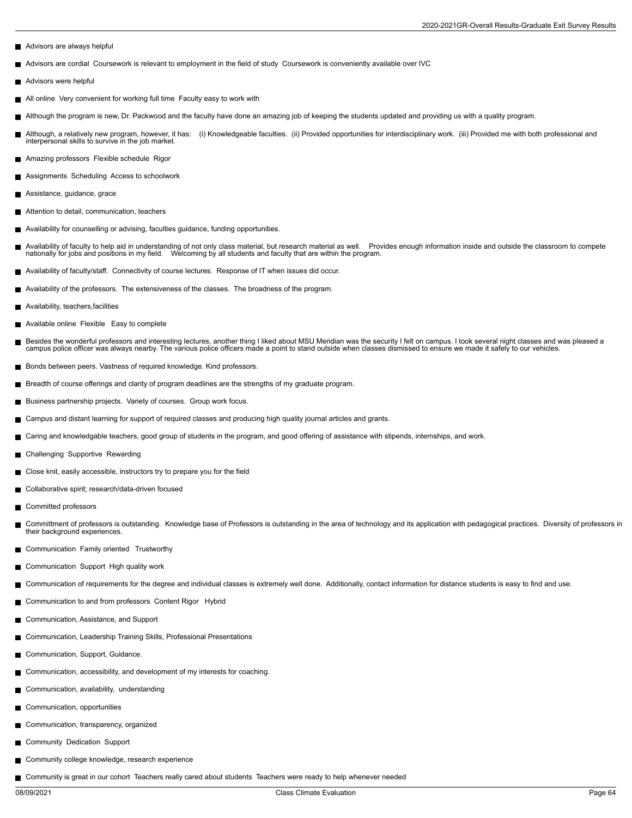- Advisors are always helpful
- Advisors are cordial Coursework is relevant to employment in the field of study Coursework is conveniently available over IVC П
- Advisors were helpful
- All online Very convenient for working full time Faculty easy to work with П
- Although the program is new, Dr. Packwood and the faculty have done an amazing job of keeping the students updated and providing us with a quality program.
- Although, a relatively new program, however, it has: (i) Knowledgeable faculties. (ii) Provided opportunities for interdisciplinary work. (iii) Provided me with both professional and interpersonal skills to survive in the job market.
- Amazing professors Flexible schedule Rigor
- Assignments Scheduling Access to schoolwork
- Assistance, guidance, grace
- Attention to detail, communication, teachers
- Availability for counselling or advising, faculties guidance, funding opportunities.
- Availability of faculty to help aid in understanding of not only class material, but research material as well. Provides enough information inside and outside the classroom to compete<br>nationally for jobs and positions in m
- Availability of faculty/staff. Connectivity of course lectures. Response of IT when issues did occur.
- Availability of the professors. The extensiveness of the classes. The broadness of the program.
- Availability, teachers,facilities
- Available online Flexible Easy to complete
- Besides the wonderful professors and interesting lectures, another thing I liked about MSU Meridian was the security I felt on campus. I took several night classes and was pleased a<br>campus police officer was always nearby.
- Bonds between peers. Vastness of required knowledge. Kind professors.
- Breadth of course offerings and clarity of program deadlines are the strengths of my graduate program.
- Business partnership projects. Variety of courses. Group work focus.
- Campus and distant learning for support of required classes and producing high quality journal articles and grants.
- Caring and knowledgable teachers, good group of students in the program, and good offering of assistance with stipends, internships, and work.  $\blacksquare$
- Challenging Supportive Rewarding
- Close knit, easily accessible, instructors try to prepare you for the field
- Collaborative spirit; research/data-driven focused
- Committed professors
- Committment of professors is outstanding. Knowledge base of Professors is outstanding in the area of technology and its application with pedagogical practices. Diversity of professors in  $\blacksquare$ their background experiences.
- Communication Family oriented Trustworthy
- Communication Support High quality work
- Communication of requirements for the degree and individual classes is extremely well done. Additionally, contact information for distance students is easy to find and use.
- Communication to and from professors Content Rigor Hybrid
- Communication, Assistance, and Support
- Communication, Leadership Training Skills, Professional Presentations
- Communication, Support, Guidance.  $\blacksquare$
- Communication, accessibility, and development of my interests for coaching.
- Communication, availability, understanding  $\blacksquare$
- Communication, opportunities
- Communication, transparency, organized
- Community Dedication Support П
- Community college knowledge, research experience
- Community is great in our cohort Teachers really cared about students Teachers were ready to help whenever needed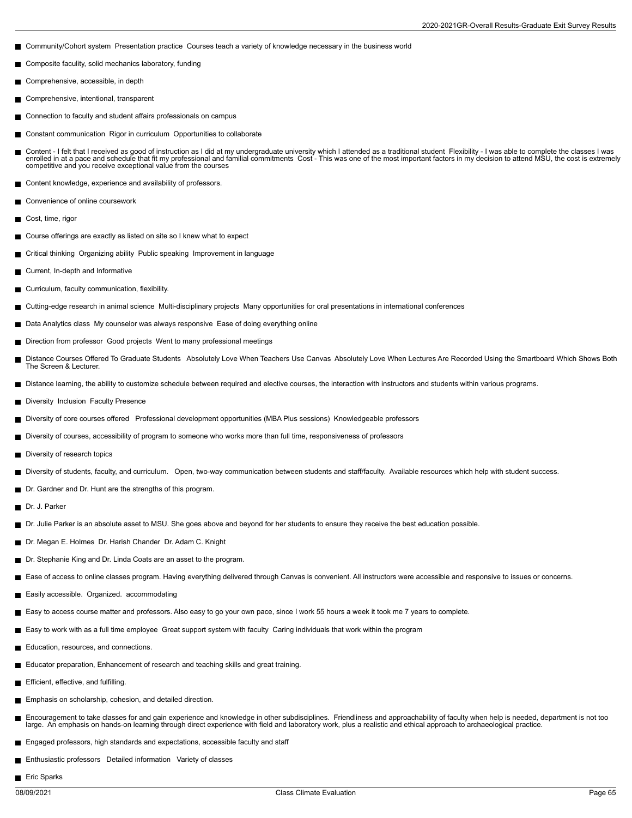- Community/Cohort system Presentation practice Courses teach a variety of knowledge necessary in the business world
- Composite faculity, solid mechanics laboratory, funding  $\blacksquare$
- Comprehensive, accessible, in depth
- П Comprehensive, intentional, transparent
- Connection to faculty and student affairs professionals on campus
- Constant communication Rigor in curriculum Opportunities to collaborate  $\blacksquare$
- Content I felt that I received as good of instruction as I did at my undergraduate university which I attended as a traditional student Flexibility I was able to complete the classes I was<br>enrolled in at a pace and sch
- Content knowledge, experience and availability of professors.
- Convenience of online coursework
- Cost, time, rigor П
- Course offerings are exactly as listed on site so I knew what to expect
- Critical thinking Organizing ability Public speaking Improvement in language
- Current, In-depth and Informative  $\blacksquare$
- Curriculum, faculty communication, flexibility.
- Cutting-edge research in animal science Multi-disciplinary projects Many opportunities for oral presentations in international conferences
- Data Analytics class My counselor was always responsive Ease of doing everything online
- Direction from professor Good projects Went to many professional meetings  $\blacksquare$
- Distance Courses Offered To Graduate Students Absolutely Love When Teachers Use Canvas Absolutely Love When Lectures Are Recorded Using the Smartboard Which Shows Both The Screen & Lecturer.
- Distance learning, the ability to customize schedule between required and elective courses, the interaction with instructors and students within various programs.
- Diversity Inclusion Faculty Presence
- Diversity of core courses offered Professional development opportunities (MBA Plus sessions) Knowledgeable professors
- Diversity of courses, accessibility of program to someone who works more than full time, responsiveness of professors
- Diversity of research topics
- Diversity of students, faculty, and curriculum. Open, two-way communication between students and staff/faculty. Available resources which help with student success.
- **Dr.** Gardner and Dr. Hunt are the strengths of this program.
- Dr. J. Parker
- Dr. Julie Parker is an absolute asset to MSU. She goes above and bevond for her students to ensure they receive the best education possible.
- Dr. Megan E. Holmes Dr. Harish Chander Dr. Adam C. Knight
- Dr. Stephanie King and Dr. Linda Coats are an asset to the program.
- Ease of access to online classes program. Having everything delivered through Canvas is convenient. All instructors were accessible and responsive to issues or concerns.
- Easily accessible. Organized. accommodating
- Easy to access course matter and professors. Also easy to go your own pace, since I work 55 hours a week it took me 7 years to complete.
- Easy to work with as a full time employee Great support system with faculty Caring individuals that work within the program
- Education, resources, and connections.
- Educator preparation, Enhancement of research and teaching skills and great training.
- **Efficient, effective, and fulfilling.**
- **Emphasis on scholarship, cohesion, and detailed direction.**
- Encouragement to take classes for and gain experience and knowledge in other subdisciplines. Friendliness and approachability of faculty when help is needed, department is not too п large. An emphasis on hands-on learning through direct experience with field and laboratory work, plus a realistic and ethical approach to archaeological practice.
- Engaged professors, high standards and expectations, accessible faculty and staff
- **Enthusiastic professors** Detailed information Variety of classes
- Eric Sparks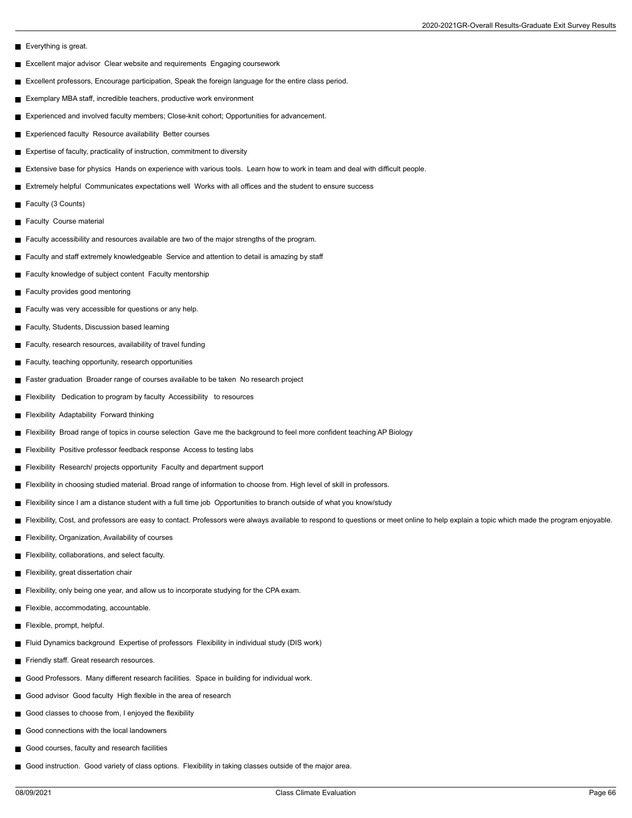- Everything is great.
- **Excellent major advisor Clear website and requirements Engaging coursework**
- Excellent professors, Encourage participation, Speak the foreign language for the entire class period.
- Exemplary MBA staff, incredible teachers, productive work environment
- Experienced and involved faculty members; Close-knit cohort; Opportunities for advancement.
- Experienced faculty Resource availability Better courses
- Expertise of faculty, practicality of instruction, commitment to diversity
- Extensive base for physics Hands on experience with various tools. Learn how to work in team and deal with difficult people.
- Extremely helpful Communicates expectations well Works with all offices and the student to ensure success
- Faculty (3 Counts)
- Faculty Course material
- Faculty accessibility and resources available are two of the major strengths of the program.
- Faculty and staff extremely knowledgeable Service and attention to detail is amazing by staff
- Faculty knowledge of subject content Faculty mentorship
- Faculty provides good mentoring
- Faculty was very accessible for questions or any help.
- Faculty, Students, Discussion based learning
- Faculty, research resources, availability of travel funding
- Faculty, teaching opportunity, research opportunities
- Faster graduation Broader range of courses available to be taken No research project
- Flexibility Dedication to program by faculty Accessibility to resources
- **Flexibility Adaptability Forward thinking**
- Flexibility Broad range of topics in course selection Gave me the background to feel more confident teaching AP Biology
- **Flexibility Positive professor feedback response Access to testing labs**
- Flexibility Research/ projects opportunity Faculty and department support
- Flexibility in choosing studied material. Broad range of information to choose from. High level of skill in professors.
- Flexibility since I am a distance student with a full time job Opportunities to branch outside of what you know/study
- Flexibility, Cost, and professors are easy to contact. Professors were always available to respond to questions or meet online to help explain a topic which made the program enjoyable.
- Flexibility, Organization, Availability of courses
- Flexibility, collaborations, and select faculty.
- Flexibility, great dissertation chair
- Flexibility, only being one year, and allow us to incorporate studying for the CPA exam.
- Flexible, accommodating, accountable.
- Flexible, prompt, helpful.
- Fluid Dynamics background Expertise of professors Flexibility in individual study (DIS work)
- Friendly staff. Great research resources.
- Good Professors. Many different research facilities. Space in building for individual work.
- Good advisor Good faculty High flexible in the area of research
- Good classes to choose from, I enjoyed the flexibility
- Good connections with the local landowners
- Good courses, faculty and research facilities
- Good instruction. Good variety of class options. Flexibility in taking classes outside of the major area.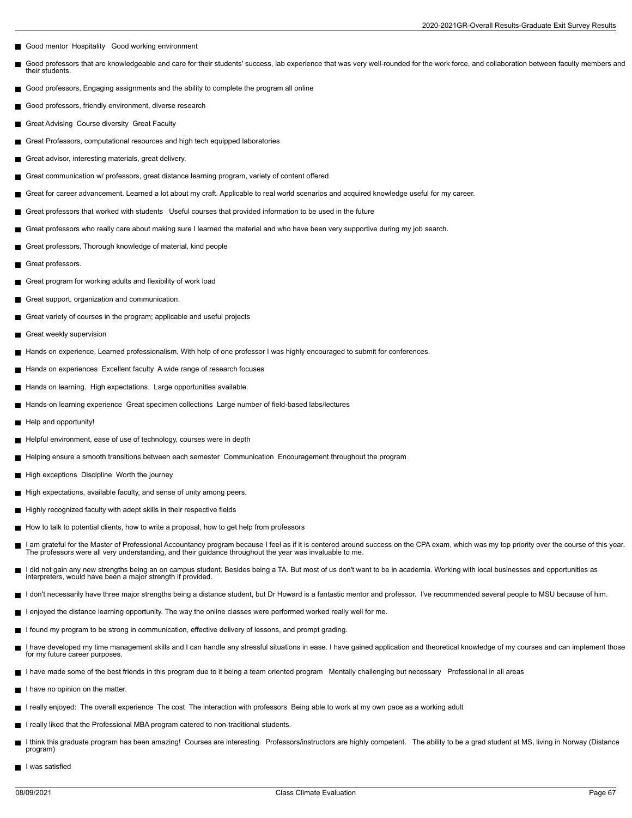- Good mentor Hospitality Good working environment
- Good professors that are knowledgeable and care for their students' success, lab experience that was very well-rounded for the work force, and collaboration between faculty members and П their students.
- Good professors, Engaging assignments and the ability to complete the program all online
- Good professors, friendly environment, diverse research
- Great Advising Course diversity Great Faculty  $\blacksquare$
- Great Professors, computational resources and high tech equipped laboratories
- Great advisor, interesting materials, great delivery.  $\blacksquare$
- Great communication w/ professors, great distance learning program, variety of content offered
- Great for career advancement. Learned a lot about my craft. Applicable to real world scenarios and acquired knowledge useful for my career. П
- П Great professors that worked with students Useful courses that provided information to be used in the future
- Great professors who really care about making sure I learned the material and who have been very supportive during my job search.
- $\blacksquare$ Great professors, Thorough knowledge of material, kind people
- Great professors.
- $\blacksquare$ Great program for working adults and flexibility of work load
- Great support, organization and communication.
- Great variety of courses in the program; applicable and useful projects
- Great weekly supervision
- Hands on experience, Learned professionalism, With help of one professor I was highly encouraged to submit for conferences.
- Hands on experiences Excellent faculty A wide range of research focuses  $\blacksquare$
- Hands on learning. High expectations. Large opportunities available.
- Hands-on learning experience Great specimen collections Large number of field-based labs/lectures П
- Help and opportunity!
- Helpful environment, ease of use of technology, courses were in depth
- Helping ensure a smooth transitions between each semester Communication Encouragement throughout the program
- High exceptions Discipline Worth the journey
- High expectations, available faculty, and sense of unity among peers.
- Highly recognized faculty with adept skills in their respective fields  $\blacksquare$
- $\blacksquare$  How to talk to potential clients, how to write a proposal, how to get help from professors
- I am grateful for the Master of Professional Accountancy program because I feel as if it is centered around success on the CPA exam, which was my top priority over the course of this year. The professors were all very understanding, and their guidance throughout the year was invaluable to me.
- I did not gain any new strengths being an on campus student. Besides being a TA. But most of us don't want to be in academia. Working with local businesses and opportunities as  $\blacksquare$ interpreters, would have been a major strength if provided.
- I don't necessarily have three major strengths being a distance student, but Dr Howard is a fantastic mentor and professor. I've recommended several people to MSU because of him.
- I enjoyed the distance learning opportunity. The way the online classes were performed worked really well for me.
- I found my program to be strong in communication, effective delivery of lessons, and prompt grading.
- I have developed my time management skills and I can handle any stressful situations in ease. I have gained application and theoretical knowledge of my courses and can implement those for my future career purposes.
- I have made some of the best friends in this program due to it being a team oriented program Mentally challenging but necessary Professional in all areas
- I have no opinion on the matter.
- I really enjoyed: The overall experience The cost The interaction with professors Being able to work at my own pace as a working adult
- I really liked that the Professional MBA program catered to non-traditional students.
- I think this graduate program has been amazing! Courses are interesting. Professors/instructors are highly competent. The ability to be a grad student at MS, living in Norway (Distance program)
- I was satisfied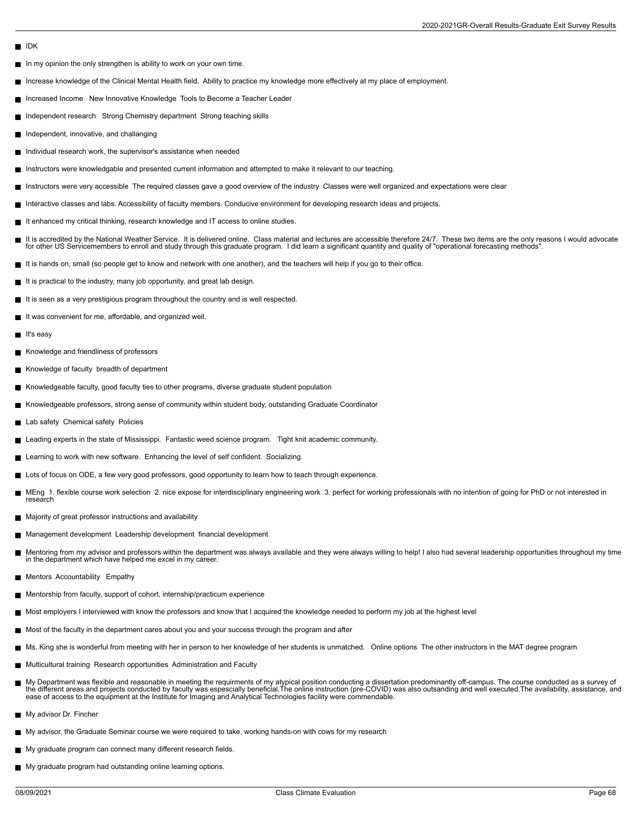## IDK

- $\blacksquare$  In my opinion the only strengthen is ability to work on your own time.
- Increase knowledge of the Clinical Mental Health field. Ability to practice my knowledge more effectively at my place of employment.
- $\blacksquare$ Increased Income New Innovative Knowledge Tools to Become a Teacher Leader
- Independent research Strong Chemistry department Strong teaching skills
- Independent, innovative, and challanging
- Individual research work, the supervisor's assistance when needed  $\blacksquare$
- Instructors were knowledgable and presented current information and attempted to make it relevant to our teaching.
- Instructors were very accessible The required classes gave a good overview of the industry Classes were well organized and expectations were clear П
- Interactive classes and labs. Accessibility of faculty members. Conducive environment for developing research ideas and projects.
- It enhanced my critical thinking, research knowledge and IT access to online studies. ш
- Е It is accredited by the National Weather Service. It is delivered online. Class material and lectures are accessible therefore 24/7. These two items are the only reasons I would advocate for other US Servicemembers to enroll and study through this graduate program. I did learn a significant quantity and quality of "operational forecasting methods".
- It is hands on, small (so people get to know and network with one another), and the teachers will help if you go to their office.
- $\blacksquare$ It is practical to the industry, many job opportunity, and great lab design.
- It is seen as a very prestigious program throughout the country and is well respected.
- It was convenient for me, affordable, and organized well.
- It's easy
- Knowledge and friendliness of professors
- Knowledge of faculty breadth of department  $\blacksquare$
- Knowledgeable faculty, good faculty ties to other programs, diverse graduate student population
- Knowledgeable professors, strong sense of community within student body, outstanding Graduate Coordinator П
- Lab safety Chemical safety Policies
- Leading experts in the state of Mississippi. Fantastic weed science program. Tight knit academic community.
- Learning to work with new software. Enhancing the level of self confident. Socializing.
- Lots of focus on ODE, a few very good professors, good opportunity to learn how to teach through experience.
- MEng 1. flexible course work selection 2. nice expose for interdisciplinary engineering work 3. perfect for working professionals with no intention of going for PhD or not interested in research
- Majority of great professor instructions and availability
- Management development Leadership development financial development  $\blacksquare$
- Mentoring from my advisor and professors within the department was always available and they were always willing to help! I also had several leadership opportunities throughout my time<br>in the department which have helped m
- Mentors Accountability Empathy
- Mentorship from faculty, support of cohort, internship/practicum experience
- Most employers I interviewed with know the professors and know that I acquired the knowledge needed to perform my job at the highest level
- Most of the faculty in the department cares about you and your success through the program and after
- Ms. King she is wonderful from meeting with her in person to her knowledge of her students is unmatched. Online options The other instructors in the MAT degree program
- Multicultural training Research opportunities Administration and Faculty
- My Department was flexible and reasonable in meeting the requirments of my atypical position conducting a dissertation predominantly off-campus. The course conducted as a survey of<br>the different areas and projects conducte ease of access to the equipment at the Institute for Imaging and Analytical Technologies facility were commendable.
- My advisor Dr. Fincher
- My advisor, the Graduate Seminar course we were required to take, working hands-on with cows for my research m,
- My graduate program can connect many different research fields.
- My graduate program had outstanding online learning options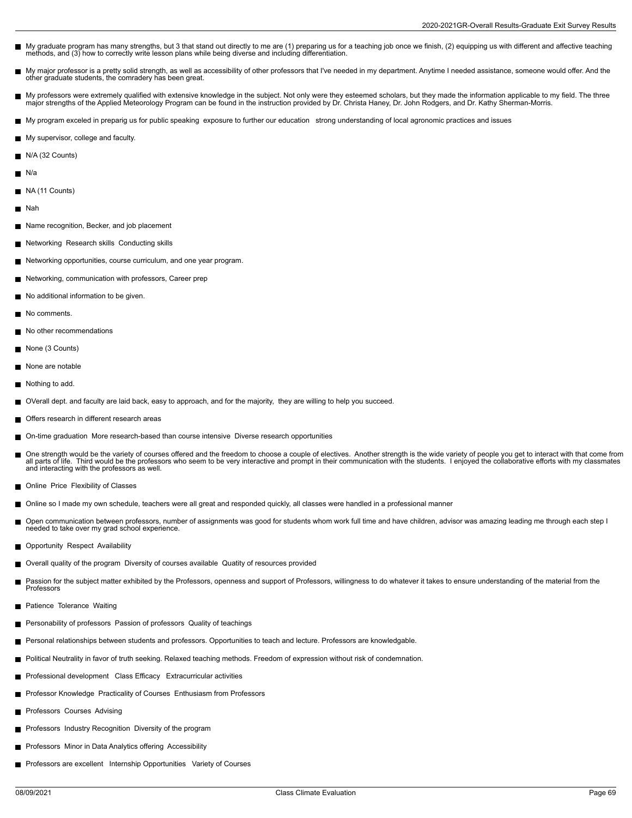- My graduate program has many strengths, but 3 that stand out directly to me are (1) preparing us for a teaching job once we finish, (2) equipping us with different and affective teaching methods, and (3) how to correctly write lesson plans while being diverse and including differentiation.
- My major professor is a pretty solid strength, as well as accessibility of other professors that I've needed in my department. Anytime I needed assistance, someone would offer. And the other graduate students, the comradery has been great.
- My professors were extremely qualified with extensive knowledge in the subject. Not only were they esteemed scholars, but they made the information applicable to my field. The three<br>major strengths of the Applied Meteorolo
- My program exceled in preparig us for public speaking exposure to further our education strong understanding of local agronomic practices and issues
- My supervisor, college and faculty.
- N/A (32 Counts)
- N/a
- NA (11 Counts)
- m, Nah
- Name recognition, Becker, and job placement
- Networking Research skills Conducting skills
- Networking opportunities, course curriculum, and one year program.
- Networking, communication with professors, Career prep
- No additional information to be given.
- No comments.  $\blacksquare$
- No other recommendations
- None (3 Counts)
- None are notable
- Nothing to add.
- OVerall dept. and faculty are laid back, easy to approach, and for the majority, they are willing to help you succeed.  $\blacksquare$
- Offers research in different research areas
- On-time graduation More research-based than course intensive Diverse research opportunities П
- One strength would be the variety of courses offered and the freedom to choose a couple of electives. Another strength is the wide variety of people you get to interact with that come from all parts of life. Third would be the professors who seem to be very interactive and prompt in their communication with the students. I enjoyed the collaborative efforts with my classmates all parts of life. Third would be and interacting with the professors as well.
- **Online Price Flexibility of Classes**
- Online so I made my own schedule, teachers were all great and responded quickly, all classes were handled in a professional manner
- Open communication between professors, number of assignments was good for students whom work full time and have children, advisor was amazing leading me through each step I needed to take over my grad school experience.
- Opportunity Respect Availability  $\blacksquare$
- Overall quality of the program Diversity of courses available Quatity of resources provided
- Passion for the subject matter exhibited by the Professors, openness and support of Professors, willingness to do whatever it takes to ensure understanding of the material from the П Professors
- Patience Tolerance Waiting
- Personability of professors Passion of professors Quality of teachings
- Personal relationships between students and professors. Opportunities to teach and lecture. Professors are knowledgable.
- Political Neutrality in favor of truth seeking. Relaxed teaching methods. Freedom of expression without risk of condemnation.
- Professional development Class Efficacy Extracurricular activities
- **Professor Knowledge Practicality of Courses Enthusiasm from Professors**
- Professors Courses Advising
- **Professors Industry Recognition Diversity of the program**
- **Professors Minor in Data Analytics offering Accessibility**
- **Professors are excellent Internship Opportunities Variety of Courses**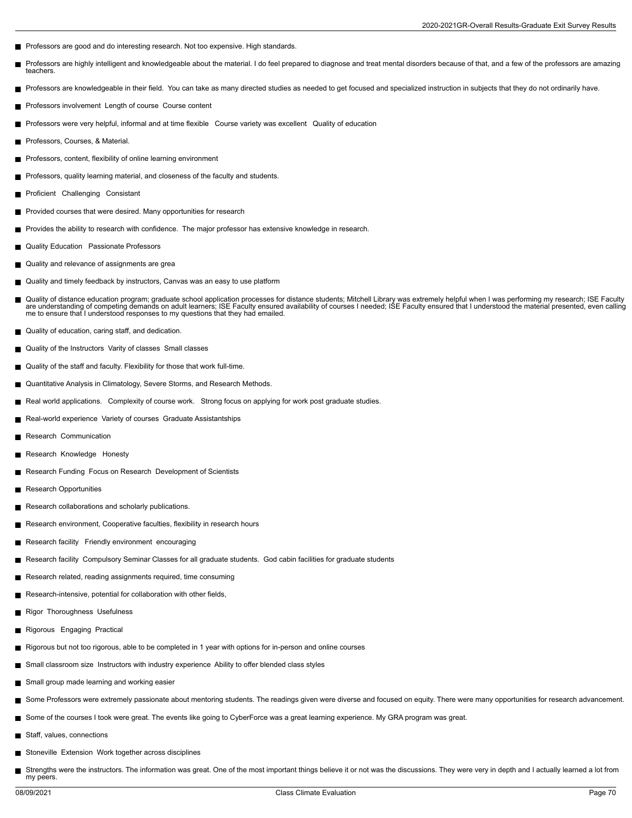- Professors are good and do interesting research. Not too expensive. High standards.
- Professors are highly intelligent and knowledgeable about the material. I do feel prepared to diagnose and treat mental disorders because of that, and a few of the professors are amazing г teachers.
- Professors are knowledgeable in their field. You can take as many directed studies as needed to get focused and specialized instruction in subjects that they do not ordinarily have.
- Professors involvement Length of course Course content
- Professors were very helpful, informal and at time flexible Course variety was excellent Quality of education  $\blacksquare$
- Professors, Courses, & Material.
- **Professors, content, flexibility of online learning environment**
- Professors, quality learning material, and closeness of the faculty and students.
- Proficient Challenging Consistant  $\blacksquare$
- **Provided courses that were desired. Many opportunities for research**
- Provides the ability to research with confidence. The major professor has extensive knowledge in research.
- **Quality Education** Passionate Professors
- Quality and relevance of assignments are grea
- Quality and timely feedback by instructors, Canvas was an easy to use platform
- Quality of distance education program; graduate school application processes for distance students; Mitchell Library was extremely helpful when I was performing my research; ISE Faculty are understanding of competing demands on adult learners; ISE Faculty ensured availability of courses I needed; ISE Faculty ensured that I understood the material presented, even calling<br>me to ensure that I understood resp
- **Quality of education, caring staff, and dedication.**
- Quality of the Instructors Varity of classes Small classes
- Quality of the staff and faculty. Flexibility for those that work full-time.
- Quantitative Analysis in Climatology, Severe Storms, and Research Methods.
- Real world applications. Complexity of course work. Strong focus on applying for work post graduate studies.  $\blacksquare$
- Real-world experience Variety of courses Graduate Assistantships
- Research Communication
- Research Knowledge Honesty
- Research Funding Focus on Research Development of Scientists
- Research Opportunities
- Research collaborations and scholarly publications.
- Research environment, Cooperative faculties, flexibility in research hours
- Research facility Friendly environment encouraging
- Research facility Compulsory Seminar Classes for all graduate students. God cabin facilities for graduate students
- Research related, reading assignments required, time consuming
- Research-intensive, potential for collaboration with other fields,
- Rigor Thoroughness Usefulness
- Rigorous Engaging Practical
- Rigorous but not too rigorous, able to be completed in 1 year with options for in-person and online courses
- Small classroom size Instructors with industry experience Ability to offer blended class styles
- Small group made learning and working easier
- Some Professors were extremely passionate about mentoring students. The readings given were diverse and focused on equity. There were many opportunities for research advancement.
- Some of the courses I took were great. The events like going to CyberForce was a great learning experience. My GRA program was great.
- Staff, values, connections
- Stoneville Extension Work together across disciplines
- Strengths were the instructors. The information was great. One of the most important things believe it or not was the discussions. They were very in depth and I actually learned a lot from my peers.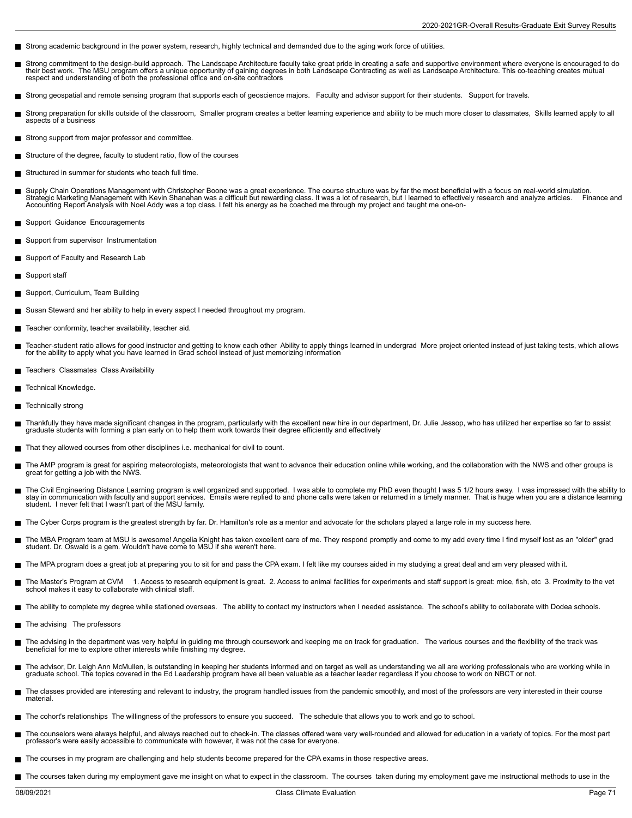- Strong academic background in the power system, research, highly technical and demanded due to the aging work force of utilities.
- Strong commitment to the design-build approach. The Landscape Architecture faculty take great pride in creating a safe and supportive environment where everyone is encouraged to do г their best work. The MSU program offers a unique opportunity of gaining degrees in both Landscape Contracting as well as Landscape Architecture. This co-teaching creates mutual<br>respect and understanding of both the profes
- Strong geospatial and remote sensing program that supports each of geoscience majors. Faculty and advisor support for their students. Support for travels.
- Strong preparation for skills outside of the classroom, Smaller program creates a better learning experience and ability to be much more closer to classmates, Skills learned apply to all aspects of a business
- Strong support from major professor and committee.
- Structure of the degree, faculty to student ratio, flow of the courses  $\blacksquare$
- $\blacksquare$ Structured in summer for students who teach full time.
- Supply Chain Operations Management with Christopher Boone was a great experience. The course structure was by far the most beneficial with a focus on real-world simulation. Strategic Marketing Management with Kevin Shanahan was a difficult but rewarding class. It was a lot of research, but I learned to effectively research and analyze articles. Finance and<br>Accounting Report Analysis with Noel
- Support Guidance Encouragements
- Support from supervisor Instrumentation  $\blacksquare$
- Support of Faculty and Research Lab
- Support staff
- П Support, Curriculum, Team Building
- Susan Steward and her ability to help in every aspect I needed throughout my program.
- Teacher conformity, teacher availability, teacher aid.
- Teacher-student ratio allows for good instructor and getting to know each other Ability to apply things learned in undergrad More project oriented instead of just taking tests, which allows for the ability to apply what you have learned in Grad school instead of just memorizing information
- Teachers Classmates Class Availability
- П Technical Knowledge.
- Technically strong
- Thankfully they have made significant changes in the program, particularly with the excellent new hire in our department, Dr. Julie Jessop, who has utilized her expertise so far to assist  $\blacksquare$ graduate students with forming a plan early on to help them work towards their degree efficiently and effectively
- That they allowed courses from other disciplines i.e. mechanical for civil to count.
- The AMP program is great for aspiring meteorologists, meteorologists that want to advance their education online while working, and the collaboration with the NWS and other groups is great for getting a job with the NWS.
- The Civil Engineering Distance Learning program is well organized and supported. I was able to complete my PhD even thought I was 5 1/2 hours away. I was impressed with the ability to stay in communication with faculty and support services. Emails were replied to and phone calls were taken or returned in a timely manner. That is huge when you are a distance learning student. I never felt that I wasn't part of the MSU family.
- The Cyber Corps program is the greatest strength by far. Dr. Hamilton's role as a mentor and advocate for the scholars played a large role in my success here.
- The MBA Program team at MSU is awesome! Angelia Knight has taken excellent care of me. They respond promptly and come to my add every time I find myself lost as an "older" grad<br>student. Dr. Oswald is a gem. Wouldn't have c
- The MPA program does a great job at preparing you to sit for and pass the CPA exam. I felt like my courses aided in my studying a great deal and am very pleased with it.
- The Master's Program at CVM 1. Access to research equipment is great. 2. Access to animal facilities for experiments and staff support is great: mice, fish, etc 3. Proximity to the vet<br>school makes it easy to collaborat
- The ability to complete my degree while stationed overseas. The ability to contact my instructors when I needed assistance. The school's ability to collaborate with Dodea schools.
- The advising The professors г
- п The advising in the department was very helpful in guiding me through coursework and keeping me on track for graduation. The various courses and the flexibility of the track was<br>beneficial for me to explore other interes
- The advisor, Dr. Leigh Ann McMullen, is outstanding in keeping her students informed and on target as well as understanding we all are working professionals who are working while in<br>graduate school. The topics covered in t
- The classes provided are interesting and relevant to industry, the program handled issues from the pandemic smoothly, and most of the professors are very interested in their course material.
- The cohort's relationships The willingness of the professors to ensure you succeed. The schedule that allows you to work and go to school.
- The counselors were always helpful, and always reached out to check-in. The classes offered were very well-rounded and allowed for education in a variety of topics. For the most part П professor's were easily accessible to communicate with however, it was not the case for everyone.
- The courses in my program are challenging and help students become prepared for the CPA exams in those respective areas.
- The courses taken during my employment gave me insight on what to expect in the classroom. The courses taken during my employment gave me instructional methods to use in the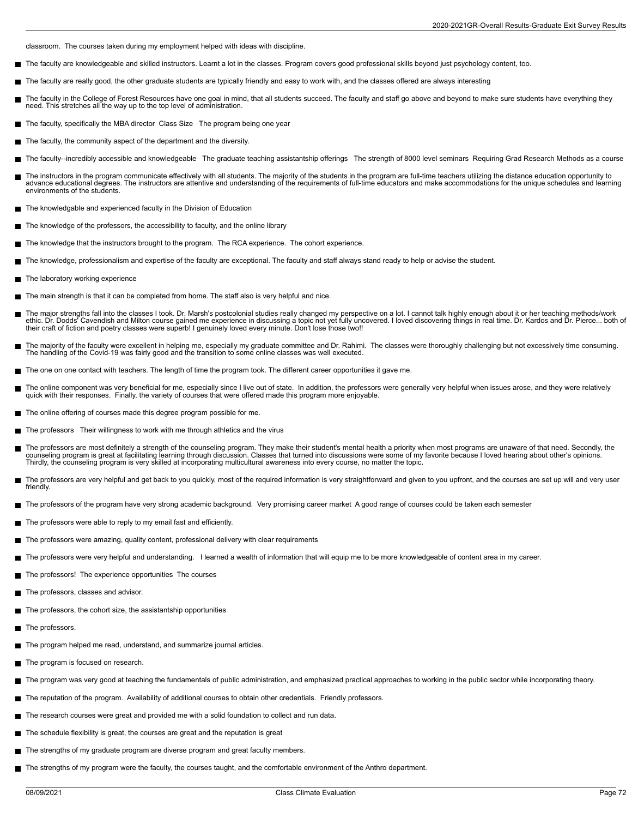classroom. The courses taken during my employment helped with ideas with discipline.

- The faculty are knowledgeable and skilled instructors. Learnt a lot in the classes. Program covers good professional skills beyond just psychology content, too. г
- The faculty are really good, the other graduate students are typically friendly and easy to work with, and the classes offered are always interesting
- П The faculty in the College of Forest Resources have one goal in mind, that all students succeed. The faculty and staff go above and beyond to make sure students have everything they<br>need. This stretches all the way up to t
- The faculty, specifically the MBA director Class Size The program being one year
- The faculty, the community aspect of the department and the diversity
- The faculty--incredibly accessible and knowledgeable The graduate teaching assistantship offerings The strength of 8000 level seminars Requiring Grad Research Methods as a course
- The instructors in the program communicate effectively with all students. The majority of the students in the program are full-time teachers utilizing the distance education opportunity to<br>advance educational degrees. The environments of the students.
- The knowledgable and experienced faculty in the Division of Education
- The knowledge of the professors, the accessibility to faculty, and the online library
- The knowledge that the instructors brought to the program. The RCA experience. The cohort experience. г
- The knowledge, professionalism and expertise of the faculty are exceptional. The faculty and staff always stand ready to help or advise the student.
- The laboratory working experience
- The main strength is that it can be completed from home. The staff also is very helpful and nice.
- The major strengths fall into the classes I took. Dr. Marsh's postcolonial studies really changed my perspective on a lot. I cannot talk highly enough about it or her teaching methods/work<br>ethic. Dr. Dodds' Cavendish and M their craft of fiction and poetry classes were superb! I genuinely loved every minute. Don't lose those two!!
- The majority of the faculty were excellent in helping me, especially my graduate committee and Dr. Rahimi. The classes were thoroughly challenging but not excessively time consuming. The handling of the Covid-19 was fairly good and the transition to some online classes was well executed.
- The one on one contact with teachers. The length of time the program took. The different career opportunities it gave me.
- п The online component was very beneficial for me, especially since I live out of state. In addition, the professors were generally very helpful when issues arose, and they were relatively<br>quick with their responses. Finally
- The online offering of courses made this degree program possible for me.
- The professors Their willingness to work with me through athletics and the virus
- The professors are most definitely a strength of the counseling program. They make their student's mental health a priority when most programs are unaware of that need. Secondly, the counseling program is great at facilitating learning through discussion. Classes that turned into discussions were some of my favorite because I loved hearing about other's opinions. Thirdly, the counseling program is very skilled at incorporating multicultural awareness into every course, no matter the topic.
- The professors are very helpful and get back to you quickly, most of the required information is very straightforward and given to you upfront, and the courses are set up will and very user П friendly.
- The professors of the program have very strong academic background. Very promising career market A good range of courses could be taken each semester
- The professors were able to reply to my email fast and efficiently.
- The professors were amazing, quality content, professional delivery with clear requirements
- The professors were very helpful and understanding. I learned a wealth of information that will equip me to be more knowledgeable of content area in my career.
- The professors! The experience opportunities The courses
- $\blacksquare$ The professors, classes and advisor.
- The professors, the cohort size, the assistantship opportunities
- The professors.
- The program helped me read, understand, and summarize journal articles.
- The program is focused on research.
- The program was very good at teaching the fundamentals of public administration, and emphasized practical approaches to working in the public sector while incorporating theory.
- The reputation of the program. Availability of additional courses to obtain other credentials. Friendly professors.
- The research courses were great and provided me with a solid foundation to collect and run data.
- The schedule flexibility is great, the courses are great and the reputation is great
- The strengths of my graduate program are diverse program and great faculty members. П
- The strengths of my program were the faculty, the courses taught, and the comfortable environment of the Anthro department.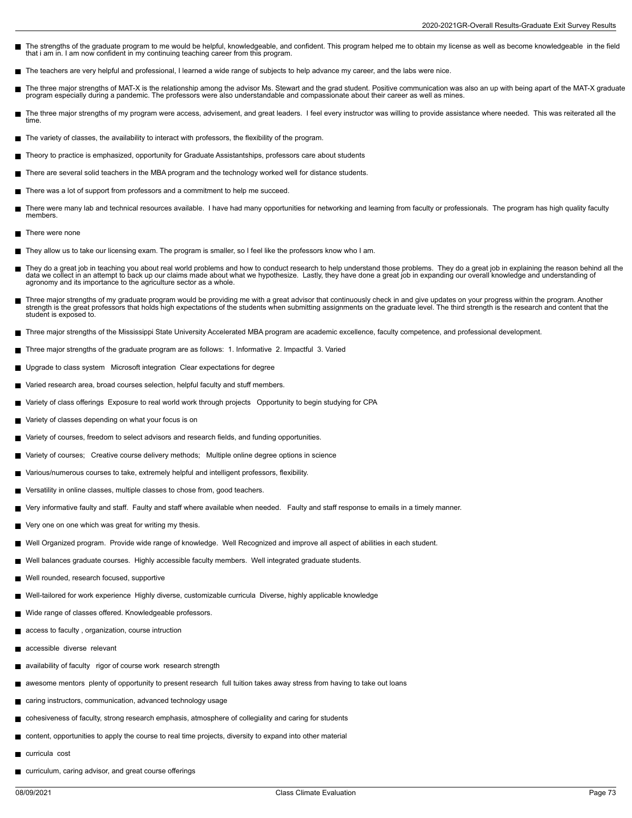- The strengths of the graduate program to me would be helpful, knowledgeable, and confident. This program helped me to obtain my license as well as become knowledgeable in the field that i am in. I am now confident in my continuing teaching career from this program.
- The teachers are very helpful and professional, I learned a wide range of subjects to help advance my career, and the labs were nice.
- The three major strengths of MAT-X is the relationship among the advisor Ms. Stewart and the grad student. Positive communication was also an up with being apart of the MAT-X graduate Н program especially during a pandemic. The professors were also understandable and compassionate about their career as well as mines.
- The three major strengths of my program were access, advisement, and great leaders. I feel every instructor was willing to provide assistance where needed. This was reiterated all the Е time.
- The variety of classes, the availability to interact with professors, the flexibility of the program.
- Theory to practice is emphasized, opportunity for Graduate Assistantships, professors care about students  $\blacksquare$
- $\blacksquare$ There are several solid teachers in the MBA program and the technology worked well for distance students.
- There was a lot of support from professors and a commitment to help me succeed.
- There were many lab and technical resources available. I have had many opportunities for networking and learning from faculty or professionals. The program has high quality faculty п members.
- $\blacksquare$  There were none
- They allow us to take our licensing exam. The program is smaller, so I feel like the professors know who I am.
- They do a great job in teaching you about real world problems and how to conduct research to help understand those problems. They do a great job in explaining the reason behind all the<br>data we collect in an attempt to back agronomy and its importance to the agriculture sector as a whole.
- Three major strengths of my graduate program would be providing me with a great advisor that continuously check in and give updates on your progress within the program. Another<br>strength is the great professors that holds h student is exposed to.
- Three major strengths of the Mississippi State University Accelerated MBA program are academic excellence, faculty competence, and professional development.
- $\blacksquare$ Three major strengths of the graduate program are as follows: 1. Informative 2. Impactful 3. Varied
- Upgrade to class system Microsoft integration Clear expectations for degree
- Varied research area, broad courses selection, helpful faculty and stuff members. П
- Variety of class offerings Exposure to real world work through projects Opportunity to begin studying for CPA
- Variety of classes depending on what your focus is on
- Variety of courses, freedom to select advisors and research fields, and funding opportunities. П
- Variety of courses; Creative course delivery methods; Multiple online degree options in science
- Various/numerous courses to take, extremely helpful and intelligent professors, flexibility. ш
- Versatility in online classes, multiple classes to chose from, good teachers.
- Very informative faulty and staff. Faulty and staff where available when needed. Faulty and staff response to emails in a timely manner.  $\blacksquare$
- Very one on one which was great for writing my thesis.
- Well Organized program. Provide wide range of knowledge. Well Recognized and improve all aspect of abilities in each student.  $\blacksquare$
- Well balances graduate courses. Highly accessible faculty members. Well integrated graduate students.
- Well rounded, research focused, supportive
- Well-tailored for work experience Highly diverse, customizable curricula Diverse, highly applicable knowledge
- Wide range of classes offered. Knowledgeable professors.
- access to faculty , organization, course intruction
- accessible diverse relevant
- availability of faculty rigor of course work research strength
- awesome mentors plenty of opportunity to present research full tuition takes away stress from having to take out loans
- caring instructors, communication, advanced technology usage
- cohesiveness of faculty, strong research emphasis, atmosphere of collegiality and caring for students
- content, opportunities to apply the course to real time projects, diversity to expand into other material
- curricula cost
- curriculum, caring advisor, and great course offerings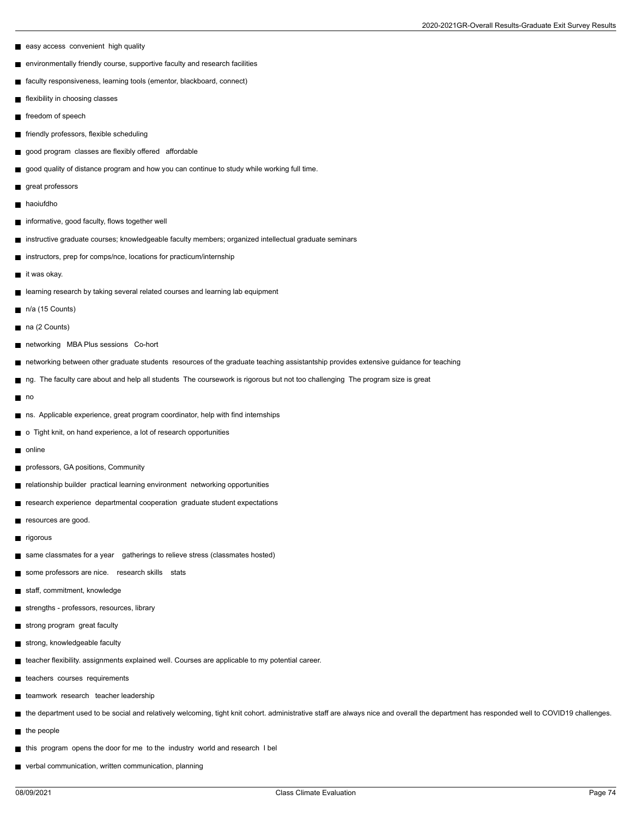- easy access convenient high quality
- environmentally friendly course, supportive faculty and research facilities
- faculty responsiveness, learning tools (ementor, blackboard, connect)
- flexibility in choosing classes
- freedom of speech
- friendly professors, flexible scheduling
- good program classes are flexibly offered affordable
- good quality of distance program and how you can continue to study while working full time.
- great professors
- haoiufdho
- informative, good faculty, flows together well
- instructive graduate courses; knowledgeable faculty members; organized intellectual graduate seminars
- instructors, prep for comps/nce, locations for practicum/internship
- it was okay.
- learning research by taking several related courses and learning lab equipment
- $n/a$  (15 Counts)
- na (2 Counts)
- networking MBA Plus sessions Co-hort
- networking between other graduate students resources of the graduate teaching assistantship provides extensive guidance for teaching
- ng. The faculty care about and help all students The coursework is rigorous but not too challenging The program size is great
- no
- ns. Applicable experience, great program coordinator, help with find internships
- o Tight knit, on hand experience, a lot of research opportunities
- online
- professors, GA positions, Community
- relationship builder practical learning environment networking opportunities
- research experience departmental cooperation graduate student expectations
- resources are good.
- $\blacksquare$  rigorous
- same classmates for a year gatherings to relieve stress (classmates hosted)
- some professors are nice. research skills stats
- staff, commitment, knowledge
- strengths professors, resources, library
- strong program great faculty
- strong, knowledgeable faculty
- teacher flexibility. assignments explained well. Courses are applicable to my potential career.
- teachers courses requirements
- teamwork research teacher leadership
- the department used to be social and relatively welcoming, tight knit cohort. administrative staff are always nice and overall the department has responded well to COVID19 challenges.
- $\blacksquare$  the people
- this program opens the door for me to the industry world and research I bel
- verbal communication, written communication, planning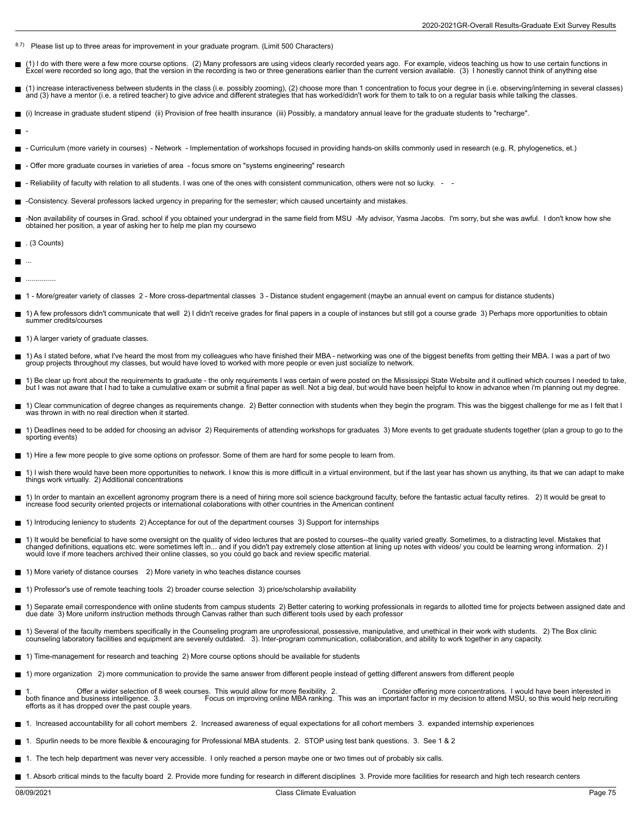- 8.7) Please list up to three areas for improvement in your graduate program. (Limit 500 Characters)
- (1) I do with there were a few more course options. (2) Many professors are using videos clearly recorded years ago. For example, videos teaching us how to use certain functions in П Excel were recorded so long ago, that the version in the recording is two or three generations earlier than the current version available. (3) I honestly cannot think of anything else
- (1) increase interactiveness between students in the class (i.e. possibly zooming), (2) choose more than 1 concentration to focus your degree in (i.e. observing/interning in several classes)  $\blacksquare$ and (3) have a mentor (i.e. a retired teacher) to give advice and different strategies that has worked/didn't work for them to talk to on a regular basis while talking the classes.
- (i) Increase in graduate student stipend (ii) Provision of free health insurance (iii) Possibly, a mandatory annual leave for the graduate students to "recharge".
- -
- Curriculum (more variety in courses) Network Implementation of workshops focused in providing hands-on skills commonly used in research (e.g. R, phylogenetics, et.) П
- Offer more graduate courses in varieties of area focus smore on "systems engineering" research
- Reliability of faculty with relation to all students. I was one of the ones with consistent communication, others were not so lucky. -  $\blacksquare$
- -Consistency. Several professors lacked urgency in preparing for the semester; which caused uncertainty and mistakes.
- -Non availability of courses in Grad. school if you obtained your undergrad in the same field from MSU -My advisor, Yasma Jacobs. I'm sorry, but she was awful. I don't know how she П obtained her position, a year of asking her to help me plan my coursewo
- . (3 Counts)
- Н ...
- П ...............
- 1 More/greater variety of classes 2 More cross-departmental classes 3 Distance student engagement (maybe an annual event on campus for distance students)
- 1) A few professors didn't communicate that well 2) I didn't receive grades for final papers in a couple of instances but still got a course grade 3) Perhaps more opportunities to obtain summer credits/courses
- 1) A larger variety of graduate classes.
- 1) As I stated before, what I've heard the most from my colleagues who have finished their MBA networking was one of the biggest benefits from getting their MBA. I was a part of two<br>group projects throughout my classes,
- 1) Be clear up front about the requirements to graduate the only requirements I was certain of were posted on the Mississippi State Website and it outlined which courses I needed to take, but I was not aware that I had to take a cumulative exam or submit a final paper as well. Not a big deal, but would have been helpful to know in advance when i'm planning out my degree.
- 1) Clear communication of degree changes as requirements change. 2) Better connection with students when they begin the program. This was the biggest challenge for me as I felt that I was thrown in with no real direction when it started.
- 1) Deadlines need to be added for choosing an advisor 2) Requirements of attending workshops for graduates 3) More events to get graduate students together (plan a group to go to the sporting events)
- 1) Hire a few more people to give some options on professor. Some of them are hard for some people to learn from.
- 1) I wish there would have been more opportunities to network. I know this is more difficult in a virtual environment, but if the last year has shown us anything, its that we can adapt to make things work virtually. 2) Additional concentrations
- 1) In order to mantain an excellent agronomy program there is a need of hiring more soil science background faculty, before the fantastic actual faculty retires. 2) It would be great to increase food security oriented projects or international colaborations with other countries in the American continent
- 1) Introducing leniency to students 2) Acceptance for out of the department courses 3) Support for internships
- 1) It would be beneficial to have some oversight on the quality of video lectures that are posted to courses--the quality varied greatly. Sometimes, to a distracting level. Mistakes that changed definitions, equations etc. were sometimes left in... and if you didn't pay extremely close attention at lining up notes with videos/ you could be learning wrong information. 2) I would love if more teachers archived their online classes, so you could go back and review specific material.
- 1) More variety of distance courses 2) More variety in who teaches distance courses
- 1) Professor's use of remote teaching tools 2) broader course selection 3) price/scholarship availability
- 1) Separate email correspondence with online students from campus students 2) Better catering to working professionals in regards to allotted time for projects between assigned date and<br>due date 3) More uniform instruction
- 1) Several of the faculty members specifically in the Counseling program are unprofessional, possessive, manipulative, and unethical in their work with students. 2) The Box clinic counseling laboratory facilities and equipment are severely outdated. 3). Inter-program communication, collaboration, and ability to work together in any capacity.
- 1) Time-management for research and teaching 2) More course options should be available for students
- 1) more organization 2) more communication to provide the same answer from different people instead of getting different answers from different people
- 1. Offer a wider selection of 8 week courses. This would allow for more flexibility. 2. Consider offering more concentrations. I would have been interested in<br>both finance and business intelligence. 3. Cocus on improving o efforts as it has dropped over the past couple years.
- 1. Increased accountability for all cohort members 2. Increased awareness of equal expectations for all cohort members 3. expanded internship experiences
- 1. Spurlin needs to be more flexible & encouraging for Professional MBA students. 2. STOP using test bank questions. 3. See 1 & 2
- 1. The tech help department was never very accessible. I only reached a person maybe one or two times out of probably six calls.
- 1. Absorb critical minds to the faculty board 2. Provide more funding for research in different disciplines 3. Provide more facilities for research and high tech research centers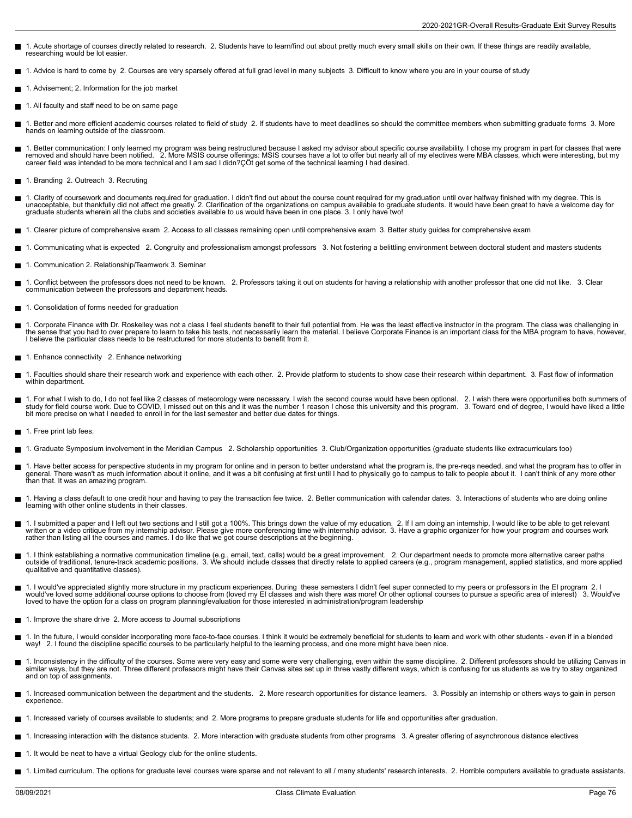- 1. Acute shortage of courses directly related to research. 2. Students have to learn/find out about pretty much every small skills on their own. If these things are readily available, researching would be lot easier.
- 1. Advice is hard to come by 2. Courses are very sparsely offered at full grad level in many subjects 3. Difficult to know where you are in your course of study
- $\blacksquare$ 1. Advisement; 2. Information for the job market
- 1. All faculty and staff need to be on same page
- 1. Better and more efficient academic courses related to field of study 2. If students have to meet deadlines so should the committee members when submitting graduate forms 3. More hands on learning outside of the classroom.
- 1. Better communication: I only learned my program was being restructured because I asked my advisor about specific course availability. I chose my program in part for classes that were<br>removed and should have been notifie
- 1. Branding 2. Outreach 3. Recruting
- 1. Clarity of coursework and documents required for graduation. I didn't find out about the course count required for my graduation until over halfway finished with my degree. This is<br>unacceptable, but thankfully did not a graduate students wherein all the clubs and societies available to us would have been in one place. 3. I only have two!
- 1. Clearer picture of comprehensive exam 2. Access to all classes remaining open until comprehensive exam 3. Better study guides for comprehensive exam
- 1. Communicating what is expected 2. Congruity and professionalism amongst professors 3. Not fostering a belittling environment between doctoral student and masters students
- 1. Communication 2. Relationship/Teamwork 3. Seminar Н
- Е 1. Conflict between the professors does not need to be known. 2. Professors taking it out on students for having a relationship with another professor that one did not like. 3. Clear<br>communication between the professors an
- 1. Consolidation of forms needed for graduation
- 1. Corporate Finance with Dr. Roskelley was not a class I feel students benefit to their full potential from. He was the least effective instructor in the program. The class was challenging in г the sense that you had to over prepare to learn to take his tests, not necessarily learn the material. I believe Corporate Finance is an important class for the MBA program to have, however,<br>I believe the particular class
- 1. Enhance connectivity 2. Enhance networking
- 1. Faculties should share their research work and experience with each other. 2. Provide platform to students to show case their research within department. 3. Fast flow of information within department.
- 1. For what I wish to do, I do not feel like 2 classes of meteorology were necessary. I wish the second course would have been optional. 2. I wish there were opportunities both summers of<br>study for field course work. Due t bit more precise on what I needed to enroll in for the last semester and better due dates for things.
- 1. Free print lab fees.
- 1. Graduate Symposium involvement in the Meridian Campus 2. Scholarship opportunities 3. Club/Organization opportunities (graduate students like extracurriculars too)
- 1. Have better access for perspective students in my program for online and in person to better understand what the program is, the pre-reqs needed, and what the program has to offer in general. There wasn't as much information about it online, and it was a bit confusing at first until I had to physically go to campus to talk to people about it. I can't think of any more other than that. It was an amazing program.
- 1. Having a class default to one credit hour and having to pay the transaction fee twice. 2. Better communication with calendar dates. 3. Interactions of students who are doing online learning with other online students in their classes.
- 1. I submitted a paper and I left out two sections and I still got a 100%. This brings down the value of my education. 2. If I am doing an internship, I would like to be able to get relevant<br>written or a video critique fr
- 1. I think establishing a normative communication timeline (e.g., email, text, calls) would be a great improvement. 2. Our department needs to promote more alternative career paths<br>outside of traditional, tenure-track acad qualitative and quantitative classes).
- 1. I would've appreciated slightly more structure in my practicum experiences. During these semesters I didn't feel super connected to my peers or professors in the EI program 2. I would've loved some additional course options to choose from (loved my EI classes and wish there was more! Or other optional courses to pursue a specific area of interest) 3. Would've<br>loved to have the option for a class o
- 1. Improve the share drive 2. More access to Journal subscriptions
- 1. In the future, I would consider incorporating more face-to-face courses. I think it would be extremely beneficial for students to learn and work with other students even if in a blended way! 2. I found the discipline specific courses to be particularly helpful to the learning process, and one more might have been nice.
- 1. Inconsistency in the difficulty of the courses. Some were very easy and some were very challenging, even within the same discipline. 2. Different professors should be utilizing Canvas in similar ways, but they are not. Three different professors might have their Canvas sites set up in three vastly different ways, which is confusing for us students as we try to stay organized and on top of assignments.
- 1. Increased communication between the department and the students. 2. More research opportunities for distance learners. 3. Possibly an internship or others ways to gain in person experience.
- 1. Increased variety of courses available to students; and 2. More programs to prepare graduate students for life and opportunities after graduation.
- 1. Increasing interaction with the distance students. 2. More interaction with graduate students from other programs 3. A greater offering of asynchronous distance electives
- 1. It would be neat to have a virtual Geology club for the online students.  $\blacksquare$
- 1. Limited curriculum. The options for graduate level courses were sparse and not relevant to all / many students' research interests. 2. Horrible computers available to graduate assistants.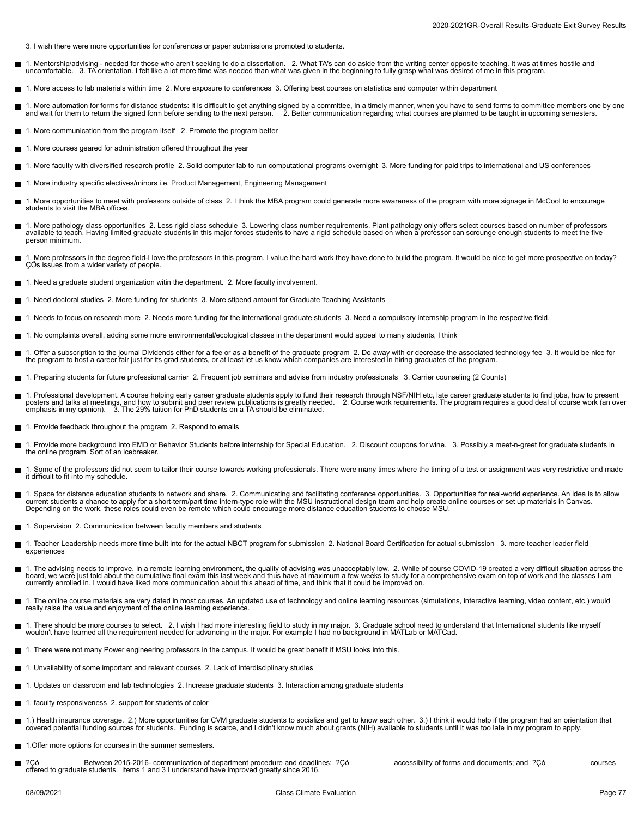- 3. I wish there were more opportunities for conferences or paper submissions promoted to students.
- 1. Mentorship/advising needed for those who aren't seeking to do a dissertation. 2. What TA's can do aside from the writing center opposite teaching. It was at times hostile and Н uncomfortable. 3. TA orientation. I felt like a lot more time was needed than what was given in the beginning to fully grasp what was desired of me in this program.
- 1. More access to lab materials within time 2. More exposure to conferences 3. Offering best courses on statistics and computer within department
- 1. More automation for forms for distance students: It is difficult to get anything signed by a committee, in a timely manner, when you have to send forms to committee members one by one<br>and wait for them to return the sig
- 1. More communication from the program itself 2. Promote the program better
- 1. More courses geared for administration offered throughout the year
- 1. More faculty with diversified research profile 2. Solid computer lab to run computational programs overnight 3. More funding for paid trips to international and US conferences
- 1. More industry specific electives/minors i.e. Product Management, Engineering Management  $\blacksquare$
- 1. More opportunities to meet with professors outside of class 2. I think the MBA program could generate more awareness of the program with more signage in McCool to encourage students to visit the MBA offices.
- 1. More pathology class opportunities 2. Less rigid class schedule 3. Lowering class number requirements. Plant pathology only offers select courses based on number of professors<br>available to teach. Having limited gradua person minimum.
- 1. More professors in the degree field-I love the professors in this program. I value the hard work they have done to build the program. It would be nice to get more prospective on today?<br>ÇÖs issues from a wider variety of
- 1. Need a graduate student organization witin the department. 2. More faculty involvement.
- 1. Need doctoral studies 2. More funding for students 3. More stipend amount for Graduate Teaching Assistants
- 1. Needs to focus on research more 2. Needs more funding for the international graduate students 3. Need a compulsory internship program in the respective field.
- 1. No complaints overall, adding some more environmental/ecological classes in the department would appeal to many students, I think
- 1. Offer a subscription to the journal Dividends either for a fee or as a benefit of the graduate program 2. Do away with or decrease the associated technology fee 3. It would be nice for<br>the program to host a career fai
- 1. Preparing students for future professional carrier 2. Frequent job seminars and advise from industry professionals 3. Carrier counseling (2 Counts)
- 1. Professional development. A course helping early career graduate students apply to fund their research through NSF/NIH etc, late career graduate students to find jobs, how to present posters and talks at meetings, and how to submit and peer review publications is greatly needed. 2. Course work requirements. The program requires a good deal of course work (an over<br>emphasis in my opinion). 3. The 29% tu
- 1. Provide feedback throughout the program 2. Respond to emails
- 1. Provide more background into EMD or Behavior Students before internship for Special Education. 2. Discount coupons for wine. 3. Possibly a meet-n-greet for graduate students in Е the online program. Sort of an icebreaker.
- 1. Some of the professors did not seem to tailor their course towards working professionals. There were many times where the timing of a test or assignment was very restrictive and made П it difficult to fit into my schedule.
- 1. Space for distance education students to network and share. 2. Communicating and facilitating conference opportunities. 3. Opportunities for real-world experience. An idea is to allow current students a chance to apply for a short-term/part time intern-type role with the MSU instructional design team and help create online courses or set up materials in Canvas. Depending on the work, these roles could even be remote which could encourage more distance education students to choose MSU.
- 1. Supervision 2. Communication between faculty members and students
- 1. Teacher Leadership needs more time built into for the actual NBCT program for submission 2. National Board Certification for actual submission 3. more teacher leader field Е experiences
- 1. The advising needs to improve. In a remote learning environment, the quality of advising was unacceptably low. 2. While of course COVID-19 created a very difficult situation across the board, we were just told about the cumulative final exam this last week and thus have at maximum a few weeks to study for a comprehensive exam on top of work and the classes I am currently enrolled in. I would have liked more communication about this ahead of time, and think that it could be improved on.
- 1. The online course materials are very dated in most courses. An updated use of technology and online learning resources (simulations, interactive learning, video content, etc.) would<br>really raise the value and enjoyment
- 1. There should be more courses to select. 2. I wish I had more interesting field to study in my major. 3. Graduate school need to understand that International students like myself<br>wouldn't have learned all the require
- 1. There were not many Power engineering professors in the campus. It would be great benefit if MSU looks into this.
- 1. Unvailability of some important and relevant courses 2. Lack of interdisciplinary studies
- 1. Updates on classroom and lab technologies 2. Increase graduate students 3. Interaction among graduate students  $\blacksquare$
- 1. faculty responsiveness 2. support for students of color
- 1.) Health insurance coverage. 2.) More opportunities for CVM graduate students to socialize and get to know each other. 3.) I think it would help if the program had an orientation that Н covered potential funding sources for students. Funding is scarce, and I didn't know much about grants (NIH) available to students until it was too late in my program to apply.
- 1.Offer more options for courses in the summer semesters.
- ?Çó Between 2015-2016- communication of department procedure and deadlines; ?Çó accessibility of forms and documents; and ?Çó courses courses<br>offered to graduate students. Items 1 and 3 I understand have improved greatly s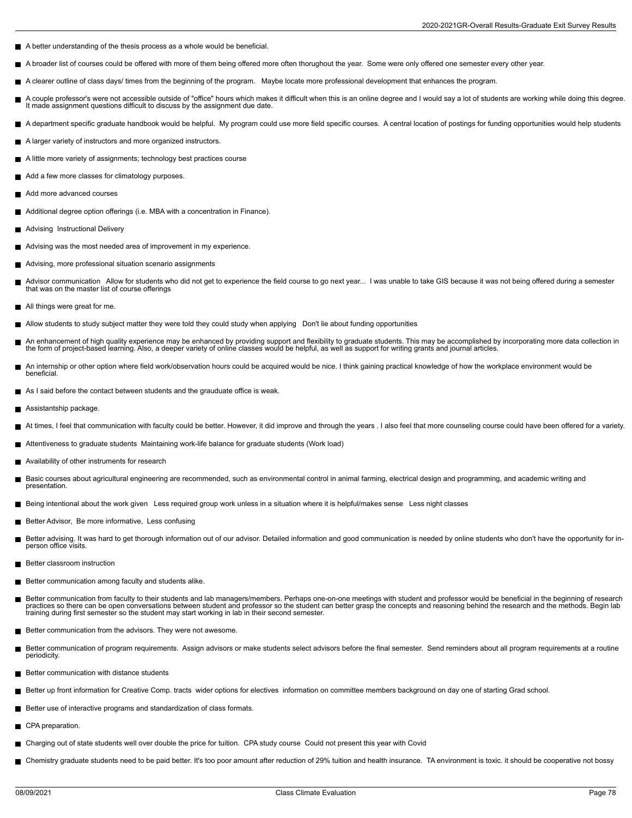- A better understanding of the thesis process as a whole would be beneficial.
- A broader list of courses could be offered with more of them being offered more often thorughout the year. Some were only offered one semester every other year. П
- A clearer outline of class days/ times from the beginning of the program. Maybe locate more professional development that enhances the program.
- A couple professor's were not accessible outside of "office" hours which makes it difficult when this is an online degree and I would say a lot of students are working while doing this degree. П It made assignment questions difficult to discuss by the assignment due date.
- A department specific graduate handbook would be helpful. My program could use more field specific courses. A central location of postings for funding opportunities would help students
- A larger variety of instructors and more organized instructors.
- A little more variety of assignments; technology best practices course
- Add a few more classes for climatology purposes.
- Add more advanced courses
- Additional degree option offerings (i.e. MBA with a concentration in Finance).
- **Advising Instructional Delivery**
- Advising was the most needed area of improvement in my experience.
- Advising, more professional situation scenario assignments
- п Advisor communication Allow for students who did not get to experience the field course to go next year... I was unable to take GIS because it was not being offered during a semester that was on the master list of course offerings
- All things were great for me.
- Allow students to study subject matter they were told they could study when applying Don't lie about funding opportunities
- An enhancement of high quality experience may be enhanced by providing support and flexibility to graduate students. This may be accomplished by incorporating more data collection in<br>the form of project-based learning. Als
- An internship or other option where field work/observation hours could be acquired would be nice. I think gaining practical knowledge of how the workplace environment would be beneficial.
- As I said before the contact between students and the grauduate office is weak.
- Assistantship package.
- At times, I feel that communication with faculty could be better. However, it did improve and through the years . I also feel that more counseling course could have been offered for a variety.
- Attentiveness to graduate students Maintaining work-life balance for graduate students (Work load)
- Availability of other instruments for research  $\blacksquare$
- Е Basic courses about agricultural engineering are recommended, such as environmental control in animal farming, electrical design and programming, and academic writing and presentation.
- Being intentional about the work given Less required group work unless in a situation where it is helpful/makes sense Less night classes
- Better Advisor, Be more informative, Less confusing
- Better advising. It was hard to get thorough information out of our advisor. Detailed information and good communication is needed by online students who don't have the opportunity for inperson office visits.
- **Better classroom instruction**
- Better communication among faculty and students alike. П
- $\blacksquare$ Better communication from faculty to their students and lab managers/members. Perhaps one-on-one meetings with student and professor would be beneficial in the beginning of research<br>practices so there can be open conversat training during first semester so the student may start working in lab in their second semester.
- Better communication from the advisors. They were not awesome.
- Better communication of program requirements. Assign advisors or make students select advisors before the final semester. Send reminders about all program requirements at a routine periodicity.
- Better communication with distance students
- Better up front information for Creative Comp. tracts wider options for electives information on committee members background on day one of starting Grad school.
- Better use of interactive programs and standardization of class formats.
- CPA preparation.
- Charging out of state students well over double the price for tuition. CPA study course Could not present this year with Covid
- Chemistry graduate students need to be paid better. It's too poor amount after reduction of 29% tuition and health insurance. TA environment is toxic. it should be cooperative not bossy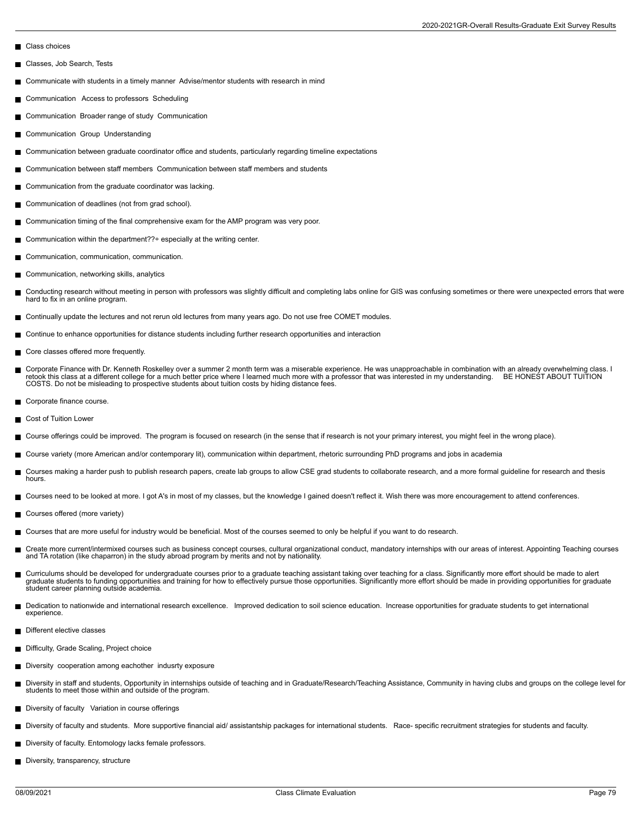- Class choices
- Classes, Job Search, Tests П
- Communicate with students in a timely manner Advise/mentor students with research in mind
- $\blacksquare$ Communication Access to professors Scheduling
- **Communication Broader range of study Communication**
- Communication Group Understanding  $\blacksquare$
- Communication between graduate coordinator office and students, particularly regarding timeline expectations  $\blacksquare$
- Communication between staff members Communication between staff members and students
- Communication from the graduate coordinator was lacking. П
- Communication of deadlines (not from grad school).
- Communication timing of the final comprehensive exam for the AMP program was very poor. ш
- Communication within the department??÷ especially at the writing center.
- Communication, communication, communication.  $\blacksquare$
- Communication, networking skills, analytics  $\blacksquare$
- Conducting research without meeting in person with professors was slightly difficult and completing labs online for GIS was confusing sometimes or there were unexpected errors that were hard to fix in an online program.
- Continually update the lectures and not rerun old lectures from many years ago. Do not use free COMET modules.
- Continue to enhance opportunities for distance students including further research opportunities and interaction
- Core classes offered more frequently. П
- п Corporate Finance with Dr. Kenneth Roskelley over a summer 2 month term was a miserable experience. He was unapproachable in combination with an already overwhelming class. I<br>retook this class at a different college for a COSTS. Do not be misleading to prospective students about tuition costs by hiding distance fees.
- Corporate finance course. Н
- Cost of Tuition Lower  $\blacksquare$
- Course offerings could be improved. The program is focused on research (in the sense that if research is not your primary interest, you might feel in the wrong place). п
- Course variety (more American and/or contemporary lit), communication within department, rhetoric surrounding PhD programs and jobs in academia
- Courses making a harder push to publish research papers, create lab groups to allow CSE grad students to collaborate research, and a more formal guideline for research and thesis hours.
- Courses need to be looked at more. I got A's in most of my classes, but the knowledge I gained doesn't reflect it. Wish there was more encouragement to attend conferences.
- Courses offered (more variety)
- $\blacksquare$ Courses that are more useful for industry would be beneficial. Most of the courses seemed to only be helpful if you want to do research.
- m, Create more current/intermixed courses such as business concept courses, cultural organizational conduct, mandatory internships with our areas of interest. Appointing Teaching courses<br>and TA rotation (like chaparron) in th
- Curriculums should be developed for undergraduate courses prior to a graduate teaching assistant taking over teaching for a class. Significantly more effort should be made to alert<br>graduate students to funding opportunitie student career planning outside academia.
- Dedication to nationwide and international research excellence. Improved dedication to soil science education. Increase opportunities for graduate students to get international П experience.
- Different elective classes
- Difficulty, Grade Scaling, Project choice
- Diversity cooperation among eachother indusrty exposure
- Diversity in staff and students, Opportunity in internships outside of teaching and in Graduate/Research/Teaching Assistance, Community in having clubs and groups on the college level for students to meet those within and outside of the program.
- Diversity of faculty Variation in course offerings
- Diversity of faculty and students. More supportive financial aid/ assistantship packages for international students. Race- specific recruitment strategies for students and faculty.
- Diversity of faculty. Entomology lacks female professors.
- Diversity, transparency, structure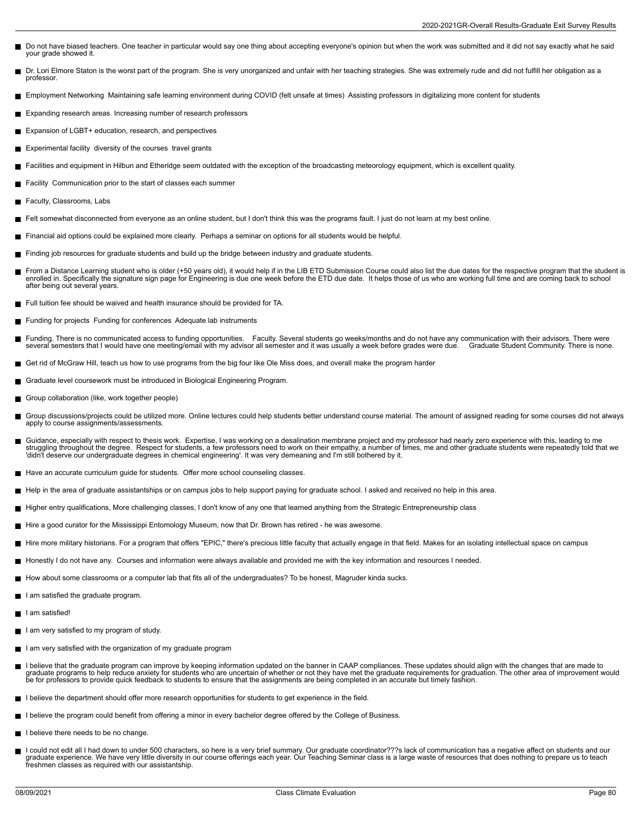- Do not have biased teachers. One teacher in particular would say one thing about accepting everyone's opinion but when the work was submitted and it did not say exactly what he said your grade showed it.
- Dr. Lori Elmore Staton is the worst part of the program. She is very unorganized and unfair with her teaching strategies. She was extremely rude and did not fulfill her obligation as a professor.
- Employment Networking Maintaining safe learning environment during COVID (felt unsafe at times) Assisting professors in digitalizing more content for students
- Expanding research areas Increasing number of research professors
- Expansion of LGBT+ education, research, and perspectives
- **Experimental facility diversity of the courses travel grants**
- Facilities and equipment in Hilbun and Etheridge seem outdated with the exception of the broadcasting meteorology equipment, which is excellent quality.
- Facility Communication prior to the start of classes each summer
- Faculty, Classrooms, Labs
- Felt somewhat disconnected from everyone as an online student, but I don't think this was the programs fault. I just do not learn at my best online. П
- Financial aid options could be explained more clearly. Perhaps a seminar on options for all students would be helpful.
- Finding job resources for graduate students and build up the bridge between industry and graduate students.
- From a Distance Learning student who is older (+50 years old), it would help if in the LIB ETD Submission Course could also list the due dates for the respective program that the student is enrolled in. Specifically the signature sign page for Engineering is due one week before the ETD due date. It helps those of us who are working full time and are coming back to school after being out several years.
- Full tuition fee should be waived and health insurance should be provided for TA.
- Funding for projects Funding for conferences Adequate lab instruments
- $\blacksquare$ Funding. There is no communicated access to funding opportunities. Faculty. Several students go weeks/months and do not have any communication with their advisors. There were<br>several semesters that I would have one meeting several semesters that I would have one meeting/email with my advisor all semester and it was usually a week before grades were due.
- Get rid of McGraw Hill, teach us how to use programs from the big four like Ole Miss does, and overall make the program harder
- Graduate level coursework must be introduced in Biological Engineering Program.
- Group collaboration (like, work together people)  $\blacksquare$
- $\blacksquare$ Group discussions/projects could be utilized more. Online lectures could help students better understand course material. The amount of assigned reading for some courses did not always<br>apply to course assignments/assessmen
- $\blacksquare$ Guidance, especially with respect to thesis work. Expertise, I was working on a desalination membrane project and my professor had nearly zero experience with this, leading to me<br>struggling throughout the degree. Respect f 'didn't deserve our undergraduate degrees in chemical engineering'. It was very demeaning and I'm still bothered by it.
- Have an accurate curriculum guide for students. Offer more school counseling classes.
- Help in the area of graduate assistantships or on campus jobs to help support paying for graduate school. I asked and received no help in this area.
- Higher entry qualifications, More challenging classes, I don't know of any one that learned anything from the Strategic Entrepreneurship class
- Hire a good curator for the Mississippi Entomology Museum, now that Dr. Brown has retired he was awesome.
- Hire more military historians. For a program that offers "EPIC," there's precious little faculty that actually engage in that field. Makes for an isolating intellectual space on campus
- Honestly I do not have any. Courses and information were always available and provided me with the key information and resources I needed.
- How about some classrooms or a computer lab that fits all of the undergraduates? To be honest, Magruder kinda sucks.
- I am satisfied the graduate program.
- I am satisfied!
- I am very satisfied to my program of study.
- I am very satisfied with the organization of my graduate program
- I believe that the graduate program can improve by keeping information updated on the banner in CAAP compliances. These updates should align with the changes that are made to graduate programs to help reduce anxiety for students who are uncertain of whether or not they have met the graduate requirements for graduation. The other area of improvement would<br>be for professors to provide quick feedb
- I believe the department should offer more research opportunities for students to get experience in the field.
- I believe the program could benefit from offering a minor in every bachelor degree offered by the College of Business.
- I believe there needs to be no change.
- I could not edit all I had down to under 500 characters, so here is a very brief summary. Our graduate coordinator???s lack of communication has a negative affect on students and our graduate experience. We have very little diversity in our course offerings each year. Our Teaching Seminar class is a large waste of resources that does nothing to prepare us to teach freshmen classes as required with our assistantship.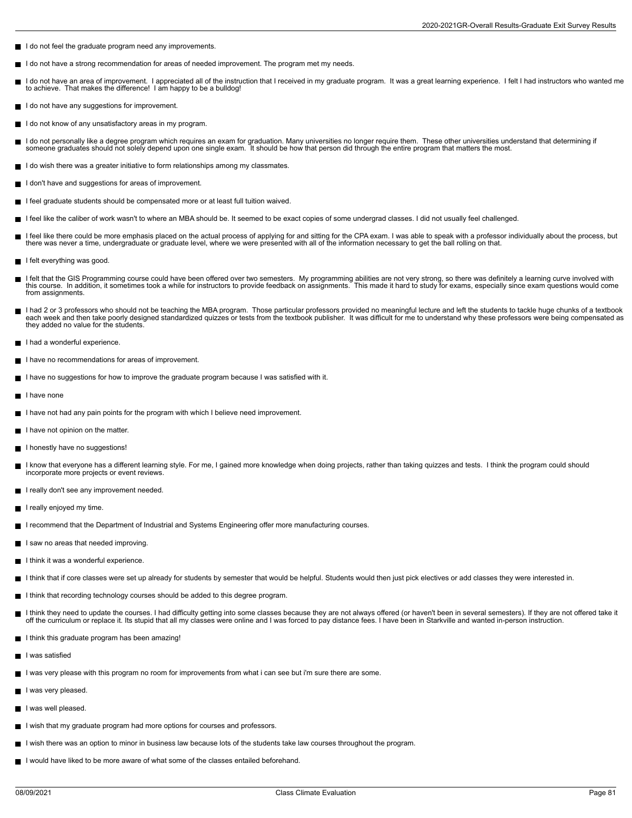- I do not feel the graduate program need any improvements.
- I do not have a strong recommendation for areas of needed improvement. The program met my needs.
- I do not have an area of improvement. I appreciated all of the instruction that I received in my graduate program. It was a great learning experience. I felt I had instructors who wanted me<br>to achieve. That makes the diffe
- I do not have any suggestions for improvement.
- I do not know of any unsatisfactory areas in my program.
- I do not personally like a degree program which requires an exam for graduation. Many universities no longer require them. These other universities understand that determining if someone graduates should not solely depend upon one single exam. It should be how that person did through the entire program that matters the most.
- I do wish there was a greater initiative to form relationships among my classmates.
- I don't have and suggestions for areas of improvement.
- I feel graduate students should be compensated more or at least full tuition waived.
- I feel like the caliber of work wasn't to where an MBA should be. It seemed to be exact copies of some undergrad classes. I did not usually feel challenged.
- I feel like there could be more emphasis placed on the actual process of applying for and sitting for the CPA exam. I was able to speak with a professor individually about the process, but<br>there was never a time, undergrad
- I felt everything was good.
- I felt that the GIS Programming course could have been offered over two semesters. My programming abilities are not very strong, so there was definitely a learning curve involved with<br>this course. In addition, it sometime from assignments.
- I had 2 or 3 professors who should not be teaching the MBA program. Those particular professors provided no meaningful lecture and left the students to tackle huge chunks of a textbook each week and then take poorly designed standardized quizzes or tests from the textbook publisher. It was difficult for me to understand why these professors were being compensated as they added no value for the students.
- I had a wonderful experience.
- I have no recommendations for areas of improvement.  $\blacksquare$
- I have no suggestions for how to improve the graduate program because I was satisfied with it.
- I have none П
- $\blacksquare$  I have not had any pain points for the program with which I believe need improvement.
- I have not opinion on the matter.
- I honestly have no suggestions! Н
- I know that everyone has a different learning style. For me, I gained more knowledge when doing projects, rather than taking quizzes and tests. I think the program could should incorporate more projects or event reviews.
- I really don't see any improvement needed.
- $\blacksquare$  I really enjoyed my time.
- I recommend that the Department of Industrial and Systems Engineering offer more manufacturing courses.
- I saw no areas that needed improving.
- I think it was a wonderful experience.
- I think that if core classes were set up already for students by semester that would be helpful. Students would then just pick electives or add classes they were interested in.
- I think that recording technology courses should be added to this degree program.
- I think they need to update the courses. I had difficulty getting into some classes because they are not always offered (or haven't been in several semesters). If they are not offered take it<br>off the curriculum or replace
- I think this graduate program has been amazing!
- **I** lwas satisfied
- I was very please with this program no room for improvements from what i can see but i'm sure there are some.
- I lwas very pleased.
- I was well pleased.
- I wish that my graduate program had more options for courses and professors.
- I wish there was an option to minor in business law because lots of the students take law courses throughout the program.
- I would have liked to be more aware of what some of the classes entailed beforehand.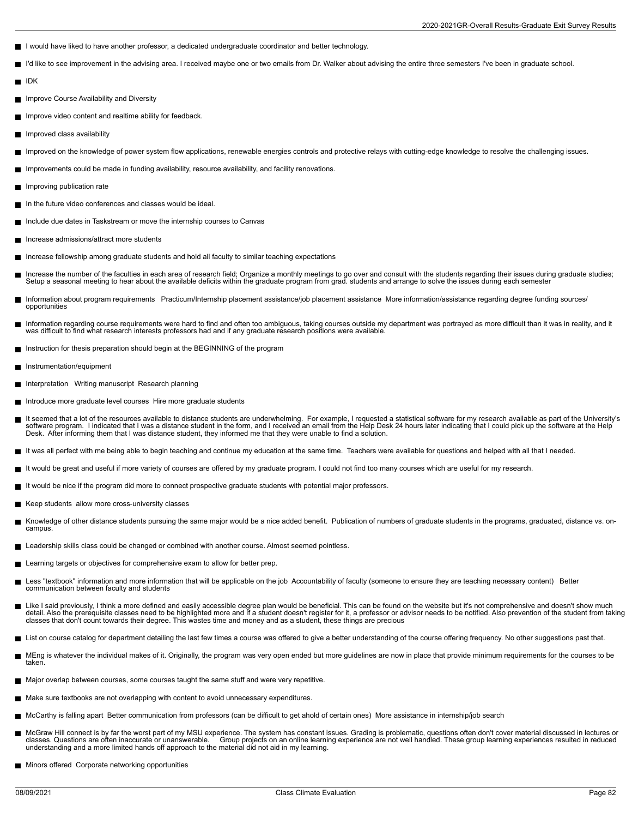- I would have liked to have another professor, a dedicated undergraduate coordinator and better technology.
- I'd like to see improvement in the advising area. I received maybe one or two emails from Dr. Walker about advising the entire three semesters I've been in graduate school.  $\blacksquare$
- IDK
- **Improve Course Availability and Diversity**
- Improve video content and realtime ability for feedback.
- **Improved class availability**
- Improved on the knowledge of power system flow applications, renewable energies controls and protective relays with cutting-edge knowledge to resolve the challenging issues.
- Improvements could be made in funding availability, resource availability, and facility renovations.
- Improving publication rate
- In the future video conferences and classes would be ideal.
- Include due dates in Taskstream or move the internship courses to Canvas
- Increase admissions/attract more students
- Increase fellowship among graduate students and hold all faculty to similar teaching expectations
- Increase the number of the faculties in each area of research field; Organize a monthly meetings to go over and consult with the students regarding their issues during graduate studies; Setup a seasonal meeting to hear about the available deficits within the graduate program from grad. students and arrange to solve the issues during each semester
- Information about program requirements Practicum/Internship placement assistance/job placement assistance More information/assistance regarding degree funding sources/ opportunities
- Information regarding course requirements were hard to find and often too ambiguous, taking courses outside my department was portrayed as more difficult than it was in reality, and it was difficult to find what research interests professors had and if any graduate research positions were available.
- Instruction for thesis preparation should begin at the BEGINNING of the program
- $\blacksquare$ Instrumentation/equipment
- Interpretation Writing manuscript Research planning
- Introduce more graduate level courses Hire more graduate students  $\blacksquare$
- It seemed that a lot of the resources available to distance students are underwhelming. For example, I requested a statistical software for my research available as part of the University's<br>software program. I indicated th Desk. After informing them that I was distance student, they informed me that they were unable to find a solution.
- It was all perfect with me being able to begin teaching and continue my education at the same time. Teachers were available for questions and helped with all that I needed.
- It would be great and useful if more variety of courses are offered by my graduate program. I could not find too many courses which are useful for my research.
- It would be nice if the program did more to connect prospective graduate students with potential major professors.
- Keep students allow more cross-university classes
- Knowledge of other distance students pursuing the same major would be a nice added benefit. Publication of numbers of graduate students in the programs, graduated, distance vs. on-Н campus.
- **Leadership skills class could be changed or combined with another course. Almost seemed pointless.**
- Learning targets or objectives for comprehensive exam to allow for better prep.
- Less "textbook" information and more information that will be applicable on the job Accountability of faculty (someone to ensure they are teaching necessary content) Better  $\blacksquare$ communication between faculty and students
- Like I said previously, I think a more defined and easily accessible degree plan would be beneficial. This can be found on the website but it's not comprehensive and doesn't show much detail. Also the prerequisite classes need to be highlighted more and If a student doesn't register for it, a professor or advisor needs to be notified. Also prevention of the student from taking classes that don't count towards their degree. This wastes time and money and as a student, these things are precious
- List on course catalog for department detailing the last few times a course was offered to give a better understanding of the course offering frequency. No other suggestions past that.
- Н MEng is whatever the individual makes of it. Originally, the program was very open ended but more quidelines are now in place that provide minimum requirements for the courses to be taken.
- Major overlap between courses, some courses taught the same stuff and were very repetitive.
- Make sure textbooks are not overlapping with content to avoid unnecessary expenditures.
- McCarthy is falling apart Better communication from professors (can be difficult to get ahold of certain ones) More assistance in internship/job search
- McGraw Hill connect is by far the worst part of my MSU experience. The system has constant issues. Grading is problematic, questions often don't cover material discussed in lectures or classes. Questions are often inaccurate or unanswerable. Cooup projects on an online learning experience are not well handled. These group learning experiences resulted in reduced<br>understanding and a more limited hands off
- **Minors offered Corporate networking opportunities**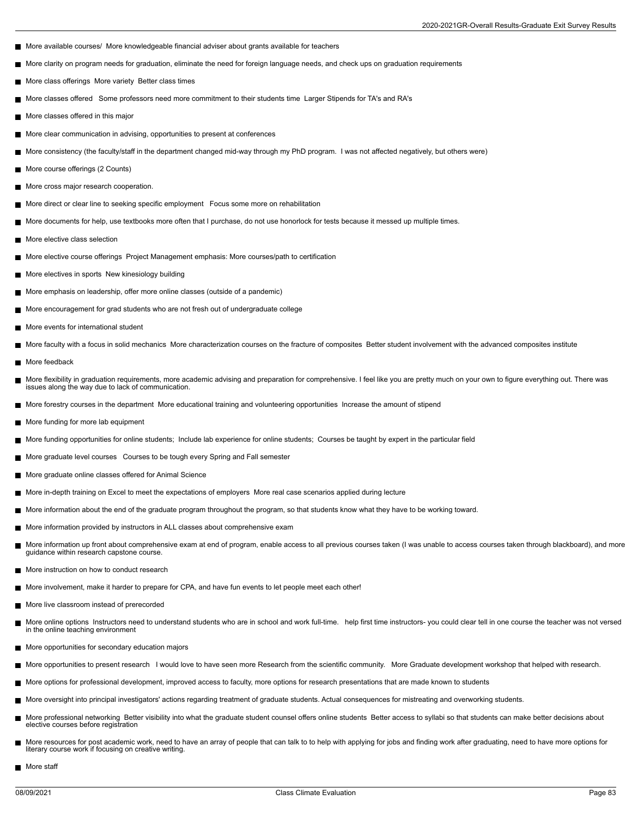- More available courses/ More knowledgeable financial adviser about grants available for teachers
- More clarity on program needs for graduation, eliminate the need for foreign language needs, and check ups on graduation requirements  $\blacksquare$
- More class offerings More variety Better class times
- More classes offered Some professors need more commitment to their students time Larger Stipends for TA's and RA's  $\blacksquare$
- More classes offered in this major
- More clear communication in advising, opportunities to present at conferences
- More consistency (the faculty/staff in the department changed mid-way through my PhD program. I was not affected negatively, but others were)  $\blacksquare$
- More course offerings (2 Counts)
- П More cross major research cooperation.
- More direct or clear line to seeking specific employment Focus some more on rehabilitation
- More documents for help, use textbooks more often that I purchase, do not use honorlock for tests because it messed up multiple times. п
- More elective class selection
- More elective course offerings Project Management emphasis: More courses/path to certification
- More electives in sports New kinesiology building
- More emphasis on leadership, offer more online classes (outside of a pandemic)
- More encouragement for grad students who are not fresh out of undergraduate college
- More events for international student
- More faculty with a focus in solid mechanics More characterization courses on the fracture of composites Better student involvement with the advanced composites institute
- More feedback
- More flexibility in graduation requirements, more academic advising and preparation for comprehensive. I feel like you are pretty much on your own to figure everything out. There was П issues along the way due to lack of communication.
- More forestry courses in the department More educational training and volunteering opportunities Increase the amount of stipend
- More funding for more lab equipment
- More funding opportunities for online students; Include lab experience for online students; Courses be taught by expert in the particular field
- More graduate level courses Courses to be tough every Spring and Fall semester
- More graduate online classes offered for Animal Science
- More in-depth training on Excel to meet the expectations of employers More real case scenarios applied during lecture
- More information about the end of the graduate program throughout the program, so that students know what they have to be working toward.  $\blacksquare$
- More information provided by instructors in ALL classes about comprehensive exam п.
- More information up front about comprehensive exam at end of program, enable access to all previous courses taken (I was unable to access courses taken through blackboard), and more guidance within research capstone course.
- More instruction on how to conduct research
- More involvement, make it harder to prepare for CPA, and have fun events to let people meet each other!  $\blacksquare$
- More live classroom instead of prerecorded
- $\blacksquare$ More online options Instructors need to understand students who are in school and work full-time. help first time instructors- you could clear tell in one course the teacher was not versed in the online teaching environment
- **More opportunities for secondary education majors**
- More opportunities to present research I would love to have seen more Research from the scientific community. More Graduate development workshop that helped with research.
- More options for professional development, improved access to faculty, more options for research presentations that are made known to students
- More oversight into principal investigators' actions regarding treatment of graduate students. Actual consequences for mistreating and overworking students.
- More professional networking Better visibility into what the graduate student counsel offers online students Better access to syllabi so that students can make better decisions about п elective courses before registration
- More resources for post academic work, need to have an array of people that can talk to to help with applying for jobs and finding work after graduating, need to have more options for ш literary course work if focusing on creative writing.
- More staff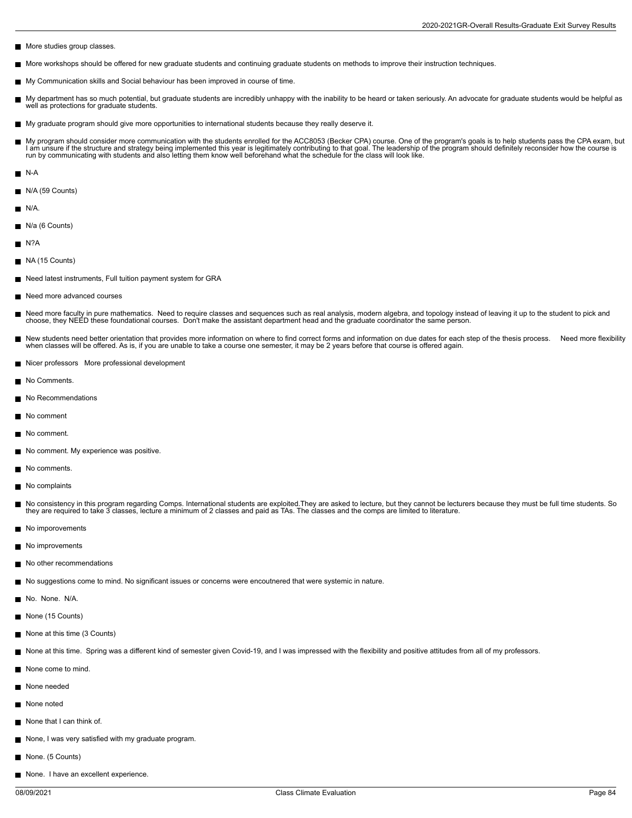- More studies group classes.
- More workshops should be offered for new graduate students and continuing graduate students on methods to improve their instruction techniques.
- My Communication skills and Social behaviour has been improved in course of time.
- $\blacksquare$ My department has so much potential, but graduate students are incredibly unhappy with the inability to be heard or taken seriously. An advocate for graduate students would be helpful as<br>well as protections for graduate st
- My graduate program should give more opportunities to international students because they really deserve it.
- My program should consider more communication with the students enrolled for the ACC8053 (Becker CPA) course. One of the program's goals is to help students pass the CPA exam, but I am unsure if the structure and strategy being implemented this year is legitimately contributing to that goal. The leadership of the program should definitely reconsider how the course is<br>run by communicating with studen
- N-A
- N/A (59 Counts)
- $N/A$
- N/a (6 Counts)
- $N?A$
- NA (15 Counts)
- Need latest instruments, Full tuition payment system for GRA
- Need more advanced courses
- Need more faculty in pure mathematics. Need to require classes and sequences such as real analysis, modern algebra, and topology instead of leaving it up to the student to pick and Е choose, they NEED these foundational courses. Don't make the assistant department head and the graduate coordinator the same person.
- New students need better orientation that provides more information on where to find correct forms and information on due dates for each step of the thesis process. Need more flexibility П when classes will be offered. As is, if you are unable to take a course one semester, it may be 2 years before that course is offered again.
- Nicer professors More professional development
- No Comments.
- No Recommendations
- No comment
- No comment.
- No comment. My experience was positive.  $\blacksquare$
- No comments.
- No complaints
- No consistency in this program regarding Comps. International students are exploited.They are asked to lecture, but they cannot be lecturers because they must be full time students. So they are required to take 3 classes, lecture a minimum of 2 classes and paid as TAs. The classes and the comps are limited to literature.
- No imporovements
- No improvements
- No other recommendations
- No suggestions come to mind. No significant issues or concerns were encoutnered that were systemic in nature.
- No. None. N/A.
- None (15 Counts)
- None at this time (3 Counts)
- None at this time. Spring was a different kind of semester given Covid-19, and I was impressed with the flexibility and positive attitudes from all of my professors.
- None come to mind.
- None needed
- None noted
- None that I can think of.
- None, I was very satisfied with my graduate program.
- None. (5 Counts)
- None. I have an excellent experience.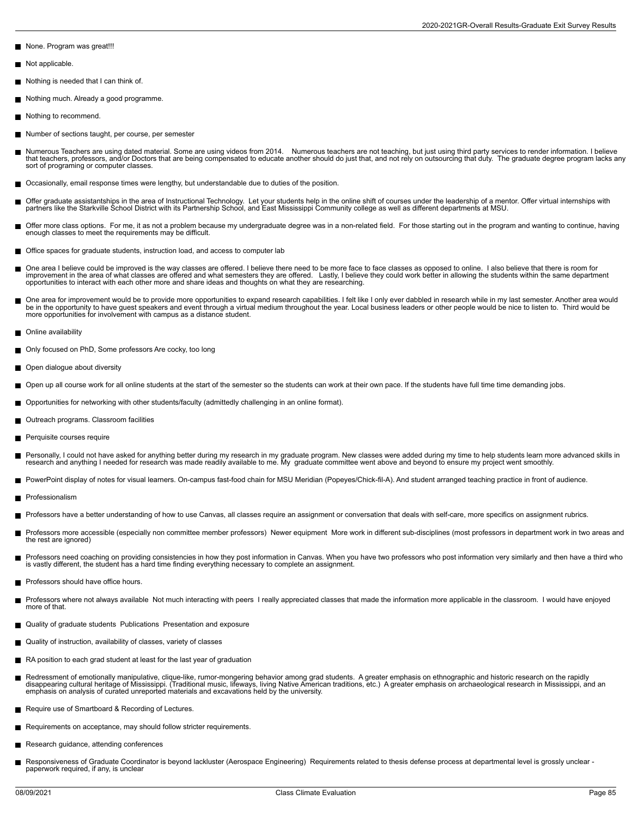None. Program was great!!!

- Not applicable. П
- Nothing is needed that I can think of.
- Nothing much. Already a good programme.
- Nothing to recommend.
- Number of sections taught, per course, per semester
- Numerous Teachers are using dated material. Some are using videos from 2014. Numerous teachers are not teaching, but just using third party services to render information. I believe<br>that teachers, professors, and/or Doct sort of programing or computer classes.
- Occasionally, email response times were lengthy, but understandable due to duties of the position.
- Offer graduate assistantships in the area of Instructional Technology. Let your students help in the online shift of courses under the leadership of a mentor. Offer virtual internships with<br>partners like the Starkville Sch
- Offer more class options. For me, it as not a problem because my undergraduate degree was in a non-related field. For those starting out in the program and wanting to continue, having<br>enough classes to meet the requirement
- Office spaces for graduate students, instruction load, and access to computer lab
- One area I believe could be improved is the way classes are offered. I believe there need to be more face to face classes as opposed to online. I also believe that there is room for improvement in the area of what classes are offered and what semesters they are offered. Lastly, I believe they could work better in allowing the students within the same department opportunities to interact with each other more and share ideas and thoughts on what they are researching.
- One area for improvement would be to provide more opportunities to expand research capabilities. I felt like I only ever dabbled in research while in my last semester. Another area would be in the opportunity to have guest speakers and event through a virtual medium throughout the year. Local business leaders or other people would be nice to listen to. Third would be<br>more opportunities for involvement with
- **Online availability**
- $\blacksquare$ Only focused on PhD, Some professors Are cocky, too long
- Open dialogue about diversity
- Open up all course work for all online students at the start of the semester so the students can work at their own pace. If the students have full time time demanding jobs.
- Opportunities for networking with other students/faculty (admittedly challenging in an online format).
- Outreach programs. Classroom facilities
- Perquisite courses require П
- Personally, I could not have asked for anything better during my research in my graduate program. New classes were added during my time to help students learn more advanced skills in<br>research and anything I needed for rese
- PowerPoint display of notes for visual learners. On-campus fast-food chain for MSU Meridian (Popeyes/Chick-fil-A). And student arranged teaching practice in front of audience.
- Professionalism
- Professors have a better understanding of how to use Canvas, all classes require an assignment or conversation that deals with self-care, more specifics on assignment rubrics.
- Professors more accessible (especially non committee member professors) Newer equipment More work in different sub-disciplines (most professors in department work in two areas and the rest are ignored)
- Professors need coaching on providing consistencies in how they post information in Canvas. When you have two professors who post information very similarly and then have a third who<br>is vastly different, the student has a
- **Professors should have office hours.**
- Professors where not always available Not much interacting with peers I really appreciated classes that made the information more applicable in the classroom. I would have enjoyed Н more of that.
- Quality of graduate students Publications Presentation and exposure
- Quality of instruction, availability of classes, variety of classes  $\blacksquare$
- RA position to each grad student at least for the last year of graduation
- Redressment of emotionally manipulative, clique-like, rumor-mongering behavior among grad students. A greater emphasis on ethnographic and historic research on the rapidly reaccomion cultural heritage of Mississippi. (Traditional music, lifeways, living Native American traditions, etc.) A greater emphasis on archaeological research in Mississippi, and an emphasis on analysis of curated unreported materials and excavations held by the university.
- Require use of Smartboard & Recording of Lectures.
- Requirements on acceptance, may should follow stricter requirements.
- Research guidance, attending conferences
- Responsiveness of Graduate Coordinator is beyond lackluster (Aerospace Engineering) Requirements related to thesis defense process at departmental level is grossly unclear paperwork required, if any, is unclear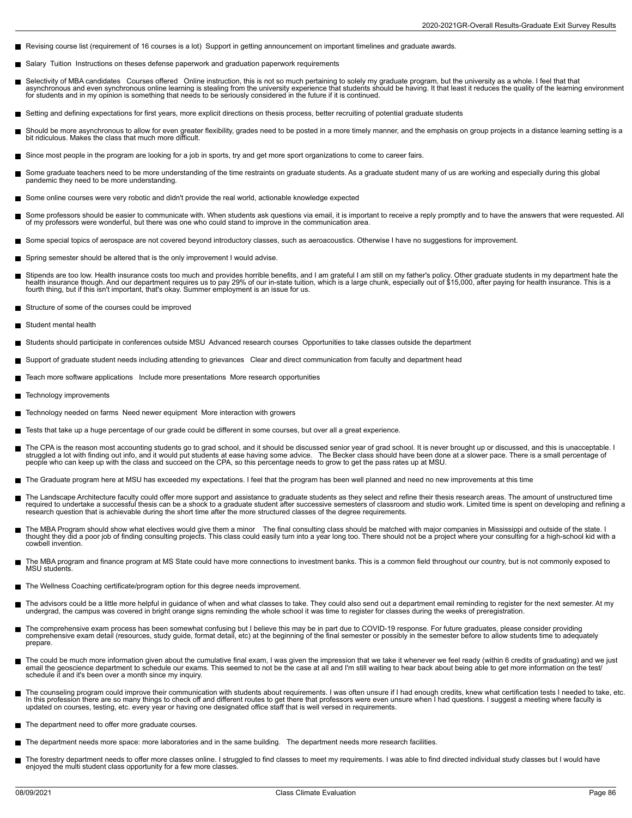- Revising course list (requirement of 16 courses is a lot) Support in getting announcement on important timelines and graduate awards.
- Salary Tuition Instructions on theses defense paperwork and graduation paperwork requirements  $\blacksquare$
- Selectivity of MBA candidates Courses offered Online instruction, this is not so much pertaining to solely my graduate program, but the university as a whole. I feel that that<br>asynchronous and even synchronous online l
- Setting and defining expectations for first years, more explicit directions on thesis process, better recruiting of potential graduate students
- Should be more asynchronous to allow for even greater flexibility, grades need to be posted in a more timely manner, and the emphasis on group projects in a distance learning setting is a<br>bit ridiculous. Makes the class th
- Since most people in the program are looking for a job in sports, try and get more sport organizations to come to career fairs.  $\blacksquare$
- Some graduate teachers need to be more understanding of the time restraints on graduate students. As a graduate student many of us are working and especially during this global<br>pandemic they need to be more understanding.
- Some online courses were very robotic and didn't provide the real world, actionable knowledge expected
- Some professors should be easier to communicate with. When students ask questions via email, it is important to receive a reply promptly and to have the answers that were requested. All г of my professors were wonderful, but there was one who could stand to improve in the communication area.
- Some special topics of aerospace are not covered beyond introductory classes, such as aeroacoustics. Otherwise I have no suggestions for improvement.
- Spring semester should be altered that is the only improvement I would advise.
- Stipends are too low. Health insurance costs too much and provides horrible benefits, and I am grateful I am still on my father's policy. Other graduate students in my department hate the<br>health insurance though. And our d
- Structure of some of the courses could be improved
- Student mental health П
- Students should participate in conferences outside MSU Advanced research courses Opportunities to take classes outside the department
- Support of graduate student needs including attending to grievances Clear and direct communication from faculty and department head
- Teach more software applications Include more presentations More research opportunities
- Technology improvements  $\blacksquare$
- Technology needed on farms Need newer equipment More interaction with growers m,
- Tests that take up a huge percentage of our grade could be different in some courses, but over all a great experience.
- The CPA is the reason most accounting students go to grad school, and it should be discussed senior year of grad school. It is never brought up or discussed, and this is unacceptable. I Н struggled a lot with finding out info, and it would put students at ease having some advice. The Becker class should have been done at a slower pace. There is a small percentage of people who can keep up with the class and succeed on the CPA, so this percentage needs to grow to get the pass rates up at MSU.
- The Graduate program here at MSU has exceeded my expectations. I feel that the program has been well planned and need no new improvements at this time  $\blacksquare$
- The Landscape Architecture faculty could offer more support and assistance to graduate students as they select and refine their thesis research areas. The amount of unstructured time required to undertake a successful thesis can be a shock to a graduate student after successive semesters of classroom and studio work. Limited time is spent on developing and refining a<br>research question that is achievabl
- П The MBA Program should show what electives would give them a minor The final consulting class should be matched with major companies in Mississippi and outside of the state. I<br>thought they did a poor job of finding consul cowbell invention.
- The MBA program and finance program at MS State could have more connections to investment banks. This is a common field throughout our country, but is not commonly exposed to MSU students
- The Wellness Coaching certificate/program option for this degree needs improvement.
- The advisors could be a little more helpful in guidance of when and what classes to take. They could also send out a department email reminding to register for the next semester. At my<br>undergrad, the campus was covered in
- The comprehensive exam process has been somewhat confusing but I believe this may be in part due to COVID-19 response. For future graduates, please consider providing<br>comprehensive exam detail (resources, study guide, form prepare.
- The could be much more information given about the cumulative final exam, I was given the impression that we take it whenever we feel ready (within 6 credits of graduating) and we just<br>email the geoscience department to sc schedule it and it's been over a month since my inquiry.
- The counseling program could improve their communication with students about requirements. I was often unsure if I had enough credits, knew what certification tests I needed to take, etc. In this profession there are so many things to check off and different routes to get there that professors were even unsure when I had questions. I suggest a meeting where faculty is<br>updated on courses, testing, etc. every
- The department need to offer more graduate courses.
- The department needs more space: more laboratories and in the same building. The department needs more research facilities. Н
- The forestry department needs to offer more classes online. I struggled to find classes to meet my requirements. I was able to find directed individual study classes but I would have<br>enjoyed the multi student class opportu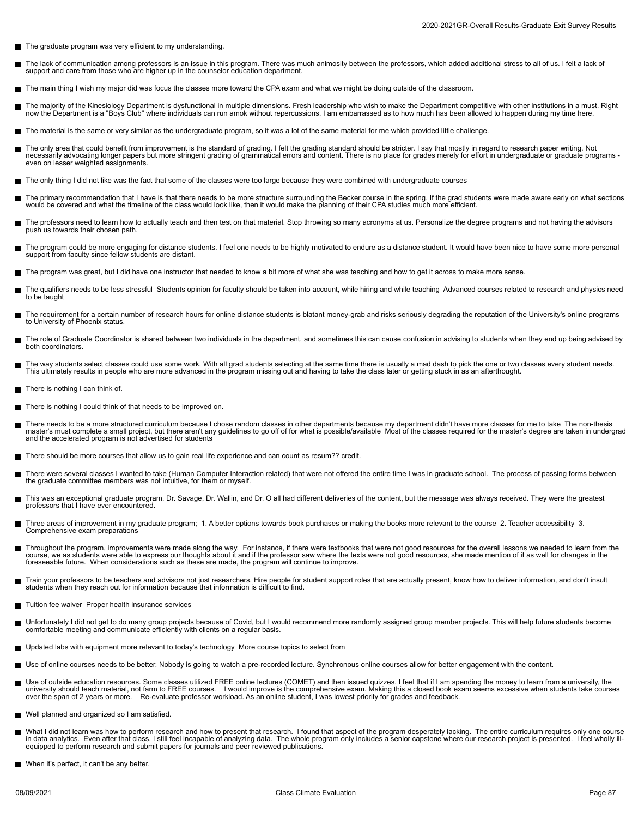- The graduate program was very efficient to my understanding.
- The lack of communication among professors is an issue in this program. There was much animosity between the professors, which added additional stress to all of us. I felt a lack of п support and care from those who are higher up in the counselor education department.
- The main thing I wish my major did was focus the classes more toward the CPA exam and what we might be doing outside of the classroom.
- The majority of the Kinesiology Department is dysfunctional in multiple dimensions. Fresh leadership who wish to make the Department competitive with other institutions in a must. Right<br>now the Department is a "Boys Club"
- The material is the same or very similar as the undergraduate program, so it was a lot of the same material for me which provided little challenge.
- The only area that could benefit from improvement is the standard of grading. I felt the grading standard should be stricter. I say that mostly in regard to research paper writing. Not<br>necessarily advocating longer papers even on lesser weighted assignments.
- The only thing I did not like was the fact that some of the classes were too large because they were combined with undergraduate courses
- The primary recommendation that I have is that there needs to be more structure surrounding the Becker course in the spring. If the grad students were made aware early on what sections<br>would be covered and what the timelin
- The professors need to learn how to actually teach and then test on that material. Stop throwing so many acronyms at us. Personalize the degree programs and not having the advisors push us towards their chosen path.
- The program could be more engaging for distance students. I feel one needs to be highly motivated to endure as a distance student. It would have been nice to have some more personal<br>support from faculty since fellow studen
- The program was great, but I did have one instructor that needed to know a bit more of what she was teaching and how to get it across to make more sense.
- The qualifiers needs to be less stressful Students opinion for faculty should be taken into account, while hiring and while teaching Advanced courses related to research and physics need г to be taught
- The requirement for a certain number of research hours for online distance students is blatant money-grab and risks seriously degrading the reputation of the University's online programs to University of Phoenix status.
- The role of Graduate Coordinator is shared between two individuals in the department, and sometimes this can cause confusion in advising to students when they end up being advised by both coordinators.
- The way students select classes could use some work. With all grad students selecting at the same time there is usually a mad dash to pick the one or two classes every student needs. This ultimately results in people who are more advanced in the program missing out and having to take the class later or getting stuck in as an afterthought.
- There is nothing I can think of.
- There is nothing I could think of that needs to be improved on.  $\blacksquare$
- There needs to be a more structured curriculum because I chose random classes in other departments because my department didn't have more classes for me to take The non-thesis<br>master's must complete a small project, but th and the accelerated program is not advertised for students
- There should be more courses that allow us to gain real life experience and can count as resum?? credit.
- There were several classes I wanted to take (Human Computer Interaction related) that were not offered the entire time I was in graduate school. The process of passing forms between the graduate committee members was not intuitive, for them or myself.
- This was an exceptional graduate program. Dr. Savage, Dr. Wallin, and Dr. O all had different deliveries of the content, but the message was always received. They were the greatest professors that I have ever encountered.
- Three areas of improvement in my graduate program; 1. A better options towards book purchases or making the books more relevant to the course 2. Teacher accessibility 3. Г Comprehensive exam preparations
- Throughout the program, improvements were made along the way. For instance, if there were textbooks that were not good resources for the overall lessons we needed to learn from the  $\blacksquare$ course, we as students were able to express our thoughts about it and if the professor saw where the texts were not good resources, she made mention of it as well for changes in the<br>foreseeable future. When considerations
- Train your professors to be teachers and advisors not just researchers. Hire people for student support roles that are actually present, know how to deliver information, and don't insult<br>students when they reach out for in
- Tuition fee waiver Proper health insurance services
- $\blacksquare$ Unfortunately I did not get to do many group projects because of Covid, but I would recommend more randomly assigned group member projects. This will help future students become<br>comfortable meeting and communicate efficien
- Updated labs with equipment more relevant to today's technology More course topics to select from
- Use of online courses needs to be better. Nobody is going to watch a pre-recorded lecture. Synchronous online courses allow for better engagement with the content.
- Use of outside education resources. Some classes utilized FREE online lectures (COMET) and then issued quizzes. I feel that if I am spending the money to learn from a university, the<br>university should teach material, not f over the span of 2 years or more. Re-evaluate professor workload. As an online student, I was lowest priority for grades and feedback.
- Well planned and organized so I am satisfied.
- Н What I did not learn was how to perform research and how to present that research. I found that aspect of the program desperately lacking. The entire curriculum requires only one course<br>in data analytics. Even after that c equipped to perform research and submit papers for journals and peer reviewed publications.
- When it's perfect, it can't be any better.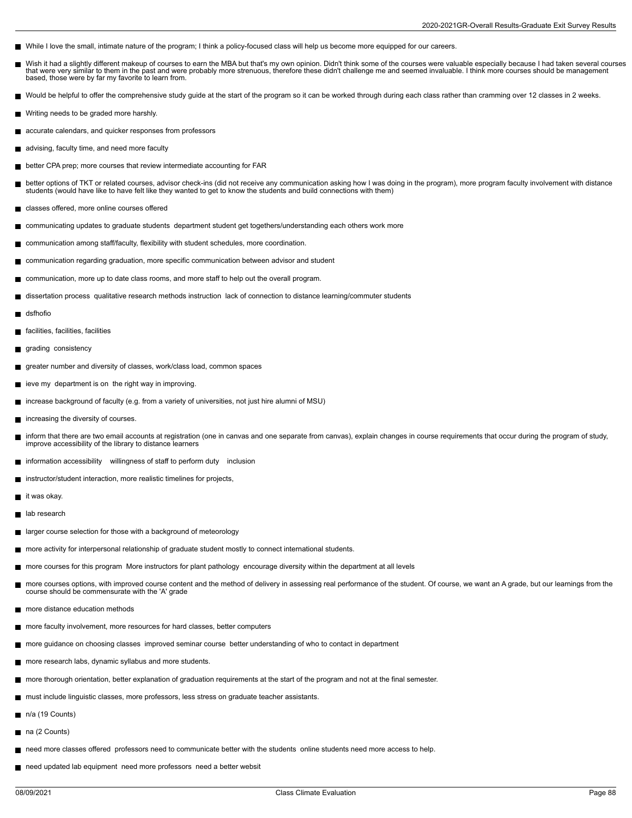- While I love the small, intimate nature of the program; I think a policy-focused class will help us become more equipped for our careers.
- Wish it had a slightly different makeup of courses to earn the MBA but that's my own opinion. Didn't think some of the courses were valuable especially because I had taken several courses E that were very similar to them in the past and were probably more strenuous, therefore these didn't challenge me and seemed invaluable. I think more courses should be management based, those were by far my favorite to learn from.
- Would be helpful to offer the comprehensive study guide at the start of the program so it can be worked through during each class rather than cramming over 12 classes in 2 weeks.
- Writing needs to be graded more harshly.
- accurate calendars, and quicker responses from professors
- advising, faculty time, and need more faculty
- better CPA prep; more courses that review intermediate accounting for FAR
- better options of TKT or related courses, advisor check-ins (did not receive any communication asking how I was doing in the program), more program faculty involvement with distance П students (would have like to have felt like they wanted to get to know the students and build connections with them)
- classes offered, more online courses offered
- communicating updates to graduate students department student get togethers/understanding each others work more
- communication among staff/faculty, flexibility with student schedules, more coordination.
- communication regarding graduation, more specific communication between advisor and student
- communication, more up to date class rooms, and more staff to help out the overall program.
- dissertation process qualitative research methods instruction lack of connection to distance learning/commuter students
- dsfhofio
- facilities, facilities, facilities
- grading consistency
- $\blacksquare$  greater number and diversity of classes, work/class load, common spaces
- ieve my department is on the right way in improving.
- increase background of faculty (e.g. from a variety of universities, not just hire alumni of MSU)  $\blacksquare$
- increasing the diversity of courses.
- inform that there are two email accounts at registration (one in canvas and one separate from canvas), explain changes in course requirements that occur during the program of study, П improve accessibility of the library to distance learners
- information accessibility willingness of staff to perform duty inclusion
- instructor/student interaction, more realistic timelines for projects,
- it was okay.
- П lab research
- $\blacksquare$ larger course selection for those with a background of meteorology
- more activity for interpersonal relationship of graduate student mostly to connect international students.
- more courses for this program More instructors for plant pathology encourage diversity within the department at all levels
- more courses options, with improved course content and the method of delivery in assessing real performance of the student. Of course, we want an A grade, but our learnings from the course should be commensurate with the 'A' grade
- more distance education methods
- more faculty involvement, more resources for hard classes, better computers
- more guidance on choosing classes improved seminar course better understanding of who to contact in department
- more research labs, dynamic syllabus and more students.
- more thorough orientation, better explanation of graduation requirements at the start of the program and not at the final semester.
- must include linguistic classes, more professors, less stress on graduate teacher assistants.
- n/a (19 Counts)
- na (2 Counts)
- need more classes offered professors need to communicate better with the students online students need more access to help.
- need updated lab equipment need more professors need a better websit